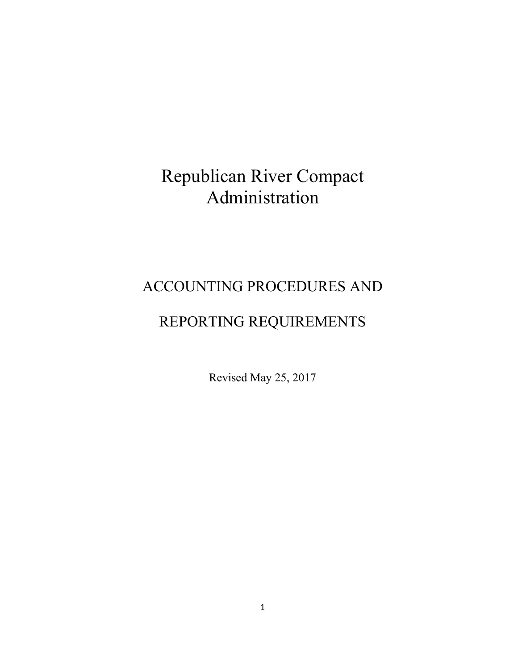# Republican River Compact Administration

# ACCOUNTING PROCEDURES AND

# REPORTING REQUIREMENTS

Revised May 25, 2017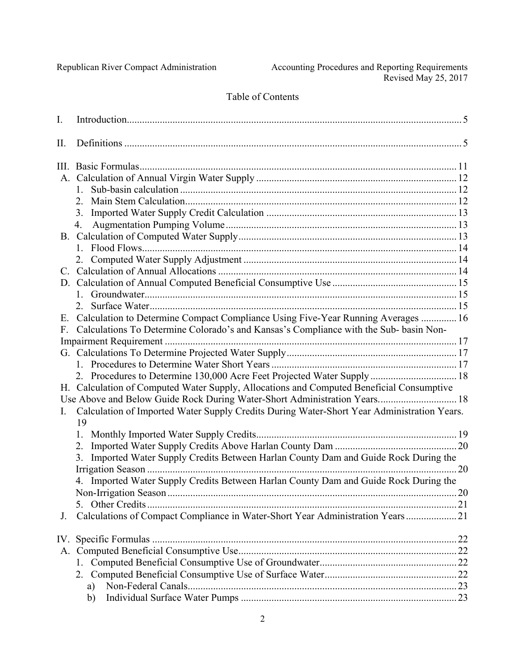# Table of Contents

| I.             |                                                                                                  |  |
|----------------|--------------------------------------------------------------------------------------------------|--|
| Π.             |                                                                                                  |  |
|                |                                                                                                  |  |
|                |                                                                                                  |  |
|                | $1 \quad$                                                                                        |  |
|                | $\overline{2}$ .                                                                                 |  |
|                | 3.                                                                                               |  |
|                | 4.                                                                                               |  |
|                |                                                                                                  |  |
|                |                                                                                                  |  |
|                | 2.                                                                                               |  |
|                |                                                                                                  |  |
|                |                                                                                                  |  |
|                |                                                                                                  |  |
|                | 2                                                                                                |  |
| E.             | Calculation to Determine Compact Compliance Using Five-Year Running Averages  16                 |  |
| $F_{-}$        | Calculations To Determine Colorado's and Kansas's Compliance with the Sub- basin Non-            |  |
|                |                                                                                                  |  |
|                |                                                                                                  |  |
|                |                                                                                                  |  |
|                | 2. Procedures to Determine 130,000 Acre Feet Projected Water Supply  18                          |  |
|                | H. Calculation of Computed Water Supply, Allocations and Computed Beneficial Consumptive         |  |
|                | Use Above and Below Guide Rock During Water-Short Administration Years 18                        |  |
| $\mathbf{I}$ . | Calculation of Imported Water Supply Credits During Water-Short Year Administration Years.<br>19 |  |
|                |                                                                                                  |  |
|                | 2.                                                                                               |  |
|                | Imported Water Supply Credits Between Harlan County Dam and Guide Rock During the<br>3.          |  |
|                |                                                                                                  |  |
|                | 4. Imported Water Supply Credits Between Harlan County Dam and Guide Rock During the             |  |
|                |                                                                                                  |  |
|                | 5.                                                                                               |  |
| J.             | Calculations of Compact Compliance in Water-Short Year Administration Years 21                   |  |
|                |                                                                                                  |  |
|                |                                                                                                  |  |
|                | 1.                                                                                               |  |
|                | 2.                                                                                               |  |
|                | a)                                                                                               |  |
|                | b)                                                                                               |  |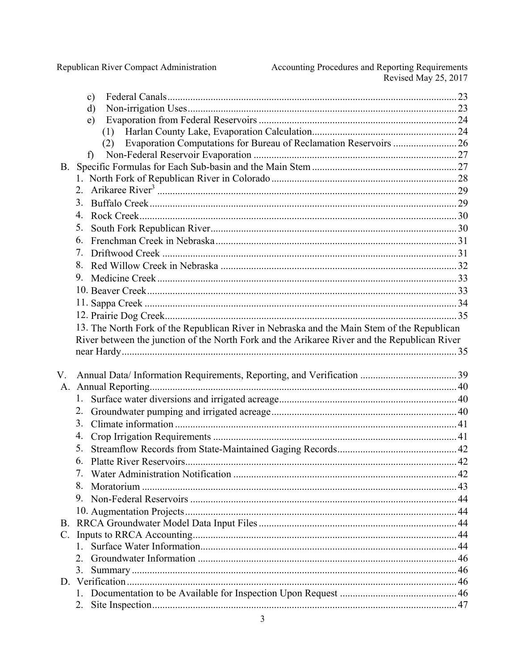Republican River Compact Administration

|           | $\mathbf{c})$                                                                                |  |
|-----------|----------------------------------------------------------------------------------------------|--|
|           | d)                                                                                           |  |
|           | e)                                                                                           |  |
|           | (1)                                                                                          |  |
|           | Evaporation Computations for Bureau of Reclamation Reservoirs  26<br>(2)                     |  |
|           | $\mathbf{f}$                                                                                 |  |
| <b>B.</b> |                                                                                              |  |
|           |                                                                                              |  |
|           | 2 <sub>1</sub>                                                                               |  |
|           | 3.                                                                                           |  |
|           | 4.                                                                                           |  |
|           | 5.                                                                                           |  |
|           | 6.                                                                                           |  |
|           | 7.                                                                                           |  |
|           | 8.                                                                                           |  |
|           | 9.                                                                                           |  |
|           |                                                                                              |  |
|           |                                                                                              |  |
|           |                                                                                              |  |
|           | 13. The North Fork of the Republican River in Nebraska and the Main Stem of the Republican   |  |
|           | River between the junction of the North Fork and the Arikaree River and the Republican River |  |
|           |                                                                                              |  |
|           |                                                                                              |  |
|           |                                                                                              |  |
| V.        |                                                                                              |  |
| A.        |                                                                                              |  |
|           | 1.                                                                                           |  |
|           | 2.                                                                                           |  |
|           | 3.                                                                                           |  |
|           | 4.                                                                                           |  |
|           | 5.                                                                                           |  |
|           | 6.                                                                                           |  |
|           | 7.                                                                                           |  |
|           | 8.                                                                                           |  |
|           | 9.                                                                                           |  |
|           |                                                                                              |  |
|           |                                                                                              |  |
| C.        |                                                                                              |  |
|           | $\mathbf{1}$                                                                                 |  |
|           | 2                                                                                            |  |
|           | 3.                                                                                           |  |
|           |                                                                                              |  |
|           | 2.                                                                                           |  |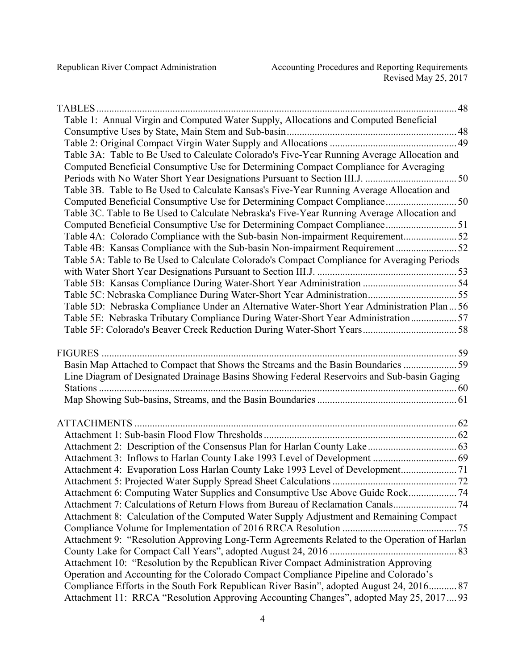| Table 1: Annual Virgin and Computed Water Supply, Allocations and Computed Beneficial       |     |
|---------------------------------------------------------------------------------------------|-----|
|                                                                                             |     |
|                                                                                             |     |
| Table 3A: Table to Be Used to Calculate Colorado's Five-Year Running Average Allocation and |     |
| Computed Beneficial Consumptive Use for Determining Compact Compliance for Averaging        |     |
|                                                                                             |     |
| Table 3B. Table to Be Used to Calculate Kansas's Five-Year Running Average Allocation and   |     |
|                                                                                             |     |
| Table 3C. Table to Be Used to Calculate Nebraska's Five-Year Running Average Allocation and |     |
| Computed Beneficial Consumptive Use for Determining Compact Compliance 51                   |     |
|                                                                                             |     |
|                                                                                             |     |
| Table 5A: Table to Be Used to Calculate Colorado's Compact Compliance for Averaging Periods |     |
|                                                                                             |     |
|                                                                                             |     |
|                                                                                             |     |
| Table 5D: Nebraska Compliance Under an Alternative Water-Short Year Administration Plan  56 |     |
| Table 5E: Nebraska Tributary Compliance During Water-Short Year Administration57            |     |
|                                                                                             |     |
|                                                                                             |     |
|                                                                                             |     |
| Basin Map Attached to Compact that Shows the Streams and the Basin Boundaries 59            |     |
| Line Diagram of Designated Drainage Basins Showing Federal Reservoirs and Sub-basin Gaging  |     |
|                                                                                             |     |
|                                                                                             |     |
|                                                                                             |     |
|                                                                                             |     |
|                                                                                             |     |
|                                                                                             |     |
| Attachment 4: Evaporation Loss Harlan County Lake 1993 Level of Development                 |     |
|                                                                                             | .72 |
| Attachment 6: Computing Water Supplies and Consumptive Use Above Guide Rock                 |     |
| Attachment 7: Calculations of Return Flows from Bureau of Reclamation Canals74              |     |
| Attachment 8: Calculation of the Computed Water Supply Adjustment and Remaining Compact     |     |
|                                                                                             |     |
| Attachment 9: "Resolution Approving Long-Term Agreements Related to the Operation of Harlan |     |
|                                                                                             |     |
| Attachment 10: "Resolution by the Republican River Compact Administration Approving         |     |
| Operation and Accounting for the Colorado Compact Compliance Pipeline and Colorado's        |     |
| Compliance Efforts in the South Fork Republican River Basin", adopted August 24, 2016 87    |     |
| Attachment 11: RRCA "Resolution Approving Accounting Changes", adopted May 25, 2017 93      |     |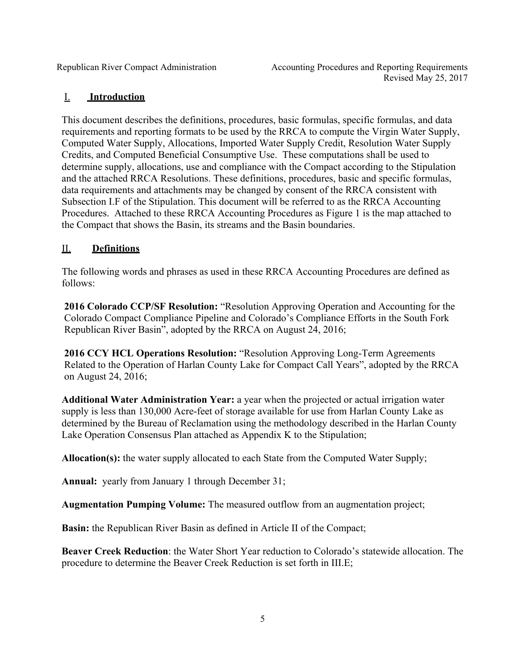# I. **Introduction**

This document describes the definitions, procedures, basic formulas, specific formulas, and data requirements and reporting formats to be used by the RRCA to compute the Virgin Water Supply, Computed Water Supply, Allocations, Imported Water Supply Credit, Resolution Water Supply Credits, and Computed Beneficial Consumptive Use. These computations shall be used to determine supply, allocations, use and compliance with the Compact according to the Stipulation and the attached RRCA Resolutions. These definitions, procedures, basic and specific formulas, data requirements and attachments may be changed by consent of the RRCA consistent with Subsection I.F of the Stipulation. This document will be referred to as the RRCA Accounting Procedures. Attached to these RRCA Accounting Procedures as Figure 1 is the map attached to the Compact that shows the Basin, its streams and the Basin boundaries.

# II. **Definitions**

The following words and phrases as used in these RRCA Accounting Procedures are defined as follows:

**2016 Colorado CCP/SF Resolution:** "Resolution Approving Operation and Accounting for the Colorado Compact Compliance Pipeline and Colorado's Compliance Efforts in the South Fork Republican River Basin", adopted by the RRCA on August 24, 2016;

**2016 CCY HCL Operations Resolution:** "Resolution Approving Long-Term Agreements Related to the Operation of Harlan County Lake for Compact Call Years", adopted by the RRCA on August 24, 2016;

**Additional Water Administration Year:** a year when the projected or actual irrigation water supply is less than 130,000 Acre-feet of storage available for use from Harlan County Lake as determined by the Bureau of Reclamation using the methodology described in the Harlan County Lake Operation Consensus Plan attached as Appendix K to the Stipulation;

**Allocation(s):** the water supply allocated to each State from the Computed Water Supply;

**Annual:** yearly from January 1 through December 31;

**Augmentation Pumping Volume:** The measured outflow from an augmentation project;

**Basin:** the Republican River Basin as defined in Article II of the Compact;

**Beaver Creek Reduction**: the Water Short Year reduction to Colorado's statewide allocation. The procedure to determine the Beaver Creek Reduction is set forth in III.E;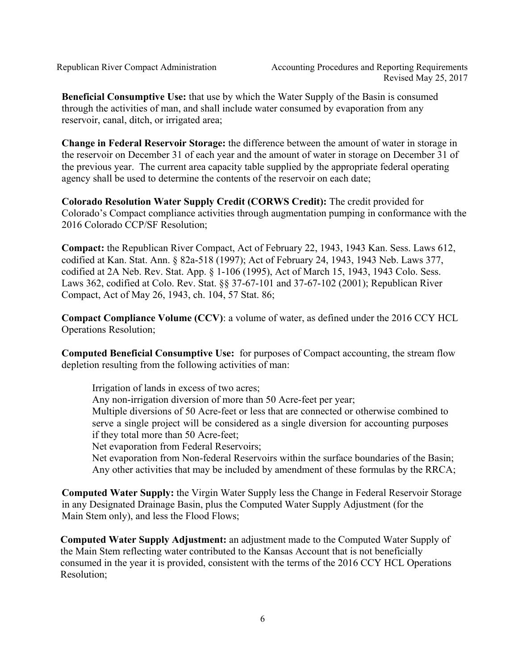**Beneficial Consumptive Use:** that use by which the Water Supply of the Basin is consumed through the activities of man, and shall include water consumed by evaporation from any reservoir, canal, ditch, or irrigated area;

**Change in Federal Reservoir Storage:** the difference between the amount of water in storage in the reservoir on December 31 of each year and the amount of water in storage on December 31 of the previous year. The current area capacity table supplied by the appropriate federal operating agency shall be used to determine the contents of the reservoir on each date;

**Colorado Resolution Water Supply Credit (CORWS Credit):** The credit provided for Colorado's Compact compliance activities through augmentation pumping in conformance with the 2016 Colorado CCP/SF Resolution;

**Compact:** the Republican River Compact, Act of February 22, 1943, 1943 Kan. Sess. Laws 612, codified at Kan. Stat. Ann. § 82a-518 (1997); Act of February 24, 1943, 1943 Neb. Laws 377, codified at 2A Neb. Rev. Stat. App. § 1-106 (1995), Act of March 15, 1943, 1943 Colo. Sess. Laws 362, codified at Colo. Rev. Stat. §§ 37-67-101 and 37-67-102 (2001); Republican River Compact, Act of May 26, 1943, ch. 104, 57 Stat. 86;

**Compact Compliance Volume (CCV)**: a volume of water, as defined under the 2016 CCY HCL Operations Resolution;

**Computed Beneficial Consumptive Use:** for purposes of Compact accounting, the stream flow depletion resulting from the following activities of man:

Irrigation of lands in excess of two acres;

Any non-irrigation diversion of more than 50 Acre-feet per year;

Multiple diversions of 50 Acre-feet or less that are connected or otherwise combined to serve a single project will be considered as a single diversion for accounting purposes if they total more than 50 Acre-feet;

Net evaporation from Federal Reservoirs;

Net evaporation from Non-federal Reservoirs within the surface boundaries of the Basin; Any other activities that may be included by amendment of these formulas by the RRCA;

**Computed Water Supply:** the Virgin Water Supply less the Change in Federal Reservoir Storage in any Designated Drainage Basin, plus the Computed Water Supply Adjustment (for the Main Stem only), and less the Flood Flows;

**Computed Water Supply Adjustment:** an adjustment made to the Computed Water Supply of the Main Stem reflecting water contributed to the Kansas Account that is not beneficially consumed in the year it is provided, consistent with the terms of the 2016 CCY HCL Operations Resolution;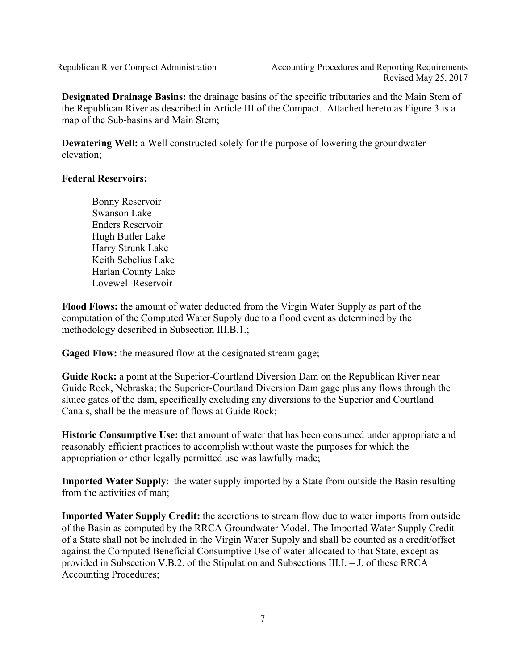**Designated Drainage Basins:** the drainage basins of the specific tributaries and the Main Stem of the Republican River as described in Article III of the Compact. Attached hereto as Figure 3 is a map of the Sub-basins and Main Stem;

**Dewatering Well:** a Well constructed solely for the purpose of lowering the groundwater elevation;

## **Federal Reservoirs:**

Bonny Reservoir Swanson Lake Enders Reservoir Hugh Butler Lake Harry Strunk Lake Keith Sebelius Lake Harlan County Lake Lovewell Reservoir

**Flood Flows:** the amount of water deducted from the Virgin Water Supply as part of the computation of the Computed Water Supply due to a flood event as determined by the methodology described in Subsection III.B.1.;

Gaged Flow: the measured flow at the designated stream gage;

**Guide Rock:** a point at the Superior-Courtland Diversion Dam on the Republican River near Guide Rock, Nebraska; the Superior-Courtland Diversion Dam gage plus any flows through the sluice gates of the dam, specifically excluding any diversions to the Superior and Courtland Canals, shall be the measure of flows at Guide Rock;

**Historic Consumptive Use:** that amount of water that has been consumed under appropriate and reasonably efficient practices to accomplish without waste the purposes for which the appropriation or other legally permitted use was lawfully made;

**Imported Water Supply**: the water supply imported by a State from outside the Basin resulting from the activities of man;

**Imported Water Supply Credit:** the accretions to stream flow due to water imports from outside of the Basin as computed by the RRCA Groundwater Model. The Imported Water Supply Credit of a State shall not be included in the Virgin Water Supply and shall be counted as a credit/offset against the Computed Beneficial Consumptive Use of water allocated to that State, except as provided in Subsection V.B.2. of the Stipulation and Subsections III.I. – J. of these RRCA Accounting Procedures;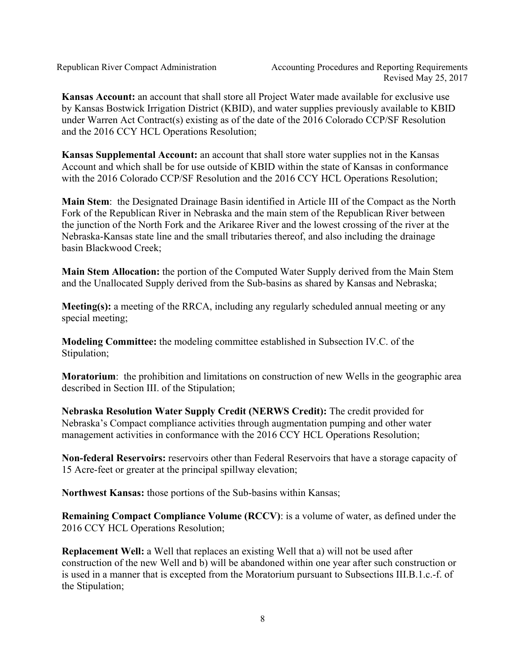**Kansas Account:** an account that shall store all Project Water made available for exclusive use by Kansas Bostwick Irrigation District (KBID), and water supplies previously available to KBID under Warren Act Contract(s) existing as of the date of the 2016 Colorado CCP/SF Resolution and the 2016 CCY HCL Operations Resolution;

**Kansas Supplemental Account:** an account that shall store water supplies not in the Kansas Account and which shall be for use outside of KBID within the state of Kansas in conformance with the 2016 Colorado CCP/SF Resolution and the 2016 CCY HCL Operations Resolution;

**Main Stem**: the Designated Drainage Basin identified in Article III of the Compact as the North Fork of the Republican River in Nebraska and the main stem of the Republican River between the junction of the North Fork and the Arikaree River and the lowest crossing of the river at the Nebraska-Kansas state line and the small tributaries thereof, and also including the drainage basin Blackwood Creek;

**Main Stem Allocation:** the portion of the Computed Water Supply derived from the Main Stem and the Unallocated Supply derived from the Sub-basins as shared by Kansas and Nebraska;

**Meeting(s):** a meeting of the RRCA, including any regularly scheduled annual meeting or any special meeting;

**Modeling Committee:** the modeling committee established in Subsection IV.C. of the Stipulation;

**Moratorium**: the prohibition and limitations on construction of new Wells in the geographic area described in Section III. of the Stipulation;

**Nebraska Resolution Water Supply Credit (NERWS Credit):** The credit provided for Nebraska's Compact compliance activities through augmentation pumping and other water management activities in conformance with the 2016 CCY HCL Operations Resolution;

**Non-federal Reservoirs:** reservoirs other than Federal Reservoirs that have a storage capacity of 15 Acre-feet or greater at the principal spillway elevation;

**Northwest Kansas:** those portions of the Sub-basins within Kansas;

**Remaining Compact Compliance Volume (RCCV)**: is a volume of water, as defined under the 2016 CCY HCL Operations Resolution;

**Replacement Well:** a Well that replaces an existing Well that a) will not be used after construction of the new Well and b) will be abandoned within one year after such construction or is used in a manner that is excepted from the Moratorium pursuant to Subsections III.B.1.c.-f. of the Stipulation;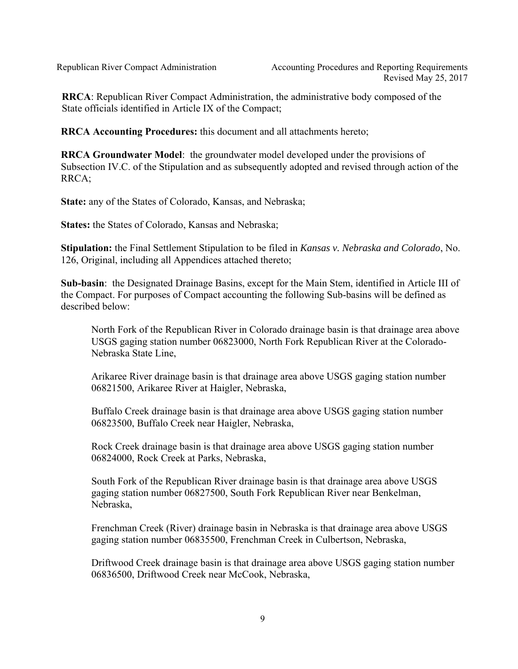**RRCA**: Republican River Compact Administration, the administrative body composed of the State officials identified in Article IX of the Compact;

**RRCA Accounting Procedures:** this document and all attachments hereto;

**RRCA Groundwater Model**: the groundwater model developed under the provisions of Subsection IV.C. of the Stipulation and as subsequently adopted and revised through action of the RRCA;

**State:** any of the States of Colorado, Kansas, and Nebraska;

**States:** the States of Colorado, Kansas and Nebraska;

**Stipulation:** the Final Settlement Stipulation to be filed in *Kansas v. Nebraska and Colorado*, No. 126, Original, including all Appendices attached thereto;

**Sub-basin**: the Designated Drainage Basins, except for the Main Stem, identified in Article III of the Compact. For purposes of Compact accounting the following Sub-basins will be defined as described below:

North Fork of the Republican River in Colorado drainage basin is that drainage area above USGS gaging station number 06823000, North Fork Republican River at the Colorado-Nebraska State Line,

Arikaree River drainage basin is that drainage area above USGS gaging station number 06821500, Arikaree River at Haigler, Nebraska,

Buffalo Creek drainage basin is that drainage area above USGS gaging station number 06823500, Buffalo Creek near Haigler, Nebraska,

Rock Creek drainage basin is that drainage area above USGS gaging station number 06824000, Rock Creek at Parks, Nebraska,

South Fork of the Republican River drainage basin is that drainage area above USGS gaging station number 06827500, South Fork Republican River near Benkelman, Nebraska,

Frenchman Creek (River) drainage basin in Nebraska is that drainage area above USGS gaging station number 06835500, Frenchman Creek in Culbertson, Nebraska,

Driftwood Creek drainage basin is that drainage area above USGS gaging station number 06836500, Driftwood Creek near McCook, Nebraska,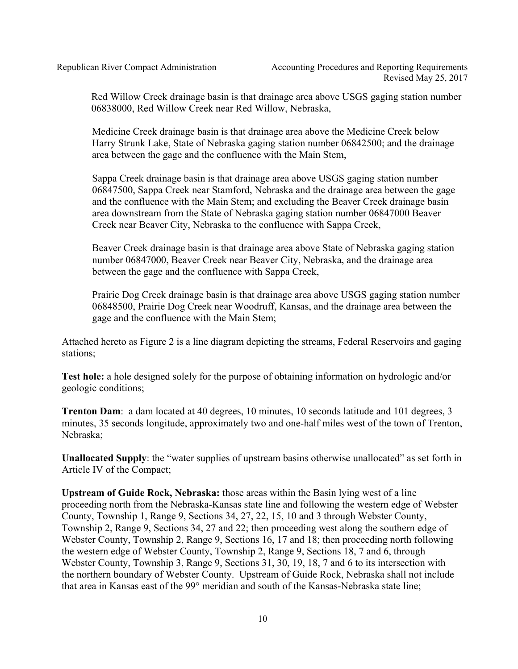Red Willow Creek drainage basin is that drainage area above USGS gaging station number 06838000, Red Willow Creek near Red Willow, Nebraska,

Medicine Creek drainage basin is that drainage area above the Medicine Creek below Harry Strunk Lake, State of Nebraska gaging station number 06842500; and the drainage area between the gage and the confluence with the Main Stem,

Sappa Creek drainage basin is that drainage area above USGS gaging station number 06847500, Sappa Creek near Stamford, Nebraska and the drainage area between the gage and the confluence with the Main Stem; and excluding the Beaver Creek drainage basin area downstream from the State of Nebraska gaging station number 06847000 Beaver Creek near Beaver City, Nebraska to the confluence with Sappa Creek,

Beaver Creek drainage basin is that drainage area above State of Nebraska gaging station number 06847000, Beaver Creek near Beaver City, Nebraska, and the drainage area between the gage and the confluence with Sappa Creek,

Prairie Dog Creek drainage basin is that drainage area above USGS gaging station number 06848500, Prairie Dog Creek near Woodruff, Kansas, and the drainage area between the gage and the confluence with the Main Stem;

Attached hereto as Figure 2 is a line diagram depicting the streams, Federal Reservoirs and gaging stations;

**Test hole:** a hole designed solely for the purpose of obtaining information on hydrologic and/or geologic conditions;

**Trenton Dam**: a dam located at 40 degrees, 10 minutes, 10 seconds latitude and 101 degrees, 3 minutes, 35 seconds longitude, approximately two and one-half miles west of the town of Trenton, Nebraska;

**Unallocated Supply**: the "water supplies of upstream basins otherwise unallocated" as set forth in Article IV of the Compact;

**Upstream of Guide Rock, Nebraska:** those areas within the Basin lying west of a line proceeding north from the Nebraska-Kansas state line and following the western edge of Webster County, Township 1, Range 9, Sections 34, 27, 22, 15, 10 and 3 through Webster County, Township 2, Range 9, Sections 34, 27 and 22; then proceeding west along the southern edge of Webster County, Township 2, Range 9, Sections 16, 17 and 18; then proceeding north following the western edge of Webster County, Township 2, Range 9, Sections 18, 7 and 6, through Webster County, Township 3, Range 9, Sections 31, 30, 19, 18, 7 and 6 to its intersection with the northern boundary of Webster County. Upstream of Guide Rock, Nebraska shall not include that area in Kansas east of the 99° meridian and south of the Kansas-Nebraska state line;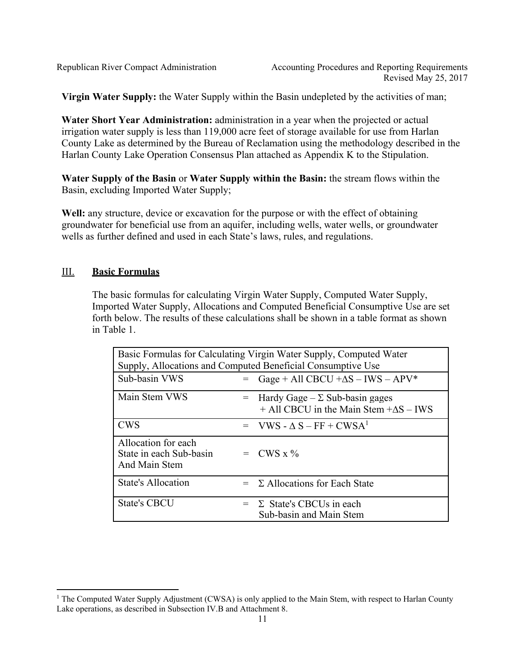**Virgin Water Supply:** the Water Supply within the Basin undepleted by the activities of man;

**Water Short Year Administration:** administration in a year when the projected or actual irrigation water supply is less than 119,000 acre feet of storage available for use from Harlan County Lake as determined by the Bureau of Reclamation using the methodology described in the Harlan County Lake Operation Consensus Plan attached as Appendix K to the Stipulation.

**Water Supply of the Basin** or **Water Supply within the Basin:** the stream flows within the Basin, excluding Imported Water Supply;

Well: any structure, device or excavation for the purpose or with the effect of obtaining groundwater for beneficial use from an aquifer, including wells, water wells, or groundwater wells as further defined and used in each State's laws, rules, and regulations.

# III. **Basic Formulas**

The basic formulas for calculating Virgin Water Supply, Computed Water Supply, Imported Water Supply, Allocations and Computed Beneficial Consumptive Use are set forth below. The results of these calculations shall be shown in a table format as shown in Table 1.

| Basic Formulas for Calculating Virgin Water Supply, Computed Water<br>Supply, Allocations and Computed Beneficial Consumptive Use |     |                                                                                              |  |  |
|-----------------------------------------------------------------------------------------------------------------------------------|-----|----------------------------------------------------------------------------------------------|--|--|
| Sub-basin VWS                                                                                                                     | $=$ | Gage + All CBCU + $\Delta S$ – IWS – APV*                                                    |  |  |
| Main Stem VWS                                                                                                                     |     | $=$ Hardy Gage – $\Sigma$ Sub-basin gages<br>$+$ All CBCU in the Main Stem $+\Delta S$ – IWS |  |  |
| <b>CWS</b>                                                                                                                        |     | $=$ VWS - $\Delta$ S – FF + CWSA <sup>1</sup>                                                |  |  |
| Allocation for each<br>State in each Sub-basin<br>And Main Stem                                                                   |     | $=$ CWS x %                                                                                  |  |  |
| <b>State's Allocation</b>                                                                                                         |     | $= \Sigma$ Allocations for Each State                                                        |  |  |
| <b>State's CBCU</b>                                                                                                               |     | $= \Sigma$ State's CBCUs in each<br>Sub-basin and Main Stem                                  |  |  |

 <sup>1</sup> The Computed Water Supply Adjustment (CWSA) is only applied to the Main Stem, with respect to Harlan County Lake operations, as described in Subsection IV.B and Attachment 8.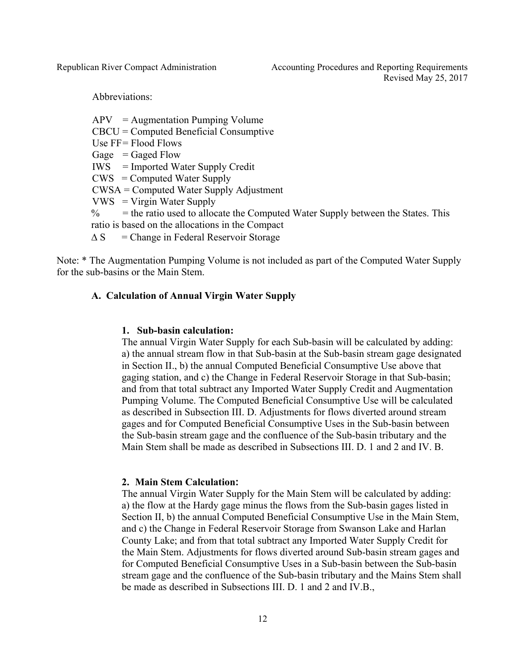Abbreviations:

 $APV = Augmentation$  Pumping Volume CBCU = Computed Beneficial Consumptive Use  $FF =$  Flood Flows Gage  $=$  Gaged Flow IWS = Imported Water Supply Credit CWS = Computed Water Supply CWSA = Computed Water Supply Adjustment VWS = Virgin Water Supply  $\%$  = the ratio used to allocate the Computed Water Supply between the States. This ratio is based on the allocations in the Compact  $\triangle S$  = Change in Federal Reservoir Storage

Note: \* The Augmentation Pumping Volume is not included as part of the Computed Water Supply for the sub-basins or the Main Stem.

#### **A. Calculation of Annual Virgin Water Supply**

#### **1. Sub-basin calculation:**

The annual Virgin Water Supply for each Sub-basin will be calculated by adding: a) the annual stream flow in that Sub-basin at the Sub-basin stream gage designated in Section II., b) the annual Computed Beneficial Consumptive Use above that gaging station, and c) the Change in Federal Reservoir Storage in that Sub-basin; and from that total subtract any Imported Water Supply Credit and Augmentation Pumping Volume. The Computed Beneficial Consumptive Use will be calculated as described in Subsection III. D. Adjustments for flows diverted around stream gages and for Computed Beneficial Consumptive Uses in the Sub-basin between the Sub-basin stream gage and the confluence of the Sub-basin tributary and the Main Stem shall be made as described in Subsections III. D. 1 and 2 and IV. B.

#### **2. Main Stem Calculation:**

The annual Virgin Water Supply for the Main Stem will be calculated by adding: a) the flow at the Hardy gage minus the flows from the Sub-basin gages listed in Section II, b) the annual Computed Beneficial Consumptive Use in the Main Stem, and c) the Change in Federal Reservoir Storage from Swanson Lake and Harlan County Lake; and from that total subtract any Imported Water Supply Credit for the Main Stem. Adjustments for flows diverted around Sub-basin stream gages and for Computed Beneficial Consumptive Uses in a Sub-basin between the Sub-basin stream gage and the confluence of the Sub-basin tributary and the Mains Stem shall be made as described in Subsections III. D. 1 and 2 and IV.B.,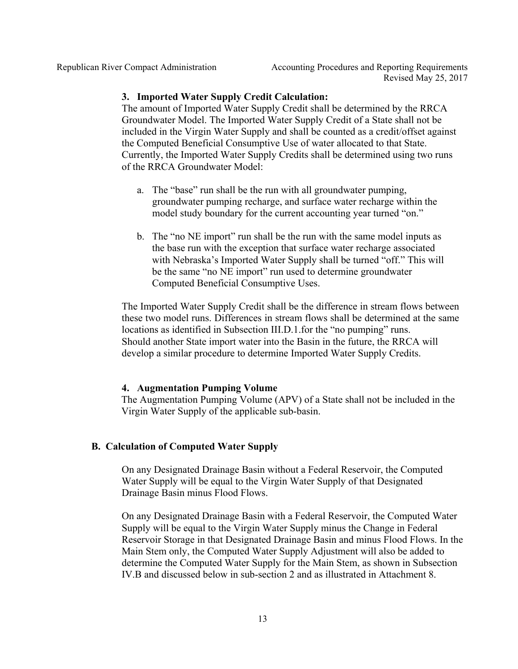### **3. Imported Water Supply Credit Calculation:**

The amount of Imported Water Supply Credit shall be determined by the RRCA Groundwater Model. The Imported Water Supply Credit of a State shall not be included in the Virgin Water Supply and shall be counted as a credit/offset against the Computed Beneficial Consumptive Use of water allocated to that State. Currently, the Imported Water Supply Credits shall be determined using two runs of the RRCA Groundwater Model:

- a. The "base" run shall be the run with all groundwater pumping, groundwater pumping recharge, and surface water recharge within the model study boundary for the current accounting year turned "on."
- b. The "no NE import" run shall be the run with the same model inputs as the base run with the exception that surface water recharge associated with Nebraska's Imported Water Supply shall be turned "off." This will be the same "no NE import" run used to determine groundwater Computed Beneficial Consumptive Uses.

The Imported Water Supply Credit shall be the difference in stream flows between these two model runs. Differences in stream flows shall be determined at the same locations as identified in Subsection III.D.1.for the "no pumping" runs. Should another State import water into the Basin in the future, the RRCA will develop a similar procedure to determine Imported Water Supply Credits.

## **4. Augmentation Pumping Volume**

The Augmentation Pumping Volume (APV) of a State shall not be included in the Virgin Water Supply of the applicable sub-basin.

## **B. Calculation of Computed Water Supply**

On any Designated Drainage Basin without a Federal Reservoir, the Computed Water Supply will be equal to the Virgin Water Supply of that Designated Drainage Basin minus Flood Flows.

On any Designated Drainage Basin with a Federal Reservoir, the Computed Water Supply will be equal to the Virgin Water Supply minus the Change in Federal Reservoir Storage in that Designated Drainage Basin and minus Flood Flows. In the Main Stem only, the Computed Water Supply Adjustment will also be added to determine the Computed Water Supply for the Main Stem, as shown in Subsection IV.B and discussed below in sub-section 2 and as illustrated in Attachment 8.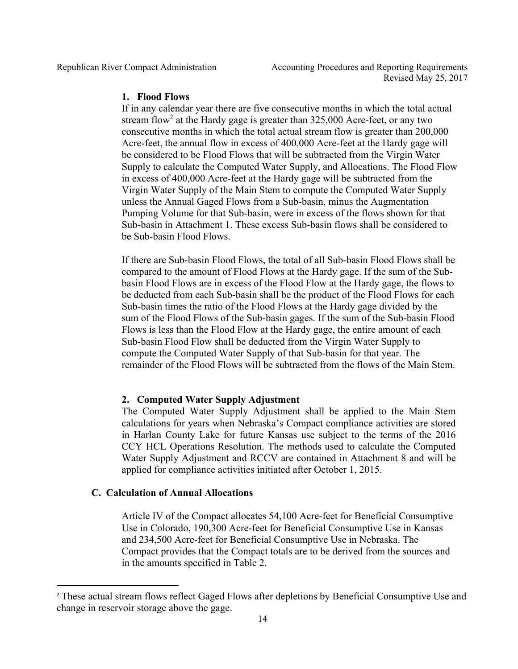### **1. Flood Flows**

If in any calendar year there are five consecutive months in which the total actual stream flow<sup>2</sup> at the Hardy gage is greater than  $325,000$  Acre-feet, or any two consecutive months in which the total actual stream flow is greater than 200,000 Acre-feet, the annual flow in excess of 400,000 Acre-feet at the Hardy gage will be considered to be Flood Flows that will be subtracted from the Virgin Water Supply to calculate the Computed Water Supply, and Allocations. The Flood Flow in excess of 400,000 Acre-feet at the Hardy gage will be subtracted from the Virgin Water Supply of the Main Stem to compute the Computed Water Supply unless the Annual Gaged Flows from a Sub-basin, minus the Augmentation Pumping Volume for that Sub-basin, were in excess of the flows shown for that Sub-basin in Attachment 1. These excess Sub-basin flows shall be considered to be Sub-basin Flood Flows.

If there are Sub-basin Flood Flows, the total of all Sub-basin Flood Flows shall be compared to the amount of Flood Flows at the Hardy gage. If the sum of the Subbasin Flood Flows are in excess of the Flood Flow at the Hardy gage, the flows to be deducted from each Sub-basin shall be the product of the Flood Flows for each Sub-basin times the ratio of the Flood Flows at the Hardy gage divided by the sum of the Flood Flows of the Sub-basin gages. If the sum of the Sub-basin Flood Flows is less than the Flood Flow at the Hardy gage, the entire amount of each Sub-basin Flood Flow shall be deducted from the Virgin Water Supply to compute the Computed Water Supply of that Sub-basin for that year. The remainder of the Flood Flows will be subtracted from the flows of the Main Stem.

## **2. Computed Water Supply Adjustment**

The Computed Water Supply Adjustment shall be applied to the Main Stem calculations for years when Nebraska's Compact compliance activities are stored in Harlan County Lake for future Kansas use subject to the terms of the 2016 CCY HCL Operations Resolution. The methods used to calculate the Computed Water Supply Adjustment and RCCV are contained in Attachment 8 and will be applied for compliance activities initiated after October 1, 2015.

## **C. Calculation of Annual Allocations**

Article IV of the Compact allocates 54,100 Acre-feet for Beneficial Consumptive Use in Colorado, 190,300 Acre-feet for Beneficial Consumptive Use in Kansas and 234,500 Acre-feet for Beneficial Consumptive Use in Nebraska. The Compact provides that the Compact totals are to be derived from the sources and in the amounts specified in Table 2.

<sup>&</sup>lt;sup>2</sup> These actual stream flows reflect Gaged Flows after depletions by Beneficial Consumptive Use and change in reservoir storage above the gage.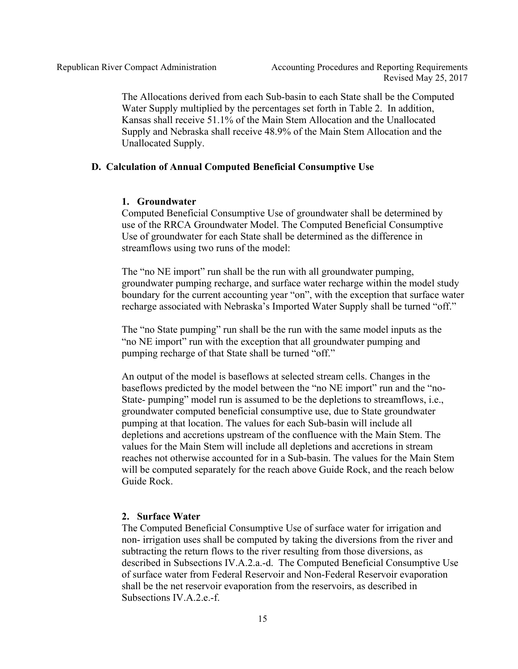The Allocations derived from each Sub-basin to each State shall be the Computed Water Supply multiplied by the percentages set forth in Table 2. In addition, Kansas shall receive 51.1% of the Main Stem Allocation and the Unallocated Supply and Nebraska shall receive 48.9% of the Main Stem Allocation and the Unallocated Supply.

#### **D. Calculation of Annual Computed Beneficial Consumptive Use**

#### **1. Groundwater**

Computed Beneficial Consumptive Use of groundwater shall be determined by use of the RRCA Groundwater Model. The Computed Beneficial Consumptive Use of groundwater for each State shall be determined as the difference in streamflows using two runs of the model:

The "no NE import" run shall be the run with all groundwater pumping, groundwater pumping recharge, and surface water recharge within the model study boundary for the current accounting year "on", with the exception that surface water recharge associated with Nebraska's Imported Water Supply shall be turned "off."

The "no State pumping" run shall be the run with the same model inputs as the "no NE import" run with the exception that all groundwater pumping and pumping recharge of that State shall be turned "off."

An output of the model is baseflows at selected stream cells. Changes in the baseflows predicted by the model between the "no NE import" run and the "no-State- pumping" model run is assumed to be the depletions to streamflows, i.e., groundwater computed beneficial consumptive use, due to State groundwater pumping at that location. The values for each Sub-basin will include all depletions and accretions upstream of the confluence with the Main Stem. The values for the Main Stem will include all depletions and accretions in stream reaches not otherwise accounted for in a Sub-basin. The values for the Main Stem will be computed separately for the reach above Guide Rock, and the reach below Guide Rock.

#### **2. Surface Water**

The Computed Beneficial Consumptive Use of surface water for irrigation and non- irrigation uses shall be computed by taking the diversions from the river and subtracting the return flows to the river resulting from those diversions, as described in Subsections IV.A.2.a.-d. The Computed Beneficial Consumptive Use of surface water from Federal Reservoir and Non-Federal Reservoir evaporation shall be the net reservoir evaporation from the reservoirs, as described in Subsections IV  $A$  2 e -f.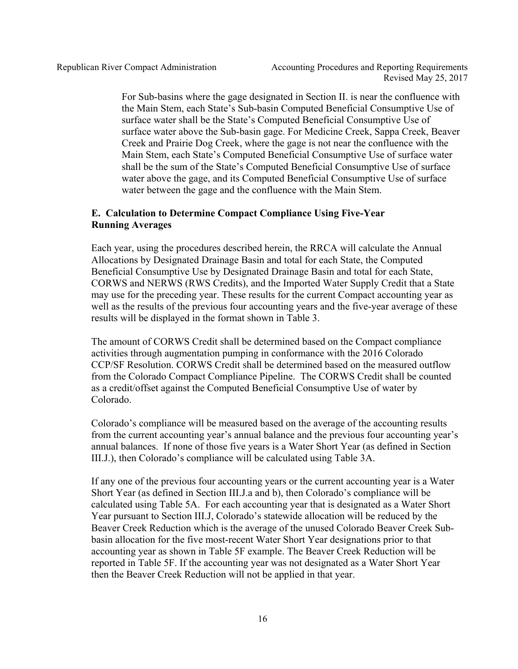For Sub-basins where the gage designated in Section II. is near the confluence with the Main Stem, each State's Sub-basin Computed Beneficial Consumptive Use of surface water shall be the State's Computed Beneficial Consumptive Use of surface water above the Sub-basin gage. For Medicine Creek, Sappa Creek, Beaver Creek and Prairie Dog Creek, where the gage is not near the confluence with the Main Stem, each State's Computed Beneficial Consumptive Use of surface water shall be the sum of the State's Computed Beneficial Consumptive Use of surface water above the gage, and its Computed Beneficial Consumptive Use of surface water between the gage and the confluence with the Main Stem.

## **E. Calculation to Determine Compact Compliance Using Five-Year Running Averages**

Each year, using the procedures described herein, the RRCA will calculate the Annual Allocations by Designated Drainage Basin and total for each State, the Computed Beneficial Consumptive Use by Designated Drainage Basin and total for each State, CORWS and NERWS (RWS Credits), and the Imported Water Supply Credit that a State may use for the preceding year. These results for the current Compact accounting year as well as the results of the previous four accounting years and the five-year average of these results will be displayed in the format shown in Table 3.

The amount of CORWS Credit shall be determined based on the Compact compliance activities through augmentation pumping in conformance with the 2016 Colorado CCP/SF Resolution. CORWS Credit shall be determined based on the measured outflow from the Colorado Compact Compliance Pipeline. The CORWS Credit shall be counted as a credit/offset against the Computed Beneficial Consumptive Use of water by Colorado.

Colorado's compliance will be measured based on the average of the accounting results from the current accounting year's annual balance and the previous four accounting year's annual balances. If none of those five years is a Water Short Year (as defined in Section III.J.), then Colorado's compliance will be calculated using Table 3A.

If any one of the previous four accounting years or the current accounting year is a Water Short Year (as defined in Section III.J.a and b), then Colorado's compliance will be calculated using Table 5A. For each accounting year that is designated as a Water Short Year pursuant to Section III.J, Colorado's statewide allocation will be reduced by the Beaver Creek Reduction which is the average of the unused Colorado Beaver Creek Subbasin allocation for the five most-recent Water Short Year designations prior to that accounting year as shown in Table 5F example. The Beaver Creek Reduction will be reported in Table 5F. If the accounting year was not designated as a Water Short Year then the Beaver Creek Reduction will not be applied in that year.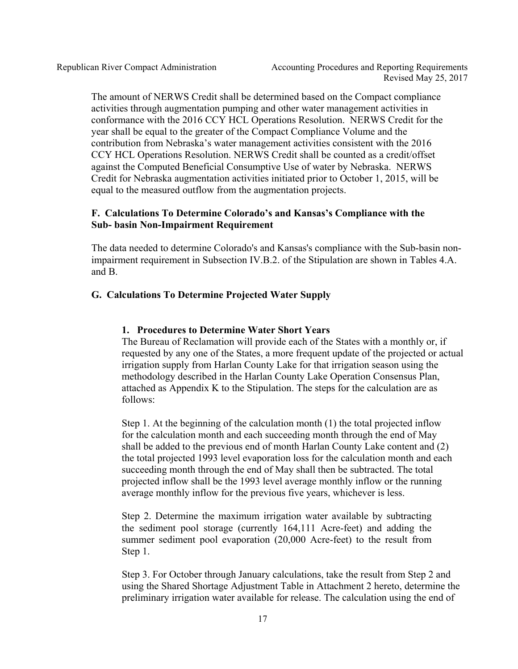The amount of NERWS Credit shall be determined based on the Compact compliance activities through augmentation pumping and other water management activities in conformance with the 2016 CCY HCL Operations Resolution. NERWS Credit for the year shall be equal to the greater of the Compact Compliance Volume and the contribution from Nebraska's water management activities consistent with the 2016 CCY HCL Operations Resolution. NERWS Credit shall be counted as a credit/offset against the Computed Beneficial Consumptive Use of water by Nebraska. NERWS Credit for Nebraska augmentation activities initiated prior to October 1, 2015, will be equal to the measured outflow from the augmentation projects.

## **F. Calculations To Determine Colorado's and Kansas's Compliance with the Sub- basin Non-Impairment Requirement**

The data needed to determine Colorado's and Kansas's compliance with the Sub-basin nonimpairment requirement in Subsection IV.B.2. of the Stipulation are shown in Tables 4.A. and B.

#### **G. Calculations To Determine Projected Water Supply**

#### **1. Procedures to Determine Water Short Years**

The Bureau of Reclamation will provide each of the States with a monthly or, if requested by any one of the States, a more frequent update of the projected or actual irrigation supply from Harlan County Lake for that irrigation season using the methodology described in the Harlan County Lake Operation Consensus Plan, attached as Appendix K to the Stipulation. The steps for the calculation are as follows:

Step 1. At the beginning of the calculation month (1) the total projected inflow for the calculation month and each succeeding month through the end of May shall be added to the previous end of month Harlan County Lake content and (2) the total projected 1993 level evaporation loss for the calculation month and each succeeding month through the end of May shall then be subtracted. The total projected inflow shall be the 1993 level average monthly inflow or the running average monthly inflow for the previous five years, whichever is less.

Step 2. Determine the maximum irrigation water available by subtracting the sediment pool storage (currently 164,111 Acre-feet) and adding the summer sediment pool evaporation (20,000 Acre-feet) to the result from Step 1.

Step 3. For October through January calculations, take the result from Step 2 and using the Shared Shortage Adjustment Table in Attachment 2 hereto, determine the preliminary irrigation water available for release. The calculation using the end of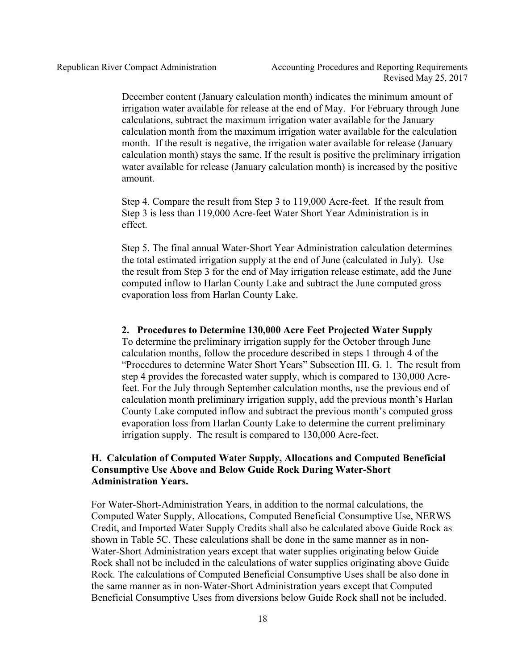December content (January calculation month) indicates the minimum amount of irrigation water available for release at the end of May. For February through June calculations, subtract the maximum irrigation water available for the January calculation month from the maximum irrigation water available for the calculation month. If the result is negative, the irrigation water available for release (January calculation month) stays the same. If the result is positive the preliminary irrigation water available for release (January calculation month) is increased by the positive amount.

Step 4. Compare the result from Step 3 to 119,000 Acre-feet. If the result from Step 3 is less than 119,000 Acre-feet Water Short Year Administration is in effect.

Step 5. The final annual Water-Short Year Administration calculation determines the total estimated irrigation supply at the end of June (calculated in July). Use the result from Step 3 for the end of May irrigation release estimate, add the June computed inflow to Harlan County Lake and subtract the June computed gross evaporation loss from Harlan County Lake.

#### **2. Procedures to Determine 130,000 Acre Feet Projected Water Supply**

To determine the preliminary irrigation supply for the October through June calculation months, follow the procedure described in steps 1 through 4 of the "Procedures to determine Water Short Years" Subsection III. G. 1. The result from step 4 provides the forecasted water supply, which is compared to 130,000 Acrefeet. For the July through September calculation months, use the previous end of calculation month preliminary irrigation supply, add the previous month's Harlan County Lake computed inflow and subtract the previous month's computed gross evaporation loss from Harlan County Lake to determine the current preliminary irrigation supply. The result is compared to 130,000 Acre-feet.

#### **H. Calculation of Computed Water Supply, Allocations and Computed Beneficial Consumptive Use Above and Below Guide Rock During Water-Short Administration Years.**

For Water-Short-Administration Years, in addition to the normal calculations, the Computed Water Supply, Allocations, Computed Beneficial Consumptive Use, NERWS Credit, and Imported Water Supply Credits shall also be calculated above Guide Rock as shown in Table 5C. These calculations shall be done in the same manner as in non-Water-Short Administration years except that water supplies originating below Guide Rock shall not be included in the calculations of water supplies originating above Guide Rock. The calculations of Computed Beneficial Consumptive Uses shall be also done in the same manner as in non-Water-Short Administration years except that Computed Beneficial Consumptive Uses from diversions below Guide Rock shall not be included.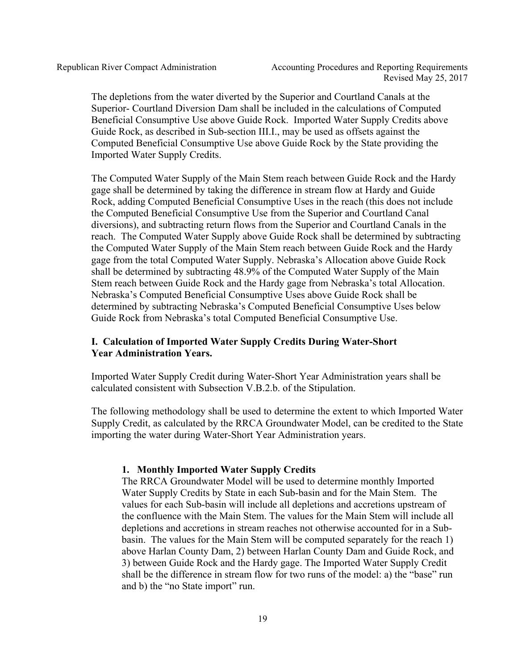The depletions from the water diverted by the Superior and Courtland Canals at the Superior- Courtland Diversion Dam shall be included in the calculations of Computed Beneficial Consumptive Use above Guide Rock. Imported Water Supply Credits above Guide Rock, as described in Sub-section III.I., may be used as offsets against the Computed Beneficial Consumptive Use above Guide Rock by the State providing the Imported Water Supply Credits.

The Computed Water Supply of the Main Stem reach between Guide Rock and the Hardy gage shall be determined by taking the difference in stream flow at Hardy and Guide Rock, adding Computed Beneficial Consumptive Uses in the reach (this does not include the Computed Beneficial Consumptive Use from the Superior and Courtland Canal diversions), and subtracting return flows from the Superior and Courtland Canals in the reach. The Computed Water Supply above Guide Rock shall be determined by subtracting the Computed Water Supply of the Main Stem reach between Guide Rock and the Hardy gage from the total Computed Water Supply. Nebraska's Allocation above Guide Rock shall be determined by subtracting 48.9% of the Computed Water Supply of the Main Stem reach between Guide Rock and the Hardy gage from Nebraska's total Allocation. Nebraska's Computed Beneficial Consumptive Uses above Guide Rock shall be determined by subtracting Nebraska's Computed Beneficial Consumptive Uses below Guide Rock from Nebraska's total Computed Beneficial Consumptive Use.

# **I. Calculation of Imported Water Supply Credits During Water-Short Year Administration Years.**

Imported Water Supply Credit during Water-Short Year Administration years shall be calculated consistent with Subsection V.B.2.b. of the Stipulation.

The following methodology shall be used to determine the extent to which Imported Water Supply Credit, as calculated by the RRCA Groundwater Model, can be credited to the State importing the water during Water-Short Year Administration years.

## **1. Monthly Imported Water Supply Credits**

The RRCA Groundwater Model will be used to determine monthly Imported Water Supply Credits by State in each Sub-basin and for the Main Stem. The values for each Sub-basin will include all depletions and accretions upstream of the confluence with the Main Stem. The values for the Main Stem will include all depletions and accretions in stream reaches not otherwise accounted for in a Subbasin. The values for the Main Stem will be computed separately for the reach 1) above Harlan County Dam, 2) between Harlan County Dam and Guide Rock, and 3) between Guide Rock and the Hardy gage. The Imported Water Supply Credit shall be the difference in stream flow for two runs of the model: a) the "base" run and b) the "no State import" run.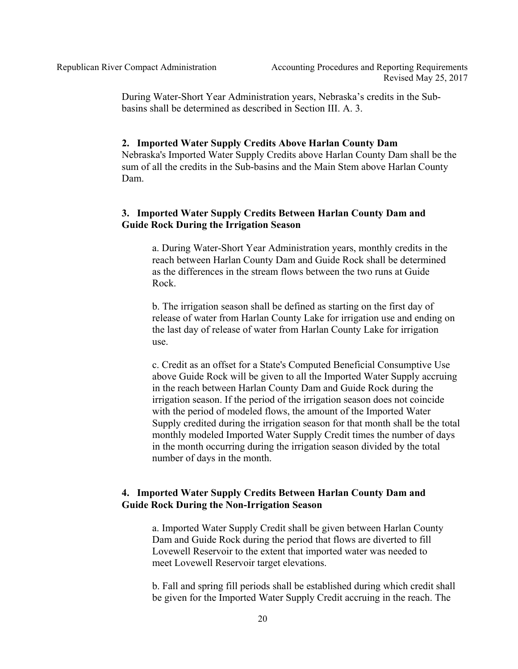During Water-Short Year Administration years, Nebraska's credits in the Subbasins shall be determined as described in Section III. A. 3.

#### **2. Imported Water Supply Credits Above Harlan County Dam**

Nebraska's Imported Water Supply Credits above Harlan County Dam shall be the sum of all the credits in the Sub-basins and the Main Stem above Harlan County Dam.

## **3. Imported Water Supply Credits Between Harlan County Dam and Guide Rock During the Irrigation Season**

a. During Water-Short Year Administration years, monthly credits in the reach between Harlan County Dam and Guide Rock shall be determined as the differences in the stream flows between the two runs at Guide Rock.

b. The irrigation season shall be defined as starting on the first day of release of water from Harlan County Lake for irrigation use and ending on the last day of release of water from Harlan County Lake for irrigation use.

c. Credit as an offset for a State's Computed Beneficial Consumptive Use above Guide Rock will be given to all the Imported Water Supply accruing in the reach between Harlan County Dam and Guide Rock during the irrigation season. If the period of the irrigation season does not coincide with the period of modeled flows, the amount of the Imported Water Supply credited during the irrigation season for that month shall be the total monthly modeled Imported Water Supply Credit times the number of days in the month occurring during the irrigation season divided by the total number of days in the month.

#### **4. Imported Water Supply Credits Between Harlan County Dam and Guide Rock During the Non-Irrigation Season**

a. Imported Water Supply Credit shall be given between Harlan County Dam and Guide Rock during the period that flows are diverted to fill Lovewell Reservoir to the extent that imported water was needed to meet Lovewell Reservoir target elevations.

b. Fall and spring fill periods shall be established during which credit shall be given for the Imported Water Supply Credit accruing in the reach. The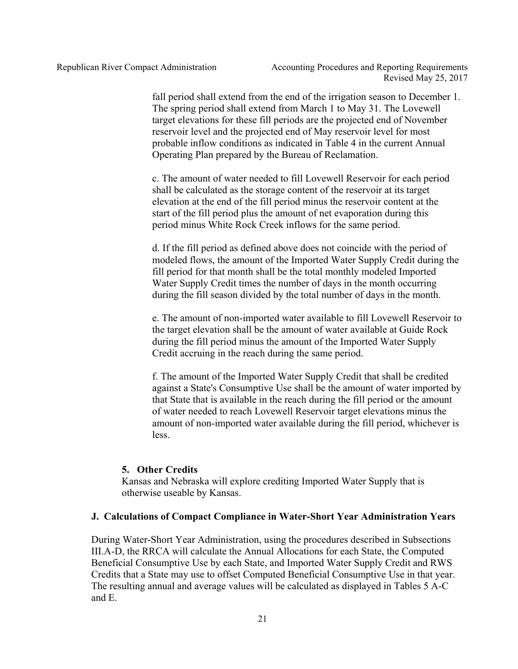fall period shall extend from the end of the irrigation season to December 1. The spring period shall extend from March 1 to May 31. The Lovewell target elevations for these fill periods are the projected end of November reservoir level and the projected end of May reservoir level for most probable inflow conditions as indicated in Table 4 in the current Annual Operating Plan prepared by the Bureau of Reclamation.

c. The amount of water needed to fill Lovewell Reservoir for each period shall be calculated as the storage content of the reservoir at its target elevation at the end of the fill period minus the reservoir content at the start of the fill period plus the amount of net evaporation during this period minus White Rock Creek inflows for the same period.

d. If the fill period as defined above does not coincide with the period of modeled flows, the amount of the Imported Water Supply Credit during the fill period for that month shall be the total monthly modeled Imported Water Supply Credit times the number of days in the month occurring during the fill season divided by the total number of days in the month.

e. The amount of non-imported water available to fill Lovewell Reservoir to the target elevation shall be the amount of water available at Guide Rock during the fill period minus the amount of the Imported Water Supply Credit accruing in the reach during the same period.

f. The amount of the Imported Water Supply Credit that shall be credited against a State's Consumptive Use shall be the amount of water imported by that State that is available in the reach during the fill period or the amount of water needed to reach Lovewell Reservoir target elevations minus the amount of non-imported water available during the fill period, whichever is less.

#### **5. Other Credits**

Kansas and Nebraska will explore crediting Imported Water Supply that is otherwise useable by Kansas.

#### **J. Calculations of Compact Compliance in Water-Short Year Administration Years**

During Water-Short Year Administration, using the procedures described in Subsections III.A-D, the RRCA will calculate the Annual Allocations for each State, the Computed Beneficial Consumptive Use by each State, and Imported Water Supply Credit and RWS Credits that a State may use to offset Computed Beneficial Consumptive Use in that year. The resulting annual and average values will be calculated as displayed in Tables 5 A-C and E.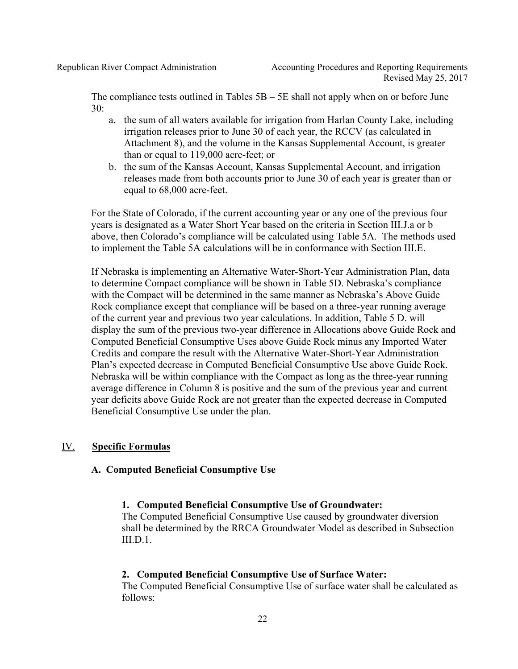The compliance tests outlined in Tables  $5B - 5E$  shall not apply when on or before June 30:

- a. the sum of all waters available for irrigation from Harlan County Lake, including irrigation releases prior to June 30 of each year, the RCCV (as calculated in Attachment 8), and the volume in the Kansas Supplemental Account, is greater than or equal to 119,000 acre-feet; or
- b. the sum of the Kansas Account, Kansas Supplemental Account, and irrigation releases made from both accounts prior to June 30 of each year is greater than or equal to 68,000 acre-feet.

For the State of Colorado, if the current accounting year or any one of the previous four years is designated as a Water Short Year based on the criteria in Section III.J.a or b above, then Colorado's compliance will be calculated using Table 5A. The methods used to implement the Table 5A calculations will be in conformance with Section III.E.

If Nebraska is implementing an Alternative Water-Short-Year Administration Plan, data to determine Compact compliance will be shown in Table 5D. Nebraska's compliance with the Compact will be determined in the same manner as Nebraska's Above Guide Rock compliance except that compliance will be based on a three-year running average of the current year and previous two year calculations. In addition, Table 5 D. will display the sum of the previous two-year difference in Allocations above Guide Rock and Computed Beneficial Consumptive Uses above Guide Rock minus any Imported Water Credits and compare the result with the Alternative Water-Short-Year Administration Plan's expected decrease in Computed Beneficial Consumptive Use above Guide Rock. Nebraska will be within compliance with the Compact as long as the three-year running average difference in Column 8 is positive and the sum of the previous year and current year deficits above Guide Rock are not greater than the expected decrease in Computed Beneficial Consumptive Use under the plan.

## IV. **Specific Formulas**

#### **A. Computed Beneficial Consumptive Use**

#### **1. Computed Beneficial Consumptive Use of Groundwater:**

The Computed Beneficial Consumptive Use caused by groundwater diversion shall be determined by the RRCA Groundwater Model as described in Subsection III.D.1.

#### **2. Computed Beneficial Consumptive Use of Surface Water:**

The Computed Beneficial Consumptive Use of surface water shall be calculated as follows: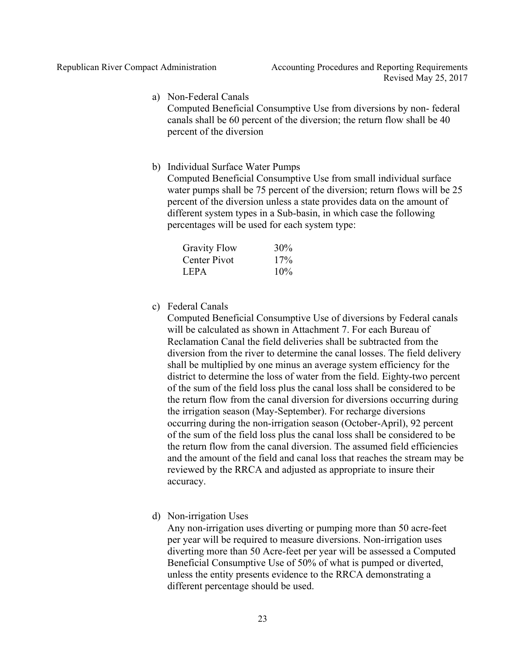a) Non-Federal Canals

Computed Beneficial Consumptive Use from diversions by non- federal canals shall be 60 percent of the diversion; the return flow shall be 40 percent of the diversion

b) Individual Surface Water Pumps

Computed Beneficial Consumptive Use from small individual surface water pumps shall be 75 percent of the diversion; return flows will be 25 percent of the diversion unless a state provides data on the amount of different system types in a Sub-basin, in which case the following percentages will be used for each system type:

| <b>Gravity Flow</b> | 30% |
|---------------------|-----|
| Center Pivot        | 17% |
| LEPA.               | 10% |

c) Federal Canals

Computed Beneficial Consumptive Use of diversions by Federal canals will be calculated as shown in Attachment 7. For each Bureau of Reclamation Canal the field deliveries shall be subtracted from the diversion from the river to determine the canal losses. The field delivery shall be multiplied by one minus an average system efficiency for the district to determine the loss of water from the field. Eighty-two percent of the sum of the field loss plus the canal loss shall be considered to be the return flow from the canal diversion for diversions occurring during the irrigation season (May-September). For recharge diversions occurring during the non-irrigation season (October-April), 92 percent of the sum of the field loss plus the canal loss shall be considered to be the return flow from the canal diversion. The assumed field efficiencies and the amount of the field and canal loss that reaches the stream may be reviewed by the RRCA and adjusted as appropriate to insure their accuracy.

d) Non-irrigation Uses

Any non-irrigation uses diverting or pumping more than 50 acre-feet per year will be required to measure diversions. Non-irrigation uses diverting more than 50 Acre-feet per year will be assessed a Computed Beneficial Consumptive Use of 50% of what is pumped or diverted, unless the entity presents evidence to the RRCA demonstrating a different percentage should be used.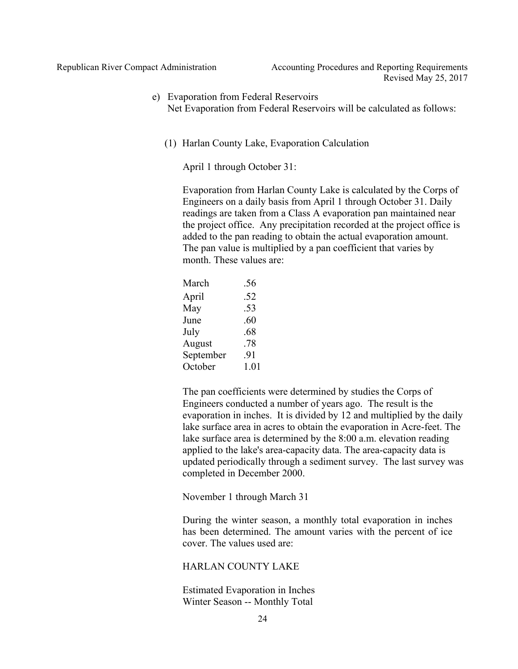#### e) Evaporation from Federal Reservoirs Net Evaporation from Federal Reservoirs will be calculated as follows:

(1) Harlan County Lake, Evaporation Calculation

April 1 through October 31:

Evaporation from Harlan County Lake is calculated by the Corps of Engineers on a daily basis from April 1 through October 31. Daily readings are taken from a Class A evaporation pan maintained near the project office. Any precipitation recorded at the project office is added to the pan reading to obtain the actual evaporation amount. The pan value is multiplied by a pan coefficient that varies by month. These values are:

| March     | .56  |
|-----------|------|
| April     | .52  |
| May       | .53  |
| June      | .60  |
| July      | .68  |
| August    | .78  |
| September | .91  |
| October   | 1.01 |

The pan coefficients were determined by studies the Corps of Engineers conducted a number of years ago. The result is the evaporation in inches. It is divided by 12 and multiplied by the daily lake surface area in acres to obtain the evaporation in Acre-feet. The lake surface area is determined by the 8:00 a.m. elevation reading applied to the lake's area-capacity data. The area-capacity data is updated periodically through a sediment survey. The last survey was completed in December 2000.

November 1 through March 31

During the winter season, a monthly total evaporation in inches has been determined. The amount varies with the percent of ice cover. The values used are:

#### HARLAN COUNTY LAKE

Estimated Evaporation in Inches Winter Season -- Monthly Total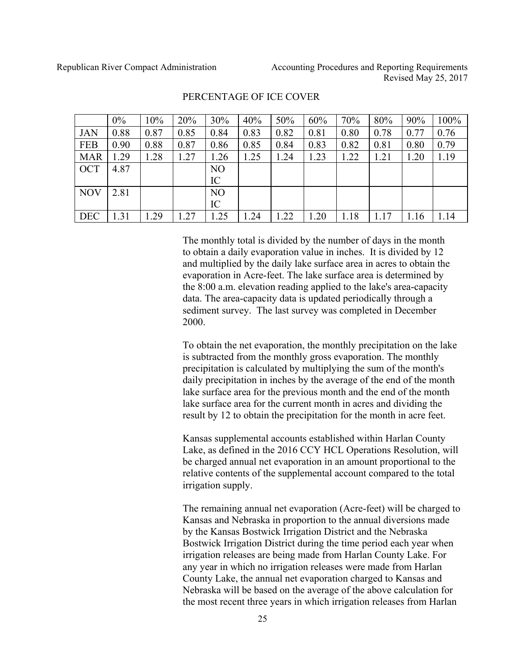|            | $0\%$ | 10%  | 20%  | 30%            | 40%  | 50%  | 60%  | 70%  | 80%  | 90%  | 100% |
|------------|-------|------|------|----------------|------|------|------|------|------|------|------|
| <b>JAN</b> | 0.88  | 0.87 | 0.85 | 0.84           | 0.83 | 0.82 | 0.81 | 0.80 | 0.78 | 0.77 | 0.76 |
| <b>FEB</b> | 0.90  | 0.88 | 0.87 | 0.86           | 0.85 | 0.84 | 0.83 | 0.82 | 0.81 | 0.80 | 0.79 |
| <b>MAR</b> | 1.29  | .28  | 1.27 | .26            | .25  | 1.24 | 1.23 | 1.22 | 1.21 | 1.20 | 1.19 |
| <b>OCT</b> | 4.87  |      |      | N <sub>O</sub> |      |      |      |      |      |      |      |
|            |       |      |      | IC             |      |      |      |      |      |      |      |
| <b>NOV</b> | 2.81  |      |      | N <sub>O</sub> |      |      |      |      |      |      |      |
|            |       |      |      | IC             |      |      |      |      |      |      |      |
| <b>DEC</b> | 1.31  | .29  | .27  | .25            | .24  | 1.22 | .20  | 1.18 | 1.17 | 1.16 | 1.14 |

#### PERCENTAGE OF ICE COVER

The monthly total is divided by the number of days in the month to obtain a daily evaporation value in inches. It is divided by 12 and multiplied by the daily lake surface area in acres to obtain the evaporation in Acre-feet. The lake surface area is determined by the 8:00 a.m. elevation reading applied to the lake's area-capacity data. The area-capacity data is updated periodically through a sediment survey. The last survey was completed in December 2000.

To obtain the net evaporation, the monthly precipitation on the lake is subtracted from the monthly gross evaporation. The monthly precipitation is calculated by multiplying the sum of the month's daily precipitation in inches by the average of the end of the month lake surface area for the previous month and the end of the month lake surface area for the current month in acres and dividing the result by 12 to obtain the precipitation for the month in acre feet.

Kansas supplemental accounts established within Harlan County Lake, as defined in the 2016 CCY HCL Operations Resolution, will be charged annual net evaporation in an amount proportional to the relative contents of the supplemental account compared to the total irrigation supply.

The remaining annual net evaporation (Acre-feet) will be charged to Kansas and Nebraska in proportion to the annual diversions made by the Kansas Bostwick Irrigation District and the Nebraska Bostwick Irrigation District during the time period each year when irrigation releases are being made from Harlan County Lake. For any year in which no irrigation releases were made from Harlan County Lake, the annual net evaporation charged to Kansas and Nebraska will be based on the average of the above calculation for the most recent three years in which irrigation releases from Harlan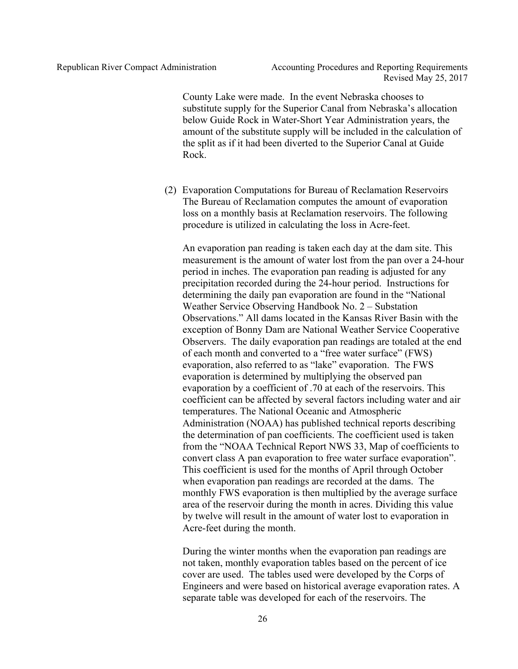County Lake were made. In the event Nebraska chooses to substitute supply for the Superior Canal from Nebraska's allocation below Guide Rock in Water-Short Year Administration years, the amount of the substitute supply will be included in the calculation of the split as if it had been diverted to the Superior Canal at Guide Rock.

(2) Evaporation Computations for Bureau of Reclamation Reservoirs The Bureau of Reclamation computes the amount of evaporation loss on a monthly basis at Reclamation reservoirs. The following procedure is utilized in calculating the loss in Acre-feet.

An evaporation pan reading is taken each day at the dam site. This measurement is the amount of water lost from the pan over a 24-hour period in inches. The evaporation pan reading is adjusted for any precipitation recorded during the 24-hour period. Instructions for determining the daily pan evaporation are found in the "National Weather Service Observing Handbook No. 2 – Substation Observations." All dams located in the Kansas River Basin with the exception of Bonny Dam are National Weather Service Cooperative Observers. The daily evaporation pan readings are totaled at the end of each month and converted to a "free water surface" (FWS) evaporation, also referred to as "lake" evaporation. The FWS evaporation is determined by multiplying the observed pan evaporation by a coefficient of .70 at each of the reservoirs. This coefficient can be affected by several factors including water and air temperatures. The National Oceanic and Atmospheric Administration (NOAA) has published technical reports describing the determination of pan coefficients. The coefficient used is taken from the "NOAA Technical Report NWS 33, Map of coefficients to convert class A pan evaporation to free water surface evaporation". This coefficient is used for the months of April through October when evaporation pan readings are recorded at the dams. The monthly FWS evaporation is then multiplied by the average surface area of the reservoir during the month in acres. Dividing this value by twelve will result in the amount of water lost to evaporation in Acre-feet during the month.

During the winter months when the evaporation pan readings are not taken, monthly evaporation tables based on the percent of ice cover are used. The tables used were developed by the Corps of Engineers and were based on historical average evaporation rates. A separate table was developed for each of the reservoirs. The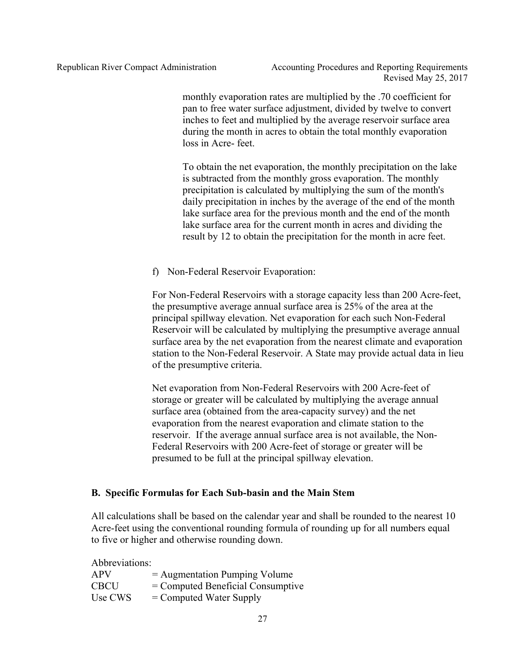monthly evaporation rates are multiplied by the .70 coefficient for pan to free water surface adjustment, divided by twelve to convert inches to feet and multiplied by the average reservoir surface area during the month in acres to obtain the total monthly evaporation loss in Acre-feet.

To obtain the net evaporation, the monthly precipitation on the lake is subtracted from the monthly gross evaporation. The monthly precipitation is calculated by multiplying the sum of the month's daily precipitation in inches by the average of the end of the month lake surface area for the previous month and the end of the month lake surface area for the current month in acres and dividing the result by 12 to obtain the precipitation for the month in acre feet.

f) Non-Federal Reservoir Evaporation:

For Non-Federal Reservoirs with a storage capacity less than 200 Acre-feet, the presumptive average annual surface area is 25% of the area at the principal spillway elevation. Net evaporation for each such Non-Federal Reservoir will be calculated by multiplying the presumptive average annual surface area by the net evaporation from the nearest climate and evaporation station to the Non-Federal Reservoir. A State may provide actual data in lieu of the presumptive criteria.

Net evaporation from Non-Federal Reservoirs with 200 Acre-feet of storage or greater will be calculated by multiplying the average annual surface area (obtained from the area-capacity survey) and the net evaporation from the nearest evaporation and climate station to the reservoir. If the average annual surface area is not available, the Non-Federal Reservoirs with 200 Acre-feet of storage or greater will be presumed to be full at the principal spillway elevation.

#### **B. Specific Formulas for Each Sub-basin and the Main Stem**

All calculations shall be based on the calendar year and shall be rounded to the nearest 10 Acre-feet using the conventional rounding formula of rounding up for all numbers equal to five or higher and otherwise rounding down.

Abbreviations:

| <b>APV</b>  | $=$ Augmentation Pumping Volume     |
|-------------|-------------------------------------|
| <b>CBCU</b> | $=$ Computed Beneficial Consumptive |
| Use CWS     | $=$ Computed Water Supply           |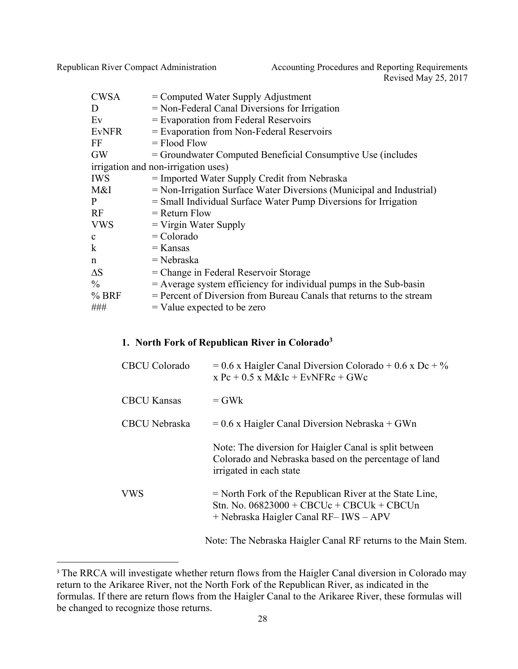Republican River Compact Administration Accounting Procedures and Reporting Requirements Revised May 25, 2017

| <b>CWSA</b>  | $=$ Computed Water Supply Adjustment                                   |
|--------------|------------------------------------------------------------------------|
| D            | $=$ Non-Federal Canal Diversions for Irrigation                        |
| $E$ v        | $=$ Evaporation from Federal Reservoirs                                |
| <b>EvNFR</b> | $=$ Evaporation from Non-Federal Reservoirs                            |
| FF           | $=$ Flood Flow                                                         |
| <b>GW</b>    | = Groundwater Computed Beneficial Consumptive Use (includes            |
|              | irrigation and non-irrigation uses)                                    |
| <b>IWS</b>   | $=$ Imported Water Supply Credit from Nebraska                         |
| M&I          | $=$ Non-Irrigation Surface Water Diversions (Municipal and Industrial) |
| P            | $=$ Small Individual Surface Water Pump Diversions for Irrigation      |
| RF           | $=$ Return Flow                                                        |
| <b>VWS</b>   | $=$ Virgin Water Supply                                                |
| $\mathbf{c}$ | $=$ Colorado                                                           |
| $\bf k$      | $=$ Kansas                                                             |
| n            | $=$ Nebraska                                                           |
| $\Delta S$   | $=$ Change in Federal Reservoir Storage                                |
| $\%$         | $=$ Average system efficiency for individual pumps in the Sub-basin    |
| $%$ BRF      | = Percent of Diversion from Bureau Canals that returns to the stream   |
| ###          | $=$ Value expected to be zero                                          |

# **1. North Fork of Republican River in Colorado3**

| <b>CBCU</b> Colorado | $= 0.6$ x Haigler Canal Diversion Colorado + 0.6 x Dc + %<br>$x$ Pc + 0.5 x M&Ic + EvNFRc + GWc                                                    |
|----------------------|----------------------------------------------------------------------------------------------------------------------------------------------------|
| <b>CBCU Kansas</b>   | $=$ GW <sub>k</sub>                                                                                                                                |
| CBCU Nebraska        | $= 0.6$ x Haigler Canal Diversion Nebraska + GWn                                                                                                   |
|                      | Note: The diversion for Haigler Canal is split between<br>Colorado and Nebraska based on the percentage of land<br>irrigated in each state         |
| <b>VWS</b>           | $=$ North Fork of the Republican River at the State Line,<br>Stn. No. $06823000 + CBC$ Uc + CBCUk + CBCUn<br>+ Nebraska Haigler Canal RF-IWS - APV |
|                      | Note: The Nebraska Haigler Canal RF returns to the Main Stem.                                                                                      |

<sup>&</sup>lt;sup>3</sup> The RRCA will investigate whether return flows from the Haigler Canal diversion in Colorado may return to the Arikaree River, not the North Fork of the Republican River, as indicated in the formulas. If there are return flows from the Haigler Canal to the Arikaree River, these formulas will be changed to recognize those returns.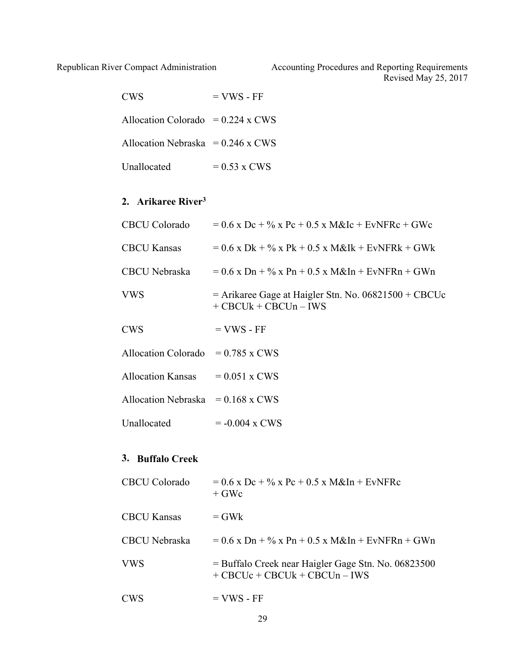| <b>CWS</b>                               | $=$ VWS - FF   |
|------------------------------------------|----------------|
| Allocation Colorado = $0.224 \times$ CWS |                |
| Allocation Nebraska = $0.246$ x CWS      |                |
| <b>Unallocated</b>                       | $= 0.53$ x CWS |

# **2. Arikaree River3**

| CBCU Colorado                            | $= 0.6$ x Dc + % x Pc + 0.5 x M&Ic + EvNFRc + GWc                                 |
|------------------------------------------|-----------------------------------------------------------------------------------|
| <b>CBCU Kansas</b>                       | $= 0.6$ x Dk + % x Pk + 0.5 x M&Ik + EvNFRk + GWk                                 |
| CBCU Nebraska                            | $= 0.6$ x Dn + % x Pn + 0.5 x M&In + EvNFRn + GWn                                 |
| VWS                                      | $=$ Arikaree Gage at Haigler Stn. No. 06821500 + CBCUc<br>$+$ CBCUk + CBCUn - IWS |
| CWS                                      | $=$ VWS - FF                                                                      |
| Allocation Colorado = $0.785 \times$ CWS |                                                                                   |
| Allocation Kansas $= 0.051$ x CWS        |                                                                                   |
| Allocation Nebraska = $0.168$ x CWS      |                                                                                   |
| Unallocated                              | $= -0.004 \times CWS$                                                             |

# **3. Buffalo Creek**

| <b>CBCU</b> Colorado | $= 0.6$ x Dc + % x Pc + 0.5 x M&In + EvNFRc<br>$+$ GWc                                            |
|----------------------|---------------------------------------------------------------------------------------------------|
| <b>CBCU Kansas</b>   | $=$ GW <sub>k</sub>                                                                               |
| CBCU Nebraska        | $= 0.6$ x Dn + % x Pn + 0.5 x M&In + EvNFRn + GWn                                                 |
| <b>VWS</b>           | $=$ Buffalo Creek near Haigler Gage Stn. No. 06823500<br>$+$ CBCU $c$ + CBCU $k$ + CBCU $n$ – IWS |
| <b>CWS</b>           | $=$ VWS - FF                                                                                      |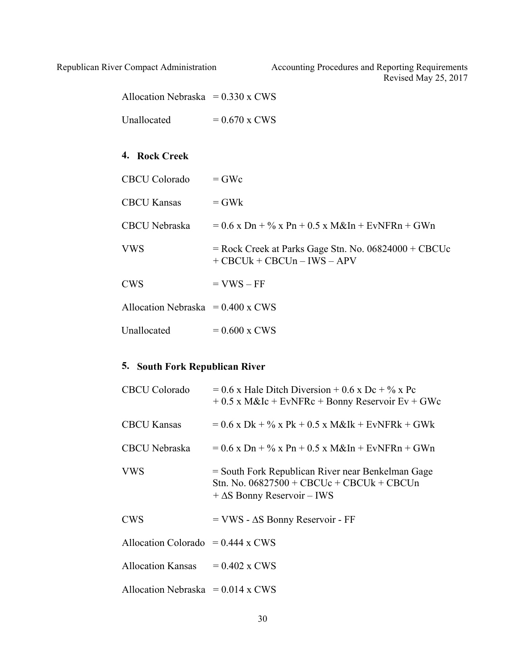| Allocation Nebraska = $0.330 \times CWS$ |                                                                                         |
|------------------------------------------|-----------------------------------------------------------------------------------------|
| Unallocated                              | $= 0.670 \times CWS$                                                                    |
|                                          |                                                                                         |
| 4. Rock Creek                            |                                                                                         |
| <b>CBCU</b> Colorado                     | $=$ GWc                                                                                 |
| <b>CBCU Kansas</b>                       | $=$ GW <sub>k</sub>                                                                     |
| CBCU Nebraska                            | $= 0.6$ x Dn + % x Pn + 0.5 x M&In + EvNFRn + GWn                                       |
| <b>VWS</b>                               | $=$ Rock Creek at Parks Gage Stn. No. 06824000 + CBCUc<br>$+$ CBCUk + CBCUn – IWS – APV |
| <b>CWS</b>                               | $=$ VWS $-$ FF                                                                          |
| Allocation Nebraska = $0.400 \times CWS$ |                                                                                         |
| Unallocated                              | $= 0.600$ x CWS                                                                         |

# **5. South Fork Republican River**

| <b>CBCU</b> Colorado                | $= 0.6$ x Hale Ditch Diversion + 0.6 x Dc + % x Pc<br>$+0.5$ x M&Ic + EvNFRc + Bonny Reservoir Ev + GWc                                |
|-------------------------------------|----------------------------------------------------------------------------------------------------------------------------------------|
| <b>CBCU Kansas</b>                  | $= 0.6$ x Dk + % x Pk + 0.5 x M&Ik + EvNFRk + GWk                                                                                      |
| <b>CBCU</b> Nebraska                | $= 0.6$ x Dn + % x Pn + 0.5 x M&In + EvNFRn + GWn                                                                                      |
| <b>VWS</b>                          | = South Fork Republican River near Benkelman Gage<br>Stn. No. $06827500 + CBC$ Uc + CBCUk + CBCUn<br>$+\Delta S$ Bonny Reservoir – IWS |
| <b>CWS</b>                          | $=$ VWS - $\Delta S$ Bonny Reservoir - FF                                                                                              |
| Allocation Colorado = $0.444$ x CWS |                                                                                                                                        |
| Allocation Kansas $= 0.402$ x CWS   |                                                                                                                                        |
| Allocation Nebraska = $0.014$ x CWS |                                                                                                                                        |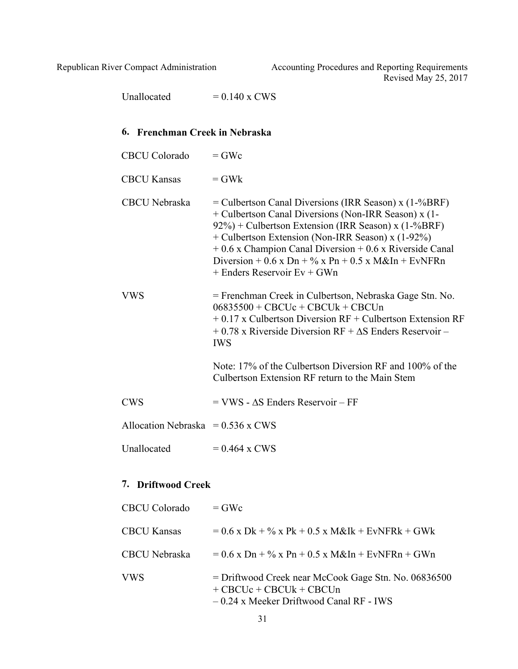Unallocated  $= 0.140 \times \text{CWS}$ 

# **6. Frenchman Creek in Nebraska**

| <b>CBCU</b> Colorado                | $=$ GWc                                                                                                                                                                                                                                                                                                                                                                                |
|-------------------------------------|----------------------------------------------------------------------------------------------------------------------------------------------------------------------------------------------------------------------------------------------------------------------------------------------------------------------------------------------------------------------------------------|
| <b>CBCU Kansas</b>                  | $=$ GW <sub>k</sub>                                                                                                                                                                                                                                                                                                                                                                    |
| <b>CBCU</b> Nebraska                | $=$ Culbertson Canal Diversions (IRR Season) x (1-%BRF)<br>+ Culbertson Canal Diversions (Non-IRR Season) x (1-<br>92%) + Culbertson Extension (IRR Season) x (1-%BRF)<br>+ Culbertson Extension (Non-IRR Season) x (1-92%)<br>$+0.6$ x Champion Canal Diversion $+0.6$ x Riverside Canal<br>Diversion + 0.6 x Dn + $\%$ x Pn + 0.5 x M&In + EvNFRn<br>$+$ Enders Reservoir Ev $+$ GWn |
| VWS                                 | = Frenchman Creek in Culbertson, Nebraska Gage Stn. No.<br>$06835500 + CBC$ Uc + CBCUk + CBCUn<br>$+0.17$ x Culbertson Diversion RF + Culbertson Extension RF<br>$+0.78$ x Riverside Diversion RF $+ \Delta S$ Enders Reservoir –<br><b>IWS</b><br>Note: 17% of the Culbertson Diversion RF and 100% of the<br>Culbertson Extension RF return to the Main Stem                         |
| <b>CWS</b>                          | $=$ VWS - $\triangle$ S Enders Reservoir – FF                                                                                                                                                                                                                                                                                                                                          |
| Allocation Nebraska = $0.536$ x CWS |                                                                                                                                                                                                                                                                                                                                                                                        |
| Unallocated                         | $= 0.464$ x CWS                                                                                                                                                                                                                                                                                                                                                                        |
| 7. Driftwood Creek                  |                                                                                                                                                                                                                                                                                                                                                                                        |

| CBCU Colorado      | $=$ GWc                                                                                                                        |
|--------------------|--------------------------------------------------------------------------------------------------------------------------------|
| <b>CBCU Kansas</b> | $= 0.6$ x Dk + % x Pk + 0.5 x M&Ik + EvNFRk + GWk                                                                              |
| CBCU Nebraska      | $= 0.6$ x Dn + % x Pn + 0.5 x M&In + EvNFRn + GWn                                                                              |
| VWS.               | = Driftwood Creek near McCook Gage Stn. No. 06836500<br>$+$ CBCUc + CBCUk + CBCUn<br>$-0.24$ x Meeker Driftwood Canal RF - IWS |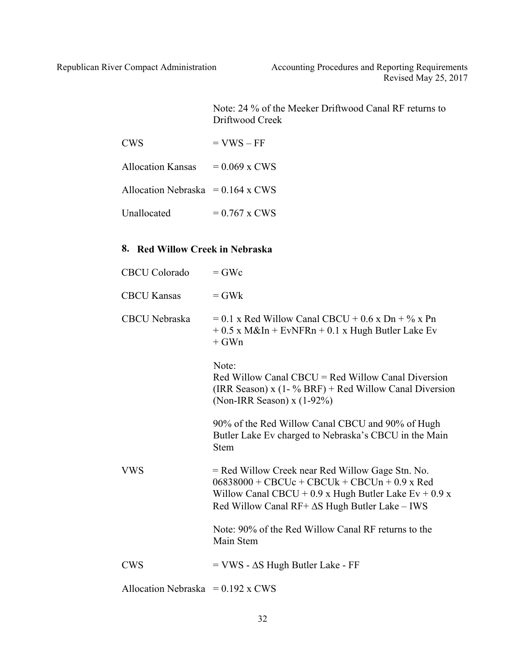Note: 24 % of the Meeker Driftwood Canal RF returns to Driftwood Creek

| <b>CWS</b>                          | $=$ VWS $-$ FF  |
|-------------------------------------|-----------------|
| <b>Allocation Kansas</b>            | $= 0.069$ x CWS |
| Allocation Nebraska = $0.164$ x CWS |                 |

| Unallocated<br>$= 0.767$ x CWS |
|--------------------------------|
|--------------------------------|

# **8. Red Willow Creek in Nebraska**

| <b>CBCU</b> Colorado                     | $=$ GWc                                                                                                                                                                                                                  |
|------------------------------------------|--------------------------------------------------------------------------------------------------------------------------------------------------------------------------------------------------------------------------|
| <b>CBCU Kansas</b>                       | $=$ GWk                                                                                                                                                                                                                  |
| <b>CBCU</b> Nebraska                     | $= 0.1$ x Red Willow Canal CBCU + 0.6 x Dn + % x Pn<br>$+0.5$ x M&In + EvNFRn + 0.1 x Hugh Butler Lake Ev<br>$+$ GWn                                                                                                     |
|                                          | Note:<br>Red Willow Canal CBCU = Red Willow Canal Diversion<br>(IRR Season) $x$ (1- % BRF) + Red Willow Canal Diversion<br>(Non-IRR Season) $x(1-92\%)$                                                                  |
|                                          | 90% of the Red Willow Canal CBCU and 90% of Hugh<br>Butler Lake Ev charged to Nebraska's CBCU in the Main<br><b>Stem</b>                                                                                                 |
| <b>VWS</b>                               | = Red Willow Creek near Red Willow Gage Stn. No.<br>$06838000 + CBCUC + CBCUK + CBCUn + 0.9$ x Red<br>Willow Canal CBCU + 0.9 x Hugh Butler Lake $Ev + 0.9 x$<br>Red Willow Canal $RF + \Delta S$ Hugh Butler Lake – IWS |
|                                          | Note: 90% of the Red Willow Canal RF returns to the<br>Main Stem                                                                                                                                                         |
| <b>CWS</b>                               | $=$ VWS - $\Delta S$ Hugh Butler Lake - FF                                                                                                                                                                               |
| Allocation Nebraska = $0.192 \times$ CWS |                                                                                                                                                                                                                          |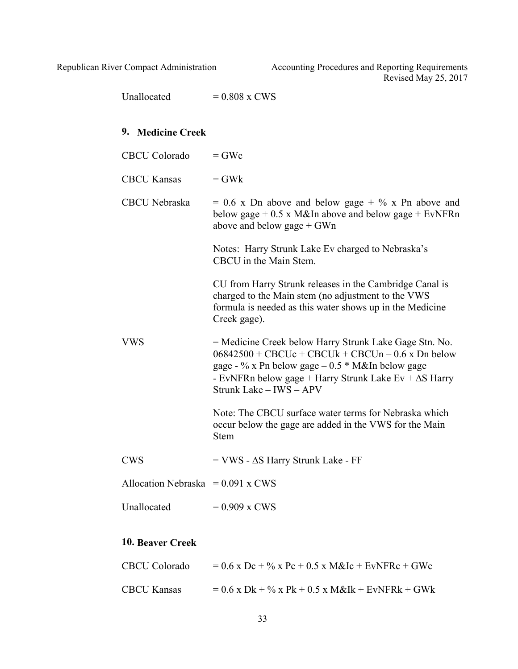> Unallocated  $= 0.808 \times \text{CWS}$ **9. Medicine Creek**  $CBCU$  Colorado  $=$  GWc  $CBCU$  Kansas  $= GWk$ CBCU Nebraska  $= 0.6$  x Dn above and below gage  $+$  % x Pn above and below gage  $+ 0.5$  x M&In above and below gage  $+$  EvNFRn above and below gage + GWn Notes: Harry Strunk Lake Ev charged to Nebraska's CBCU in the Main Stem. CU from Harry Strunk releases in the Cambridge Canal is charged to the Main stem (no adjustment to the VWS formula is needed as this water shows up in the Medicine Creek gage). VWS = Medicine Creek below Harry Strunk Lake Gage Stn. No.  $06842500 + CBC$ Uc + CBCUk + CBCUn – 0.6 x Dn below gage - % x Pn below gage – 0.5 \* M&In below gage - EvNFRn below gage + Harry Strunk Lake Ev +  $\Delta S$  Harry Strunk Lake – IWS – APV Note: The CBCU surface water terms for Nebraska which occur below the gage are added in the VWS for the Main Stem  $CWS = VWS - \Delta S$  Harry Strunk Lake - FF Allocation Nebraska =  $0.091 \times$  CWS Unallocated  $= 0.909$  x CWS

### **10. Beaver Creek**

| <b>CBCU Colorado</b> | $= 0.6$ x Dc + % x Pc + 0.5 x M&Ic + EvNFRc + GWc |
|----------------------|---------------------------------------------------|
| <b>CBCU Kansas</b>   | $= 0.6$ x Dk + % x Pk + 0.5 x M&Ik + EvNFRk + GWk |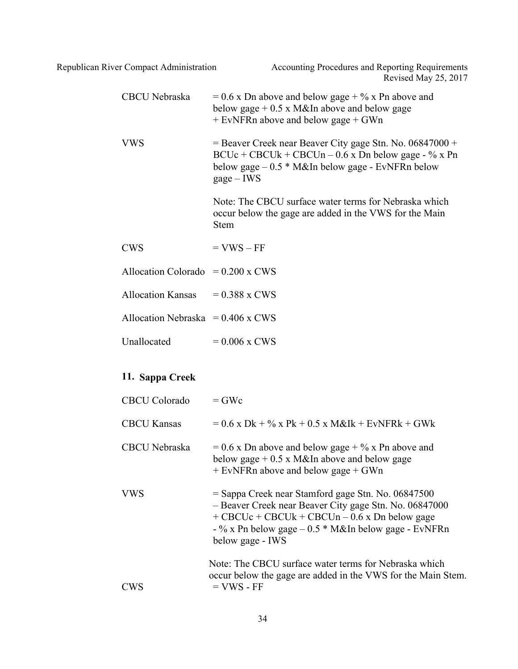| <b>CBCU</b> Nebraska                     | $= 0.6$ x Dn above and below gage + % x Pn above and<br>below gage $+0.5 \times M\&$ In above and below gage<br>$+$ EvNFRn above and below gage $+$ GWn                                                                                      |
|------------------------------------------|----------------------------------------------------------------------------------------------------------------------------------------------------------------------------------------------------------------------------------------------|
| <b>VWS</b>                               | $=$ Beaver Creek near Beaver City gage Stn. No. 06847000 +<br>$BCUc + CBCUk + CBCUn - 0.6 x Dh$ below gage - % x Pn<br>below gage $-0.5 * M\&In$ below gage - EvNFRn below<br>$gage - IWS$                                                   |
|                                          | Note: The CBCU surface water terms for Nebraska which<br>occur below the gage are added in the VWS for the Main<br><b>Stem</b>                                                                                                               |
| <b>CWS</b>                               | $=$ VWS $-$ FF                                                                                                                                                                                                                               |
| Allocation Colorado = $0.200 \times$ CWS |                                                                                                                                                                                                                                              |
| <b>Allocation Kansas</b>                 | $= 0.388$ x CWS                                                                                                                                                                                                                              |
| Allocation Nebraska = $0.406$ x CWS      |                                                                                                                                                                                                                                              |
| Unallocated                              | $= 0.006$ x CWS                                                                                                                                                                                                                              |
| 11. Sappa Creek                          |                                                                                                                                                                                                                                              |
| <b>CBCU</b> Colorado                     | $=$ GWc                                                                                                                                                                                                                                      |
| <b>CBCU Kansas</b>                       | $= 0.6$ x Dk + % x Pk + 0.5 x M&Ik + EvNFRk + GWk                                                                                                                                                                                            |
| <b>CBCU</b> Nebraska                     | $= 0.6$ x Dn above and below gage + % x Pn above and<br>below gage $+ 0.5$ x M&In above and below gage<br>+ EvNFRn above and below gage + GWn                                                                                                |
| VWS                                      | = Sappa Creek near Stamford gage Stn. No. 06847500<br>- Beaver Creek near Beaver City gage Stn. No. 06847000<br>$+$ CBCUc + CBCUk + CBCUn – 0.6 x Dn below gage<br>- % x Pn below gage $-0.5$ * M&In below gage - EvNFRn<br>below gage - IWS |
| <b>CWS</b>                               | Note: The CBCU surface water terms for Nebraska which<br>occur below the gage are added in the VWS for the Main Stem.<br>$=$ VWS - FF                                                                                                        |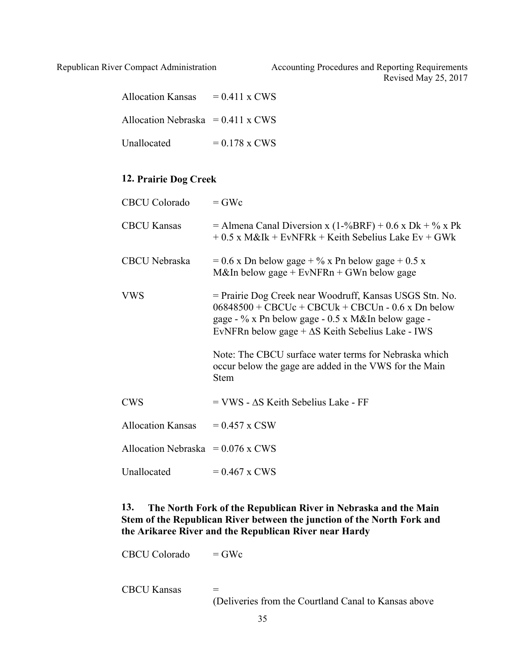| <b>Allocation Kansas</b>                 | $= 0.411$ x CWS |
|------------------------------------------|-----------------|
| Allocation Nebraska = $0.411 \times$ CWS |                 |
| Unallocated                              | $= 0.178$ x CWS |

# **12. Prairie Dog Creek**

| <b>CBCU Colorado</b>                | $=$ GWc                                                                                                                                                                                                                          |
|-------------------------------------|----------------------------------------------------------------------------------------------------------------------------------------------------------------------------------------------------------------------------------|
| <b>CBCU Kansas</b>                  | = Almena Canal Diversion x (1-%BRF) + 0.6 x Dk + % x Pk<br>$+0.5$ x M&Ik + EvNFRk + Keith Sebelius Lake Ev + GWk                                                                                                                 |
| CBCU Nebraska                       | $= 0.6$ x Dn below gage + % x Pn below gage + 0.5 x<br>M&In below gage + $EvNFRn + GWn$ below gage                                                                                                                               |
| <b>VWS</b>                          | = Prairie Dog Creek near Woodruff, Kansas USGS Stn. No.<br>$06848500 + CBC$ Uc + CBCUk + CBCUn - 0.6 x Dn below<br>gage - % x Pn below gage - 0.5 x M&In below gage -<br>EvNFRn below gage $+\Delta S$ Keith Sebelius Lake - IWS |
|                                     | Note: The CBCU surface water terms for Nebraska which<br>occur below the gage are added in the VWS for the Main<br><b>Stem</b>                                                                                                   |
| <b>CWS</b>                          | $=$ VWS - $\Delta$ S Keith Sebelius Lake - FF                                                                                                                                                                                    |
| <b>Allocation Kansas</b>            | $= 0.457$ x CSW                                                                                                                                                                                                                  |
| Allocation Nebraska = $0.076$ x CWS |                                                                                                                                                                                                                                  |
| Unallocated                         | $= 0.467$ x CWS                                                                                                                                                                                                                  |

# **13. The North Fork of the Republican River in Nebraska and the Main Stem of the Republican River between the junction of the North Fork and the Arikaree River and the Republican River near Hardy**

 $CBCU$  Colorado  $=$  GWc

CBCU Kansas =

(Deliveries from the Courtland Canal to Kansas above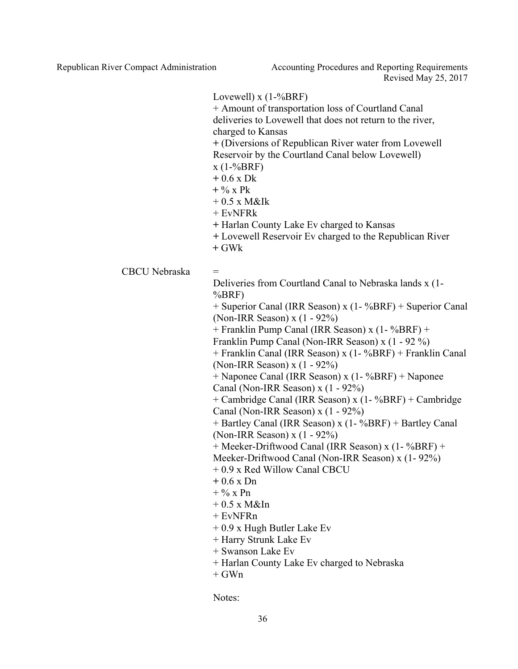> Lovewell)  $x(1-\sqrt{6}BRF)$ + Amount of transportation loss of Courtland Canal deliveries to Lovewell that does not return to the river, charged to Kansas **+** (Diversions of Republican River water from Lovewell Reservoir by the Courtland Canal below Lovewell)  $x(1-%BRF)$ **+** 0.6 x Dk **+** % x Pk  $+ 0.5$  x M&Ik + EvNFRk **+** Harlan County Lake Ev charged to Kansas **+** Lovewell Reservoir Ev charged to the Republican River **+** GWk  $CBCU$  Nebraska  $=$ Deliveries from Courtland Canal to Nebraska lands x (1- %BRF) + Superior Canal (IRR Season) x (1- %BRF) + Superior Canal (Non-IRR Season) x (1 - 92%) + Franklin Pump Canal (IRR Season) x (1- %BRF) + Franklin Pump Canal (Non-IRR Season) x (1 - 92 %) + Franklin Canal (IRR Season) x (1- %BRF) + Franklin Canal (Non-IRR Season) x (1 - 92%) + Naponee Canal (IRR Season) x (1- %BRF) + Naponee Canal (Non-IRR Season) x (1 - 92%) + Cambridge Canal (IRR Season) x (1- %BRF) + Cambridge Canal (Non-IRR Season) x (1 - 92%) + Bartley Canal (IRR Season) x (1- %BRF) + Bartley Canal (Non-IRR Season) x (1 - 92%) + Meeker-Driftwood Canal (IRR Season) x (1- %BRF) + Meeker-Driftwood Canal (Non-IRR Season) x (1- 92%) + 0.9 x Red Willow Canal CBCU **+** 0.6 x Dn  $+$  % x Pn  $+ 0.5$  x M&In + EvNFRn + 0.9 x Hugh Butler Lake Ev + Harry Strunk Lake Ev + Swanson Lake Ev + Harlan County Lake Ev charged to Nebraska  $+$  GWn

> > Notes: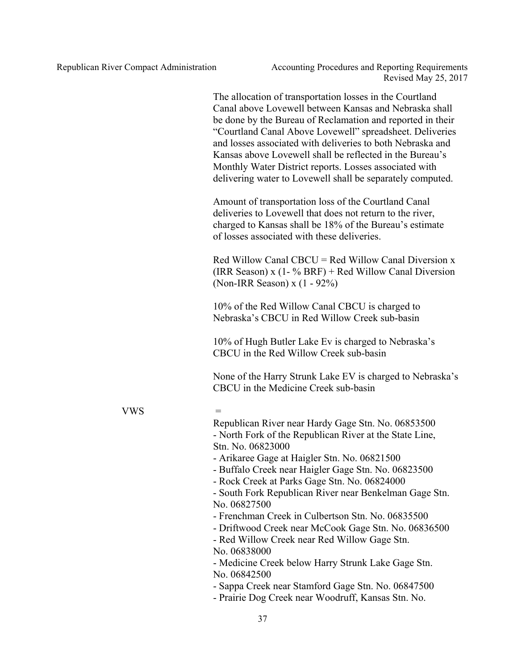The allocation of transportation losses in the Courtland Canal above Lovewell between Kansas and Nebraska shall be done by the Bureau of Reclamation and reported in their "Courtland Canal Above Lovewell" spreadsheet. Deliveries and losses associated with deliveries to both Nebraska and Kansas above Lovewell shall be reflected in the Bureau's Monthly Water District reports. Losses associated with delivering water to Lovewell shall be separately computed.

Amount of transportation loss of the Courtland Canal deliveries to Lovewell that does not return to the river, charged to Kansas shall be 18% of the Bureau's estimate of losses associated with these deliveries.

Red Willow Canal CBCU = Red Willow Canal Diversion x (IRR Season) x  $(1 - % BRF)$  + Red Willow Canal Diversion (Non-IRR Season) x (1 - 92%)

10% of the Red Willow Canal CBCU is charged to Nebraska's CBCU in Red Willow Creek sub-basin

10% of Hugh Butler Lake Ev is charged to Nebraska's CBCU in the Red Willow Creek sub-basin

None of the Harry Strunk Lake EV is charged to Nebraska's CBCU in the Medicine Creek sub-basin

#### **VWS**

Republican River near Hardy Gage Stn. No. 06853500 - North Fork of the Republican River at the State Line, Stn. No. 06823000

- Arikaree Gage at Haigler Stn. No. 06821500

- Buffalo Creek near Haigler Gage Stn. No. 06823500

- Rock Creek at Parks Gage Stn. No. 06824000

- South Fork Republican River near Benkelman Gage Stn. No. 06827500

- Frenchman Creek in Culbertson Stn. No. 06835500

- Driftwood Creek near McCook Gage Stn. No. 06836500

- Red Willow Creek near Red Willow Gage Stn. No. 06838000

- Medicine Creek below Harry Strunk Lake Gage Stn. No. 06842500

- Sappa Creek near Stamford Gage Stn. No. 06847500

- Prairie Dog Creek near Woodruff, Kansas Stn. No.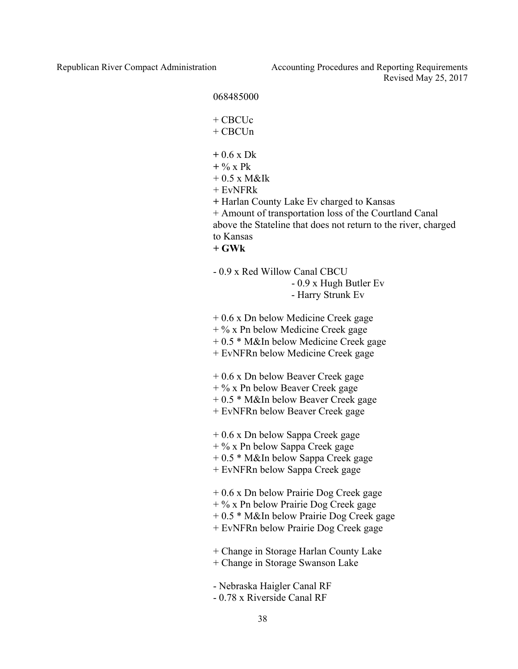Republican River Compact Administration Accounting Procedures and Reporting Requirements Revised May 25, 2017

#### 068485000

+ CBCUc

 $+$  CBCU<sub>n</sub>

- **+** 0.6 x Dk
- **+** % x Pk
- $+ 0.5$  x M&Ik
- $+$  EvNFR $k$

**+** Harlan County Lake Ev charged to Kansas

+ Amount of transportation loss of the Courtland Canal above the Stateline that does not return to the river, charged to Kansas **+ GWk** 

- 0.9 x Red Willow Canal CBCU

- 0.9 x Hugh Butler Ev

- Harry Strunk Ev

+ 0.6 x Dn below Medicine Creek gage

 $+$  % x Pn below Medicine Creek gage

- + 0.5 \* M&In below Medicine Creek gage
- + EvNFRn below Medicine Creek gage
- + 0.6 x Dn below Beaver Creek gage
- + % x Pn below Beaver Creek gage
- + 0.5 \* M&In below Beaver Creek gage
- + EvNFRn below Beaver Creek gage
- + 0.6 x Dn below Sappa Creek gage

 $+$  % x Pn below Sappa Creek gage

- + 0.5 \* M&In below Sappa Creek gage
- + EvNFRn below Sappa Creek gage

+ 0.6 x Dn below Prairie Dog Creek gage

- + % x Pn below Prairie Dog Creek gage
- + 0.5 \* M&In below Prairie Dog Creek gage
- + EvNFRn below Prairie Dog Creek gage
- + Change in Storage Harlan County Lake
- + Change in Storage Swanson Lake
- Nebraska Haigler Canal RF
- 0.78 x Riverside Canal RF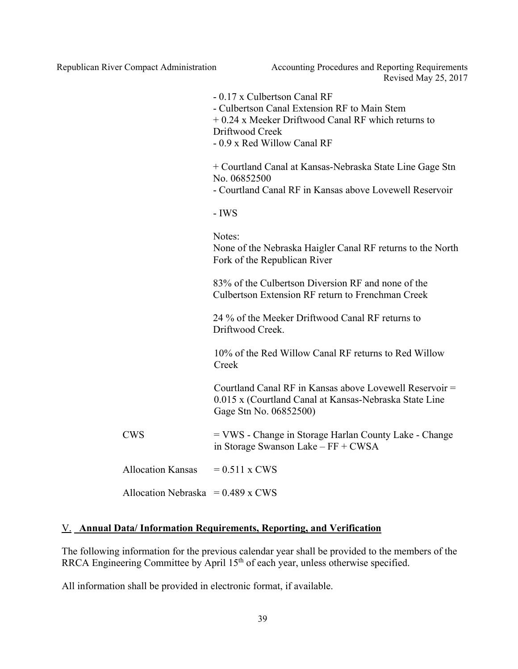Republican River Compact Administration Accounting Procedures and Reporting Requirements Revised May 25, 2017

|                                     | - 0.17 x Culbertson Canal RF<br>- Culbertson Canal Extension RF to Main Stem<br>$+0.24$ x Meeker Driftwood Canal RF which returns to<br>Driftwood Creek<br>- 0.9 x Red Willow Canal RF |
|-------------------------------------|----------------------------------------------------------------------------------------------------------------------------------------------------------------------------------------|
|                                     | + Courtland Canal at Kansas-Nebraska State Line Gage Stn<br>No. 06852500<br>- Courtland Canal RF in Kansas above Lovewell Reservoir                                                    |
|                                     | - IWS                                                                                                                                                                                  |
|                                     | Notes:<br>None of the Nebraska Haigler Canal RF returns to the North<br>Fork of the Republican River                                                                                   |
|                                     | 83% of the Culbertson Diversion RF and none of the<br>Culbertson Extension RF return to Frenchman Creek                                                                                |
|                                     | 24 % of the Meeker Driftwood Canal RF returns to<br>Driftwood Creek.                                                                                                                   |
|                                     | 10% of the Red Willow Canal RF returns to Red Willow<br>Creek                                                                                                                          |
|                                     | Courtland Canal RF in Kansas above Lovewell Reservoir =<br>0.015 x (Courtland Canal at Kansas-Nebraska State Line<br>Gage Stn No. 06852500)                                            |
| <b>CWS</b>                          | = VWS - Change in Storage Harlan County Lake - Change<br>in Storage Swanson Lake – FF + CWSA                                                                                           |
| <b>Allocation Kansas</b>            | $= 0.511$ x CWS                                                                                                                                                                        |
| Allocation Nebraska = $0.489$ x CWS |                                                                                                                                                                                        |

# V. **Annual Data/ Information Requirements, Reporting, and Verification**

The following information for the previous calendar year shall be provided to the members of the RRCA Engineering Committee by April 15<sup>th</sup> of each year, unless otherwise specified.

All information shall be provided in electronic format, if available.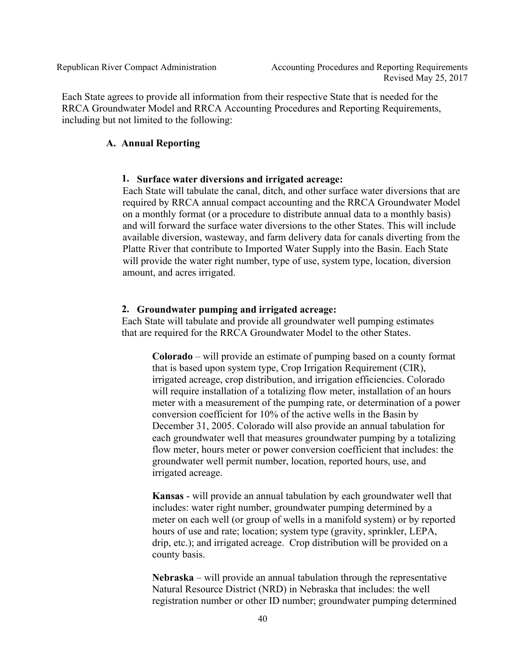Each State agrees to provide all information from their respective State that is needed for the RRCA Groundwater Model and RRCA Accounting Procedures and Reporting Requirements, including but not limited to the following:

### **A. Annual Reporting**

#### **1. Surface water diversions and irrigated acreage:**

Each State will tabulate the canal, ditch, and other surface water diversions that are required by RRCA annual compact accounting and the RRCA Groundwater Model on a monthly format (or a procedure to distribute annual data to a monthly basis) and will forward the surface water diversions to the other States. This will include available diversion, wasteway, and farm delivery data for canals diverting from the Platte River that contribute to Imported Water Supply into the Basin. Each State will provide the water right number, type of use, system type, location, diversion amount, and acres irrigated.

#### **2. Groundwater pumping and irrigated acreage:**

Each State will tabulate and provide all groundwater well pumping estimates that are required for the RRCA Groundwater Model to the other States.

**Colorado** – will provide an estimate of pumping based on a county format that is based upon system type, Crop Irrigation Requirement (CIR), irrigated acreage, crop distribution, and irrigation efficiencies. Colorado will require installation of a totalizing flow meter, installation of an hours meter with a measurement of the pumping rate, or determination of a power conversion coefficient for 10% of the active wells in the Basin by December 31, 2005. Colorado will also provide an annual tabulation for each groundwater well that measures groundwater pumping by a totalizing flow meter, hours meter or power conversion coefficient that includes: the groundwater well permit number, location, reported hours, use, and irrigated acreage.

**Kansas** - will provide an annual tabulation by each groundwater well that includes: water right number, groundwater pumping determined by a meter on each well (or group of wells in a manifold system) or by reported hours of use and rate; location; system type (gravity, sprinkler, LEPA, drip, etc.); and irrigated acreage. Crop distribution will be provided on a county basis.

**Nebraska** – will provide an annual tabulation through the representative Natural Resource District (NRD) in Nebraska that includes: the well registration number or other ID number; groundwater pumping determined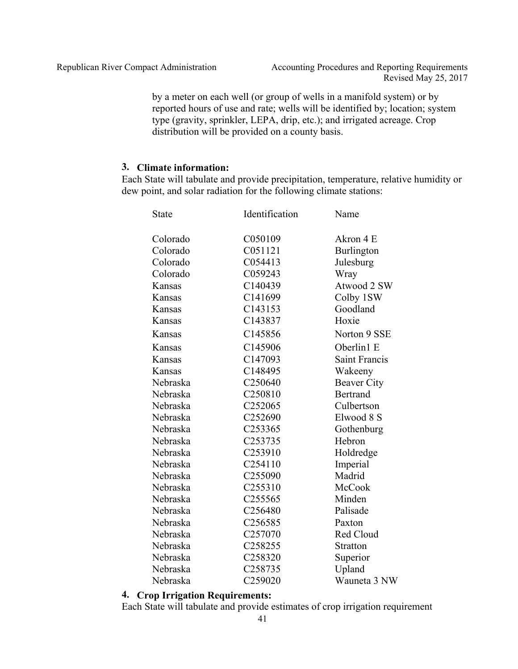by a meter on each well (or group of wells in a manifold system) or by reported hours of use and rate; wells will be identified by; location; system type (gravity, sprinkler, LEPA, drip, etc.); and irrigated acreage. Crop distribution will be provided on a county basis.

#### **3. Climate information:**

Each State will tabulate and provide precipitation, temperature, relative humidity or dew point, and solar radiation for the following climate stations:

| <b>State</b> | Identification      | Name                 |
|--------------|---------------------|----------------------|
| Colorado     | C050109             | Akron 4 E            |
| Colorado     | C051121             | Burlington           |
| Colorado     | C054413             | Julesburg            |
| Colorado     | C059243             | Wray                 |
| Kansas       | C140439             | Atwood 2 SW          |
| Kansas       | C141699             | Colby 1SW            |
| Kansas       | C143153             | Goodland             |
| Kansas       | C143837             | Hoxie                |
| Kansas       | C145856             | Norton 9 SSE         |
| Kansas       | C145906             | Oberlin1 E           |
| Kansas       | C147093             | <b>Saint Francis</b> |
| Kansas       | C148495             | Wakeeny              |
| Nebraska     | C250640             | <b>Beaver City</b>   |
| Nebraska     | C250810             | <b>Bertrand</b>      |
| Nebraska     | C252065             | Culbertson           |
| Nebraska     | C252690             | Elwood 8 S           |
| Nebraska     | C253365             | Gothenburg           |
| Nebraska     | C253735             | Hebron               |
| Nebraska     | C253910             | Holdredge            |
| Nebraska     | C254110             | Imperial             |
| Nebraska     | C255090             | Madrid               |
| Nebraska     | C255310             | McCook               |
| Nebraska     | C <sub>255565</sub> | Minden               |
| Nebraska     | C256480             | Palisade             |
| Nebraska     | C256585             | Paxton               |
| Nebraska     | C257070             | Red Cloud            |
| Nebraska     | C258255             | <b>Stratton</b>      |
| Nebraska     | C258320             | Superior             |
| Nebraska     | C258735             | Upland               |
| Nebraska     | C259020             | Wauneta 3 NW         |

## **4. Crop Irrigation Requirements:**

Each State will tabulate and provide estimates of crop irrigation requirement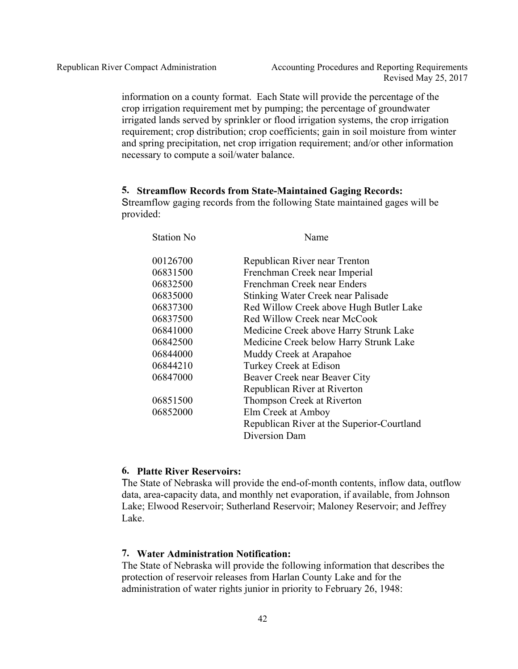information on a county format. Each State will provide the percentage of the crop irrigation requirement met by pumping; the percentage of groundwater irrigated lands served by sprinkler or flood irrigation systems, the crop irrigation requirement; crop distribution; crop coefficients; gain in soil moisture from winter and spring precipitation, net crop irrigation requirement; and/or other information necessary to compute a soil/water balance.

### **5. Streamflow Records from State-Maintained Gaging Records:**

Streamflow gaging records from the following State maintained gages will be provided:

| <b>Station No</b> | Name                                       |
|-------------------|--------------------------------------------|
| 00126700          | Republican River near Trenton              |
| 06831500          | Frenchman Creek near Imperial              |
| 06832500          | Frenchman Creek near Enders                |
| 06835000          | Stinking Water Creek near Palisade         |
| 06837300          | Red Willow Creek above Hugh Butler Lake    |
| 06837500          | Red Willow Creek near McCook               |
| 06841000          | Medicine Creek above Harry Strunk Lake     |
| 06842500          | Medicine Creek below Harry Strunk Lake     |
| 06844000          | Muddy Creek at Arapahoe                    |
| 06844210          | Turkey Creek at Edison                     |
| 06847000          | Beaver Creek near Beaver City              |
|                   | Republican River at Riverton               |
| 06851500          | Thompson Creek at Riverton                 |
| 06852000          | Elm Creek at Amboy                         |
|                   | Republican River at the Superior-Courtland |
|                   | Diversion Dam                              |

### **6. Platte River Reservoirs:**

The State of Nebraska will provide the end-of-month contents, inflow data, outflow data, area-capacity data, and monthly net evaporation, if available, from Johnson Lake; Elwood Reservoir; Sutherland Reservoir; Maloney Reservoir; and Jeffrey Lake.

## **7. Water Administration Notification:**

The State of Nebraska will provide the following information that describes the protection of reservoir releases from Harlan County Lake and for the administration of water rights junior in priority to February 26, 1948: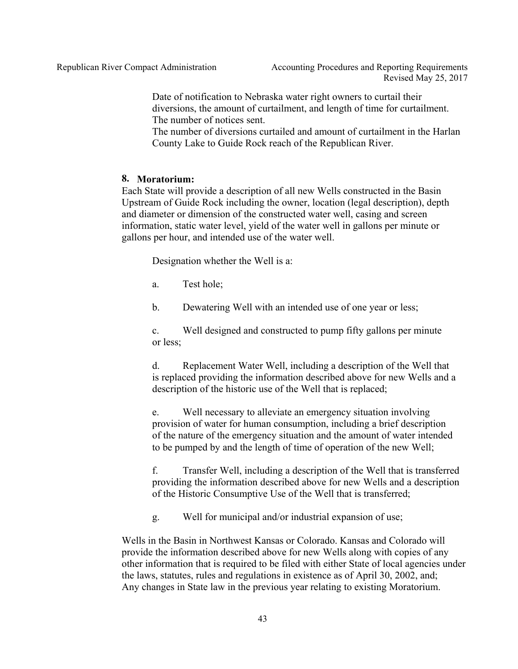Date of notification to Nebraska water right owners to curtail their diversions, the amount of curtailment, and length of time for curtailment. The number of notices sent.

The number of diversions curtailed and amount of curtailment in the Harlan County Lake to Guide Rock reach of the Republican River.

#### **8. Moratorium:**

Each State will provide a description of all new Wells constructed in the Basin Upstream of Guide Rock including the owner, location (legal description), depth and diameter or dimension of the constructed water well, casing and screen information, static water level, yield of the water well in gallons per minute or gallons per hour, and intended use of the water well.

Designation whether the Well is a:

a. Test hole;

b. Dewatering Well with an intended use of one year or less;

c. Well designed and constructed to pump fifty gallons per minute or less;

d. Replacement Water Well, including a description of the Well that is replaced providing the information described above for new Wells and a description of the historic use of the Well that is replaced;

e. Well necessary to alleviate an emergency situation involving provision of water for human consumption, including a brief description of the nature of the emergency situation and the amount of water intended to be pumped by and the length of time of operation of the new Well;

f. Transfer Well, including a description of the Well that is transferred providing the information described above for new Wells and a description of the Historic Consumptive Use of the Well that is transferred;

g. Well for municipal and/or industrial expansion of use;

Wells in the Basin in Northwest Kansas or Colorado. Kansas and Colorado will provide the information described above for new Wells along with copies of any other information that is required to be filed with either State of local agencies under the laws, statutes, rules and regulations in existence as of April 30, 2002, and; Any changes in State law in the previous year relating to existing Moratorium.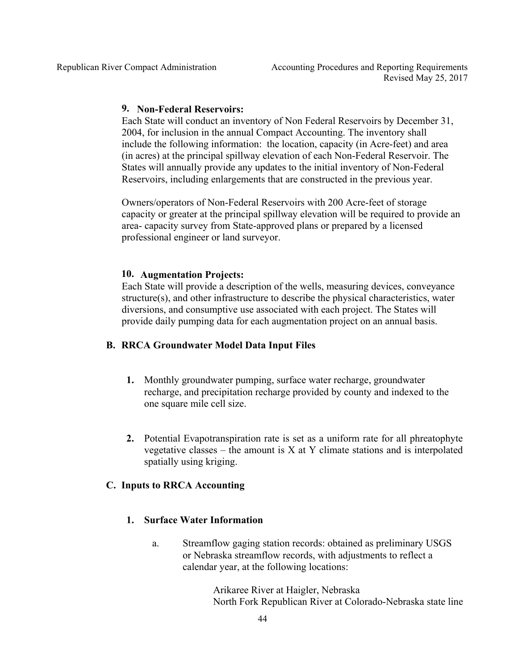## **9. Non-Federal Reservoirs:**

Each State will conduct an inventory of Non Federal Reservoirs by December 31, 2004, for inclusion in the annual Compact Accounting. The inventory shall include the following information: the location, capacity (in Acre-feet) and area (in acres) at the principal spillway elevation of each Non-Federal Reservoir. The States will annually provide any updates to the initial inventory of Non-Federal Reservoirs, including enlargements that are constructed in the previous year.

Owners/operators of Non-Federal Reservoirs with 200 Acre-feet of storage capacity or greater at the principal spillway elevation will be required to provide an area- capacity survey from State-approved plans or prepared by a licensed professional engineer or land surveyor.

#### **10. Augmentation Projects:**

Each State will provide a description of the wells, measuring devices, conveyance structure(s), and other infrastructure to describe the physical characteristics, water diversions, and consumptive use associated with each project. The States will provide daily pumping data for each augmentation project on an annual basis.

#### **B. RRCA Groundwater Model Data Input Files**

- **1.** Monthly groundwater pumping, surface water recharge, groundwater recharge, and precipitation recharge provided by county and indexed to the one square mile cell size.
- **2.** Potential Evapotranspiration rate is set as a uniform rate for all phreatophyte vegetative classes – the amount is  $X$  at  $Y$  climate stations and is interpolated spatially using kriging.

### **C. Inputs to RRCA Accounting**

#### **1. Surface Water Information**

a. Streamflow gaging station records: obtained as preliminary USGS or Nebraska streamflow records, with adjustments to reflect a calendar year, at the following locations:

> Arikaree River at Haigler, Nebraska North Fork Republican River at Colorado-Nebraska state line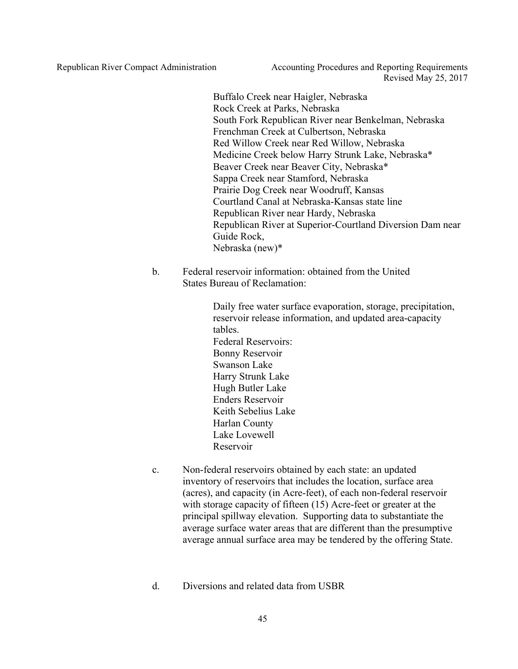Buffalo Creek near Haigler, Nebraska Rock Creek at Parks, Nebraska South Fork Republican River near Benkelman, Nebraska Frenchman Creek at Culbertson, Nebraska Red Willow Creek near Red Willow, Nebraska Medicine Creek below Harry Strunk Lake, Nebraska\* Beaver Creek near Beaver City, Nebraska\* Sappa Creek near Stamford, Nebraska Prairie Dog Creek near Woodruff, Kansas Courtland Canal at Nebraska-Kansas state line Republican River near Hardy, Nebraska Republican River at Superior-Courtland Diversion Dam near Guide Rock, Nebraska (new)\*

b. Federal reservoir information: obtained from the United States Bureau of Reclamation:

> Daily free water surface evaporation, storage, precipitation, reservoir release information, and updated area-capacity tables. Federal Reservoirs: Bonny Reservoir Swanson Lake Harry Strunk Lake Hugh Butler Lake Enders Reservoir Keith Sebelius Lake Harlan County Lake Lovewell Reservoir

- c. Non-federal reservoirs obtained by each state: an updated inventory of reservoirs that includes the location, surface area (acres), and capacity (in Acre-feet), of each non-federal reservoir with storage capacity of fifteen (15) Acre-feet or greater at the principal spillway elevation. Supporting data to substantiate the average surface water areas that are different than the presumptive average annual surface area may be tendered by the offering State.
- d. Diversions and related data from USBR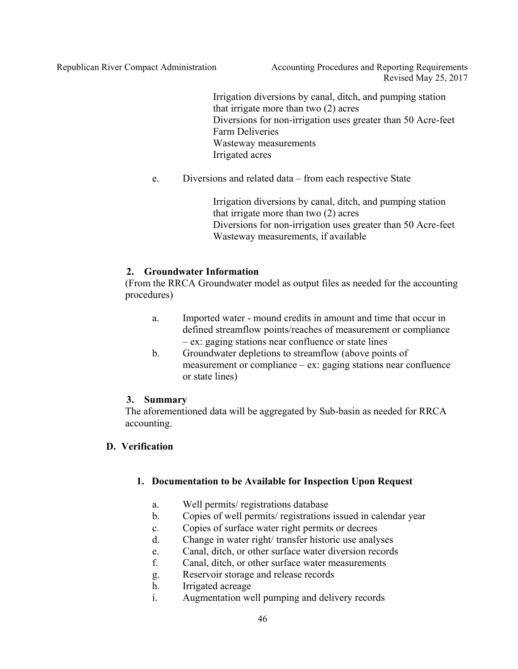Republican River Compact Administration Accounting Procedures and Reporting Requirements Revised May 25, 2017

> Irrigation diversions by canal, ditch, and pumping station that irrigate more than two (2) acres Diversions for non-irrigation uses greater than 50 Acre-feet Farm Deliveries Wasteway measurements Irrigated acres

e. Diversions and related data – from each respective State

Irrigation diversions by canal, ditch, and pumping station that irrigate more than two (2) acres Diversions for non-irrigation uses greater than 50 Acre-feet Wasteway measurements, if available

## **2. Groundwater Information**

(From the RRCA Groundwater model as output files as needed for the accounting procedures)

- a. Imported water mound credits in amount and time that occur in defined streamflow points/reaches of measurement or compliance – ex: gaging stations near confluence or state lines
- b. Groundwater depletions to streamflow (above points of measurement or compliance – ex: gaging stations near confluence or state lines)

## **3. Summary**

The aforementioned data will be aggregated by Sub-basin as needed for RRCA accounting.

# **D. Verification**

# **1. Documentation to be Available for Inspection Upon Request**

- a. Well permits/ registrations database
- b. Copies of well permits/ registrations issued in calendar year
- c. Copies of surface water right permits or decrees
- d. Change in water right/ transfer historic use analyses
- e. Canal, ditch, or other surface water diversion records
- f. Canal, ditch, or other surface water measurements
- g. Reservoir storage and release records
- h. Irrigated acreage
- i. Augmentation well pumping and delivery records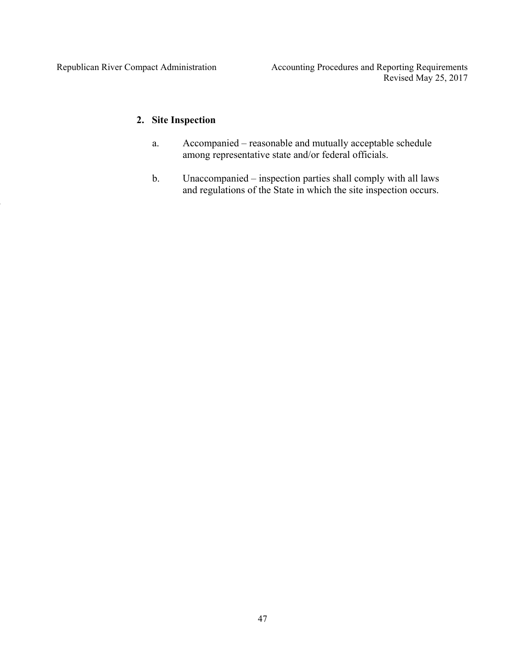# **2. Site Inspection**

- a. Accompanied reasonable and mutually acceptable schedule among representative state and/or federal officials.
- b. Unaccompanied inspection parties shall comply with all laws and regulations of the State in which the site inspection occurs.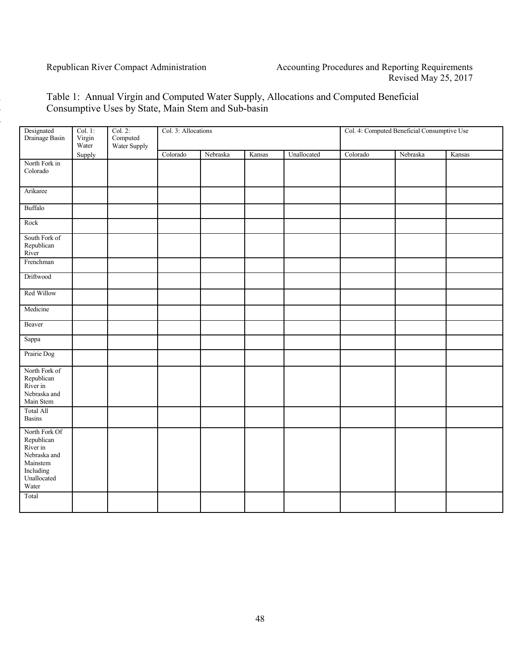# 2 Table 1: Annual Virgin and Computed Water Supply, Allocations and Computed Beneficial 3 Consumptive Uses by State, Main Stem and Sub-basin

| Designated<br>Drainage Basin                                                                             | Col. 1:<br>Virgin<br>Water | Col. 2:<br>Computed<br>Water Supply | Col. 3: Allocations |          |        |             | Col. 4: Computed Beneficial Consumptive Use |          |        |
|----------------------------------------------------------------------------------------------------------|----------------------------|-------------------------------------|---------------------|----------|--------|-------------|---------------------------------------------|----------|--------|
|                                                                                                          | Supply                     |                                     | Colorado            | Nebraska | Kansas | Unallocated | Colorado                                    | Nebraska | Kansas |
| North Fork in<br>Colorado                                                                                |                            |                                     |                     |          |        |             |                                             |          |        |
| Arikaree                                                                                                 |                            |                                     |                     |          |        |             |                                             |          |        |
| Buffalo                                                                                                  |                            |                                     |                     |          |        |             |                                             |          |        |
| Rock                                                                                                     |                            |                                     |                     |          |        |             |                                             |          |        |
| South Fork of<br>Republican<br>River                                                                     |                            |                                     |                     |          |        |             |                                             |          |        |
| Frenchman                                                                                                |                            |                                     |                     |          |        |             |                                             |          |        |
| Driftwood                                                                                                |                            |                                     |                     |          |        |             |                                             |          |        |
| Red Willow                                                                                               |                            |                                     |                     |          |        |             |                                             |          |        |
| Medicine                                                                                                 |                            |                                     |                     |          |        |             |                                             |          |        |
| Beaver                                                                                                   |                            |                                     |                     |          |        |             |                                             |          |        |
| Sappa                                                                                                    |                            |                                     |                     |          |        |             |                                             |          |        |
| Prairie Dog                                                                                              |                            |                                     |                     |          |        |             |                                             |          |        |
| North Fork of<br>Republican<br>River in<br>Nebraska and<br>Main Stem                                     |                            |                                     |                     |          |        |             |                                             |          |        |
| <b>Total All</b><br><b>Basins</b>                                                                        |                            |                                     |                     |          |        |             |                                             |          |        |
| North Fork Of<br>Republican<br>River in<br>Nebraska and<br>Mainstem<br>Including<br>Unallocated<br>Water |                            |                                     |                     |          |        |             |                                             |          |        |
| Total                                                                                                    |                            |                                     |                     |          |        |             |                                             |          |        |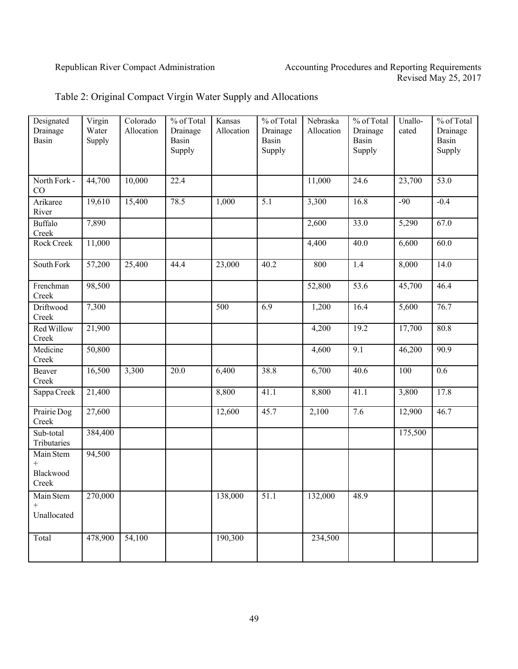| Designated<br>Drainage<br>Basin | Virgin<br>Water<br>Supply | Colorado<br>Allocation | % of Total<br>Drainage<br>Basin | Kansas<br>Allocation | % of Total<br>Drainage<br>Basin | Nebraska<br>Allocation | % of Total<br>Drainage<br>Basin | Unallo-<br>cated | % of Total<br>Drainage<br>Basin |
|---------------------------------|---------------------------|------------------------|---------------------------------|----------------------|---------------------------------|------------------------|---------------------------------|------------------|---------------------------------|
|                                 |                           |                        | Supply                          |                      | Supply                          |                        | Supply                          |                  | Supply                          |
| North Fork -<br>CO              | 44,700                    | 10,000                 | 22.4                            |                      |                                 | 11,000                 | 24.6                            | 23,700           | 53.0                            |
| Arikaree<br>River               | 19,610                    | 15,400                 | 78.5                            | 1,000                | 5.1                             | 3,300                  | 16.8                            | $-90$            | $-0.4$                          |
| <b>Buffalo</b><br>Creek         | 7,890                     |                        |                                 |                      |                                 | 2,600                  | 33.0                            | 5,290            | 67.0                            |
| Rock Creek                      | 11,000                    |                        |                                 |                      |                                 | 4,400                  | 40.0                            | 6,600            | 60.0                            |
| South Fork                      | 57,200                    | 25,400                 | 44.4                            | 23,000               | 40.2                            | 800                    | 1.4                             | 8,000            | 14.0                            |
| Frenchman<br>Creek              | 98,500                    |                        |                                 |                      |                                 | 52,800                 | 53.6                            | 45,700           | 46.4                            |
| Driftwood<br>Creek              | 7,300                     |                        |                                 | 500                  | 6.9                             | 1,200                  | 16.4                            | 5,600            | 76.7                            |
| Red Willow<br>Creek             | 21,900                    |                        |                                 |                      |                                 | 4,200                  | 19.2                            | 17,700           | 80.8                            |
| Medicine<br>Creek               | 50,800                    |                        |                                 |                      |                                 | 4,600                  | 9.1                             | 46,200           | 90.9                            |
| Beaver<br>Creek                 | 16,500                    | 3,300                  | 20.0                            | 6,400                | 38.8                            | 6,700                  | 40.6                            | 100              | 0.6                             |
| Sappa Creek                     | 21,400                    |                        |                                 | 8,800                | 41.1                            | 8,800                  | 41.1                            | 3,800            | 17.8                            |
| Prairie Dog<br>Creek            | 27,600                    |                        |                                 | 12,600               | 45.7                            | 2,100                  | 7.6                             | 12,900           | 46.7                            |
| Sub-total<br>Tributaries        | 384,400                   |                        |                                 |                      |                                 |                        |                                 | 175,500          |                                 |
| Main Stem<br>$^{+}$             | 94,500                    |                        |                                 |                      |                                 |                        |                                 |                  |                                 |
| Blackwood<br>Creek              |                           |                        |                                 |                      |                                 |                        |                                 |                  |                                 |
| Main Stem<br>$^{+}$             | 270,000                   |                        |                                 | 138,000              | 51.1                            | 132,000                | 48.9                            |                  |                                 |
| Unallocated                     |                           |                        |                                 |                      |                                 |                        |                                 |                  |                                 |
| Total                           | 478,900                   | 54,100                 |                                 | 190,300              |                                 | 234,500                |                                 |                  |                                 |

# Table 2: Original Compact Virgin Water Supply and Allocations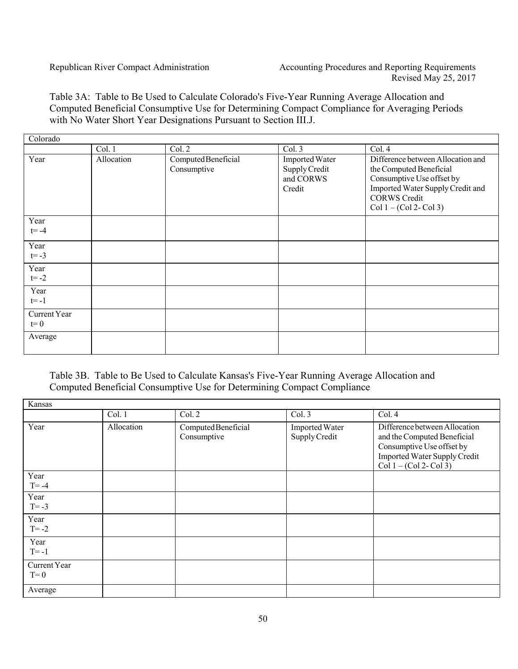Table 3A: Table to Be Used to Calculate Colorado's Five-Year Running Average Allocation and Computed Beneficial Consumptive Use for Determining Compact Compliance for Averaging Periods with No Water Short Year Designations Pursuant to Section III.J.

| Colorado                |            |                                    |                                                        |                                                                                                                                                                                   |
|-------------------------|------------|------------------------------------|--------------------------------------------------------|-----------------------------------------------------------------------------------------------------------------------------------------------------------------------------------|
|                         | Col. 1     | Col. 2                             | Col. 3                                                 | Col.4                                                                                                                                                                             |
| Year                    | Allocation | Computed Beneficial<br>Consumptive | Imported Water<br>Supply Credit<br>and CORWS<br>Credit | Difference between Allocation and<br>the Computed Beneficial<br>Consumptive Use offset by<br>Imported Water Supply Credit and<br><b>CORWS Credit</b><br>$Col 1 - (Col 2 - Col 3)$ |
| Year<br>$t = -4$        |            |                                    |                                                        |                                                                                                                                                                                   |
| Year<br>$t = -3$        |            |                                    |                                                        |                                                                                                                                                                                   |
| Year<br>$t = -2$        |            |                                    |                                                        |                                                                                                                                                                                   |
| Year<br>$t = -1$        |            |                                    |                                                        |                                                                                                                                                                                   |
| Current Year<br>$t = 0$ |            |                                    |                                                        |                                                                                                                                                                                   |
| Average                 |            |                                    |                                                        |                                                                                                                                                                                   |

# Table 3B. Table to Be Used to Calculate Kansas's Five-Year Running Average Allocation and Computed Beneficial Consumptive Use for Determining Compact Compliance

| Kansas                |            |                                    |                                 |                                                                                                                                                               |  |  |  |  |  |
|-----------------------|------------|------------------------------------|---------------------------------|---------------------------------------------------------------------------------------------------------------------------------------------------------------|--|--|--|--|--|
|                       | Col. 1     | Col. 2                             | Col. 3                          | Col. 4                                                                                                                                                        |  |  |  |  |  |
| Year                  | Allocation | Computed Beneficial<br>Consumptive | Imported Water<br>Supply Credit | Difference between Allocation<br>and the Computed Beneficial<br>Consumptive Use offset by<br><b>Imported Water Supply Credit</b><br>$Col 1 - (Col 2 - Col 3)$ |  |  |  |  |  |
| Year<br>$T = -4$      |            |                                    |                                 |                                                                                                                                                               |  |  |  |  |  |
| Year<br>$T = -3$      |            |                                    |                                 |                                                                                                                                                               |  |  |  |  |  |
| Year<br>$T = -2$      |            |                                    |                                 |                                                                                                                                                               |  |  |  |  |  |
| Year<br>$T = -1$      |            |                                    |                                 |                                                                                                                                                               |  |  |  |  |  |
| Current Year<br>$T=0$ |            |                                    |                                 |                                                                                                                                                               |  |  |  |  |  |
| Average               |            |                                    |                                 |                                                                                                                                                               |  |  |  |  |  |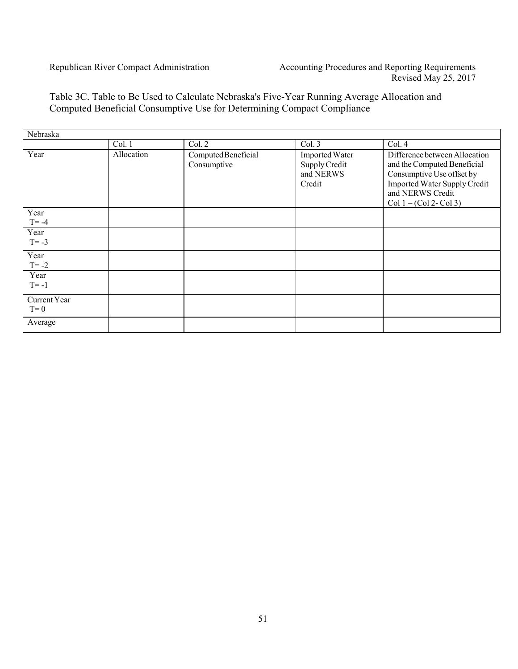# Table 3C. Table to Be Used to Calculate Nebraska's Five-Year Running Average Allocation and Computed Beneficial Consumptive Use for Determining Compact Compliance

| Nebraska              |            |                                    |                                                               |                                                                                                                                                                                   |
|-----------------------|------------|------------------------------------|---------------------------------------------------------------|-----------------------------------------------------------------------------------------------------------------------------------------------------------------------------------|
|                       | Col. 1     | Col. 2                             | $\overline{\text{Col}}$ . 3                                   | Col. 4                                                                                                                                                                            |
| Year                  | Allocation | Computed Beneficial<br>Consumptive | <b>Imported Water</b><br>Supply Credit<br>and NERWS<br>Credit | Difference between Allocation<br>and the Computed Beneficial<br>Consumptive Use offset by<br><b>Imported Water Supply Credit</b><br>and NERWS Credit<br>$Col 1 - (Col 2 - Col 3)$ |
| Year<br>$T = -4$      |            |                                    |                                                               |                                                                                                                                                                                   |
| Year<br>$T = -3$      |            |                                    |                                                               |                                                                                                                                                                                   |
| Year<br>$T = -2$      |            |                                    |                                                               |                                                                                                                                                                                   |
| Year<br>$T = -1$      |            |                                    |                                                               |                                                                                                                                                                                   |
| Current Year<br>$T=0$ |            |                                    |                                                               |                                                                                                                                                                                   |
| Average               |            |                                    |                                                               |                                                                                                                                                                                   |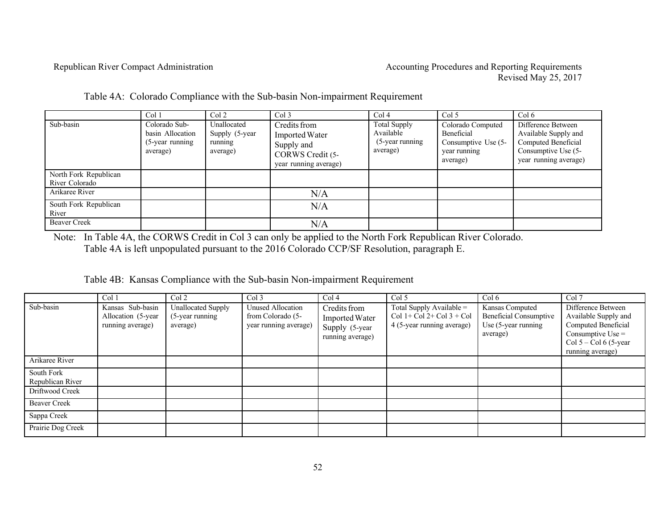|                                         | Col 1                                                               | Col <sub>2</sub>                                     | Col <sub>3</sub>                                                                                 | Col <sub>4</sub>                                                   | Col 5                                                                              | Col <sub>6</sub>                                                                                                  |
|-----------------------------------------|---------------------------------------------------------------------|------------------------------------------------------|--------------------------------------------------------------------------------------------------|--------------------------------------------------------------------|------------------------------------------------------------------------------------|-------------------------------------------------------------------------------------------------------------------|
| Sub-basin                               | Colorado Sub-<br>basin Allocation<br>$(5$ -year running<br>average) | Unallocated<br>Supply (5-year<br>running<br>average) | Credits from<br><b>Imported Water</b><br>Supply and<br>CORWS Credit (5-<br>year running average) | <b>Total Supply</b><br>Available<br>$(5$ -year running<br>average) | Colorado Computed<br>Beneficial<br>Consumptive Use (5-<br>year running<br>average) | Difference Between<br>Available Supply and<br>Computed Beneficial<br>Consumptive Use (5-<br>year running average) |
| North Fork Republican<br>River Colorado |                                                                     |                                                      |                                                                                                  |                                                                    |                                                                                    |                                                                                                                   |
| Arikaree River                          |                                                                     |                                                      | N/A                                                                                              |                                                                    |                                                                                    |                                                                                                                   |
| South Fork Republican<br>River          |                                                                     |                                                      | N/A                                                                                              |                                                                    |                                                                                    |                                                                                                                   |
| <b>Beaver Creek</b>                     |                                                                     |                                                      | N/A                                                                                              |                                                                    |                                                                                    |                                                                                                                   |

Table 4A: Colorado Compliance with the Sub-basin Non-impairment Requirement

Note: In Table 4A, the CORWS Credit in Col 3 can only be applied to the North Fork Republican River Colorado. Table 4A is left unpopulated pursuant to the 2016 Colorado CCP/SF Resolution, paragraph E.

Table 4B: Kansas Compliance with the Sub-basin Non-impairment Requirement

|                                | Col 1                                                       | Col <sub>2</sub>                                            | Col <sub>3</sub>                                                | Col <sub>4</sub>                                                     | Col 5                                                                                     | Col 6                                                                                  | Col 7                                                                                                                                    |
|--------------------------------|-------------------------------------------------------------|-------------------------------------------------------------|-----------------------------------------------------------------|----------------------------------------------------------------------|-------------------------------------------------------------------------------------------|----------------------------------------------------------------------------------------|------------------------------------------------------------------------------------------------------------------------------------------|
| Sub-basin                      | Kansas Sub-basin<br>Allocation (5-year)<br>running average) | <b>Unallocated Supply</b><br>$(5$ -year running<br>average) | Unused Allocation<br>from Colorado (5-<br>year running average) | Credits from<br>Imported Water<br>Supply (5-year<br>running average) | Total Supply Available $=$<br>$Col 1 + Col 2 + Col 3 + Col$<br>4 (5-year running average) | Kansas Computed<br><b>Beneficial Consumptive</b><br>Use $(5$ -year running<br>average) | Difference Between<br>Available Supply and<br>Computed Beneficial<br>Consumptive Use $=$<br>Col $5 -$ Col 6 (5-year)<br>running average) |
| Arikaree River                 |                                                             |                                                             |                                                                 |                                                                      |                                                                                           |                                                                                        |                                                                                                                                          |
| South Fork<br>Republican River |                                                             |                                                             |                                                                 |                                                                      |                                                                                           |                                                                                        |                                                                                                                                          |
| Driftwood Creek                |                                                             |                                                             |                                                                 |                                                                      |                                                                                           |                                                                                        |                                                                                                                                          |
| <b>Beaver Creek</b>            |                                                             |                                                             |                                                                 |                                                                      |                                                                                           |                                                                                        |                                                                                                                                          |
| Sappa Creek                    |                                                             |                                                             |                                                                 |                                                                      |                                                                                           |                                                                                        |                                                                                                                                          |
| Prairie Dog Creek              |                                                             |                                                             |                                                                 |                                                                      |                                                                                           |                                                                                        |                                                                                                                                          |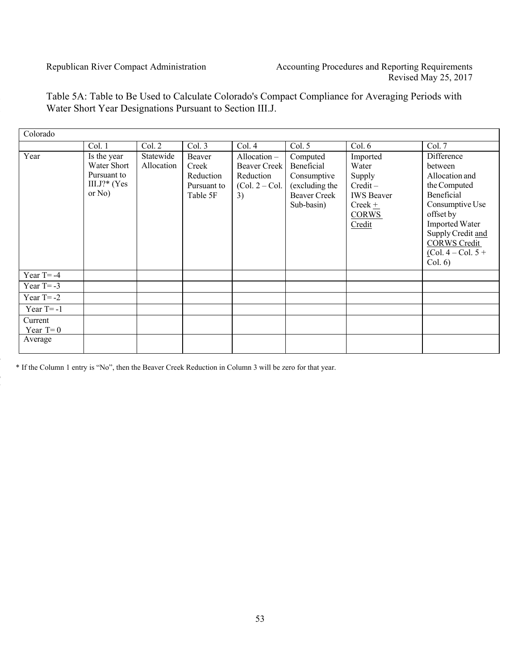3

4

6 **1** 

1 Table 5A: Table to Be Used to Calculate Colorado's Compact Compliance for Averaging Periods with 2 Water Short Year Designations Pursuant to Section III.J.

| Colorado                         |                                                                          |                         |                                                         |                                                                    |                                                                                              |                                                                                                       |                                                                                                                                                                                                               |
|----------------------------------|--------------------------------------------------------------------------|-------------------------|---------------------------------------------------------|--------------------------------------------------------------------|----------------------------------------------------------------------------------------------|-------------------------------------------------------------------------------------------------------|---------------------------------------------------------------------------------------------------------------------------------------------------------------------------------------------------------------|
|                                  | Col. 1                                                                   | Col. 2                  | Col. 3                                                  | Col. 4                                                             | Col. 5                                                                                       | Col. 6                                                                                                | Col. 7                                                                                                                                                                                                        |
| Year                             | Is the year<br>Water Short<br>Pursuant to<br>$III.J$ ?* (Yes<br>or $No)$ | Statewide<br>Allocation | Beaver<br>Creek<br>Reduction<br>Pursuant to<br>Table 5F | Allocation-<br>Beaver Creek<br>Reduction<br>$(Col. 2 - Col.$<br>3) | Computed<br>Beneficial<br>Consumptive<br>(excluding the<br><b>Beaver Creek</b><br>Sub-basin) | Imported<br>Water<br>Supply<br>$Credit -$<br><b>IWS</b> Beaver<br>$Creek +$<br><b>CORWS</b><br>Credit | Difference<br>between<br>Allocation and<br>the Computed<br><b>Beneficial</b><br>Consumptive Use<br>offset by<br>Imported Water<br>Supply Credit and<br><b>CORWS Credit</b><br>$(Col. 4 - Col. 5 +$<br>Col. 6) |
| Year $T = -4$                    |                                                                          |                         |                                                         |                                                                    |                                                                                              |                                                                                                       |                                                                                                                                                                                                               |
| Year $T = -3$                    |                                                                          |                         |                                                         |                                                                    |                                                                                              |                                                                                                       |                                                                                                                                                                                                               |
| Year $T = -2$                    |                                                                          |                         |                                                         |                                                                    |                                                                                              |                                                                                                       |                                                                                                                                                                                                               |
| Year $T = -1$                    |                                                                          |                         |                                                         |                                                                    |                                                                                              |                                                                                                       |                                                                                                                                                                                                               |
| Current<br>Year $T=0$<br>Average |                                                                          |                         |                                                         |                                                                    |                                                                                              |                                                                                                       |                                                                                                                                                                                                               |
|                                  |                                                                          |                         |                                                         |                                                                    |                                                                                              |                                                                                                       |                                                                                                                                                                                                               |

5 \* If the Column 1 entry is "No", then the Beaver Creek Reduction in Column 3 will be zero for that year.

53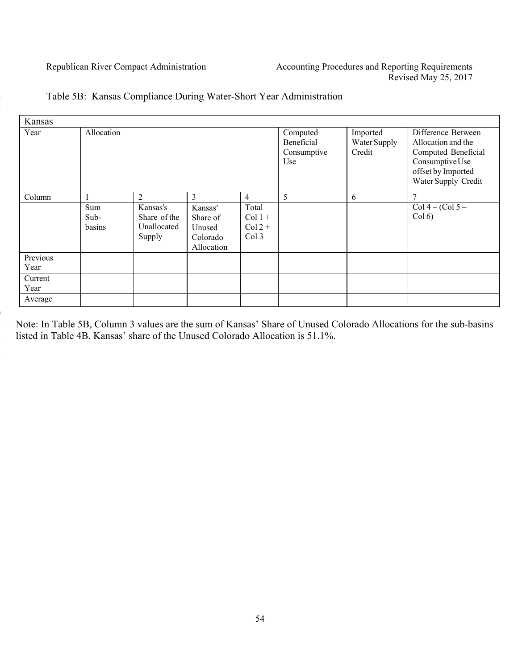| Kansas           |                         |                                                   |                                                         |                                         |                                              |                                    |                                                                                                                                 |
|------------------|-------------------------|---------------------------------------------------|---------------------------------------------------------|-----------------------------------------|----------------------------------------------|------------------------------------|---------------------------------------------------------------------------------------------------------------------------------|
| Year             | Allocation              |                                                   |                                                         |                                         | Computed<br>Beneficial<br>Consumptive<br>Use | Imported<br>Water Supply<br>Credit | Difference Between<br>Allocation and the<br>Computed Beneficial<br>Consumptive Use<br>offset by Imported<br>Water Supply Credit |
| Column           |                         | 2                                                 | 3                                                       | $\overline{4}$                          | 5                                            | 6                                  |                                                                                                                                 |
|                  | Sum<br>$Sub-$<br>basins | Kansas's<br>Share of the<br>Unallocated<br>Supply | Kansas'<br>Share of<br>Unused<br>Colorado<br>Allocation | Total<br>$Col 1 +$<br>$Col2 +$<br>Col 3 |                                              |                                    | $Col 4 - (Col 5 -$<br>Col(6)                                                                                                    |
| Previous<br>Year |                         |                                                   |                                                         |                                         |                                              |                                    |                                                                                                                                 |
| Current<br>Year  |                         |                                                   |                                                         |                                         |                                              |                                    |                                                                                                                                 |
| Average          |                         |                                                   |                                                         |                                         |                                              |                                    |                                                                                                                                 |

# Table 5B: Kansas Compliance During Water-Short Year Administration

1 Note: In Table 5B, Column 3 values are the sum of Kansas' Share of Unused Colorado Allocations for the sub-basins listed in Table 4B. Kansas' share of the Unused Colorado Allocation is 51.1%.

9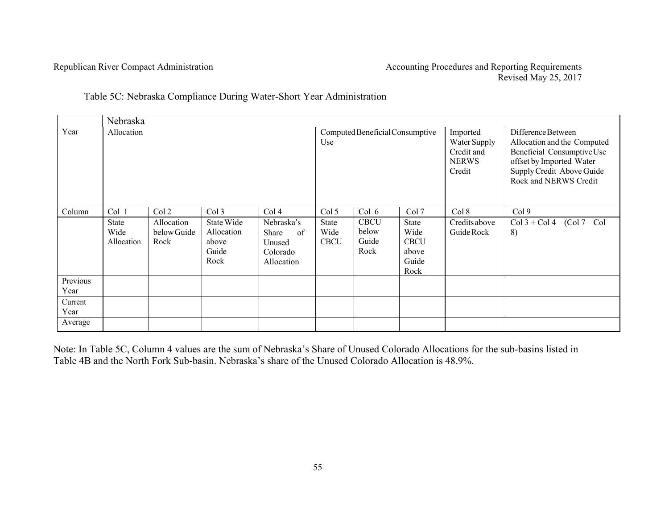Table 5C: Nebraska Compliance During Water-Short Year Administration

|                  | Nebraska                                    |                                            |                                                             |                                                                                          |                                              |                                                |                                                                 |                                                                  |                                                                                                                                                                   |  |  |  |
|------------------|---------------------------------------------|--------------------------------------------|-------------------------------------------------------------|------------------------------------------------------------------------------------------|----------------------------------------------|------------------------------------------------|-----------------------------------------------------------------|------------------------------------------------------------------|-------------------------------------------------------------------------------------------------------------------------------------------------------------------|--|--|--|
| Year             | Allocation                                  |                                            |                                                             |                                                                                          | Use                                          | Computed Beneficial Consumptive                |                                                                 | Imported<br>Water Supply<br>Credit and<br><b>NERWS</b><br>Credit | Difference Between<br>Allocation and the Computed<br>Beneficial Consumptive Use<br>offset by Imported Water<br>Supply Credit Above Guide<br>Rock and NERWS Credit |  |  |  |
| Column           | Col 1<br><b>State</b><br>Wide<br>Allocation | Col 2<br>Allocation<br>below Guide<br>Rock | Col 3<br>State Wide<br>Allocation<br>above<br>Guide<br>Rock | Col <sub>4</sub><br>Nebraska's<br><b>Share</b><br>of<br>Unused<br>Colorado<br>Allocation | Col 5<br><b>State</b><br>Wide<br><b>CBCU</b> | Col 6<br><b>CBCU</b><br>below<br>Guide<br>Rock | Col 7<br>State<br>Wide<br><b>CBCU</b><br>above<br>Guide<br>Rock | Col 8<br>Credits above<br>Guide Rock                             | Col <sub>9</sub><br>$Col 3 + Col 4 - (Col 7 - Col$<br>8)                                                                                                          |  |  |  |
| Previous<br>Year |                                             |                                            |                                                             |                                                                                          |                                              |                                                |                                                                 |                                                                  |                                                                                                                                                                   |  |  |  |
| Current<br>Year  |                                             |                                            |                                                             |                                                                                          |                                              |                                                |                                                                 |                                                                  |                                                                                                                                                                   |  |  |  |
| Average          |                                             |                                            |                                                             |                                                                                          |                                              |                                                |                                                                 |                                                                  |                                                                                                                                                                   |  |  |  |

Note: In Table 5C, Column 4 values are the sum of Nebraska's Share of Unused Colorado Allocations for the sub-basins listed in Table 4B and the North Fork Sub-basin. Nebraska's share of the Unused Colorado Allocation is 48.9%.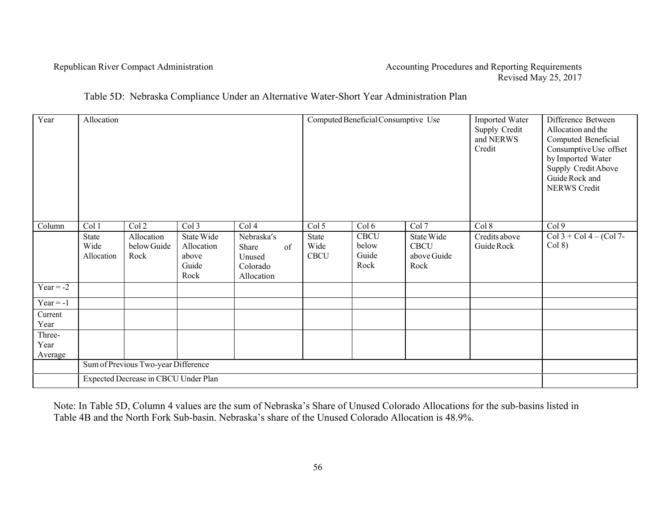#### Republican River Compact Administration Accounting Procedures and Reporting Requirements Revised May 25, 2017

# Table 5D: Nebraska Compliance Under an Alternative Water-Short Year Administration Plan

| Year           | Allocation         |                                      |                     |                    |                     | Computed Beneficial Consumptive Use |                            | Imported Water<br>Supply Credit<br>and NERWS<br>Credit | Difference Between<br>Allocation and the<br>Computed Beneficial<br>Consumptive Use offset<br>by Imported Water<br>Supply Credit Above<br>Guide Rock and<br><b>NERWS Credit</b> |
|----------------|--------------------|--------------------------------------|---------------------|--------------------|---------------------|-------------------------------------|----------------------------|--------------------------------------------------------|--------------------------------------------------------------------------------------------------------------------------------------------------------------------------------|
| Column         | Col 1              | Col2                                 | Col 3               | Col 4              | Col 5               | Col 6                               | Col 7                      | Col 8                                                  | Col 9                                                                                                                                                                          |
|                | State              | Allocation                           | State Wide          | Nebraska's         | State               | <b>CBCU</b>                         | State Wide                 | Credits above                                          | $Col 3 + Col 4 - (Col 7 -$                                                                                                                                                     |
|                | Wide<br>Allocation | below Guide<br>Rock                  | Allocation<br>above | of<br>Share        | Wide<br><b>CBCU</b> | below<br>Guide                      | <b>CBCU</b><br>above Guide | Guide Rock                                             | Col 8)                                                                                                                                                                         |
|                |                    |                                      | Guide               | Unused<br>Colorado |                     | Rock                                | Rock                       |                                                        |                                                                                                                                                                                |
|                |                    |                                      | Rock                | Allocation         |                     |                                     |                            |                                                        |                                                                                                                                                                                |
| Year = $-2$    |                    |                                      |                     |                    |                     |                                     |                            |                                                        |                                                                                                                                                                                |
| $Year = -1$    |                    |                                      |                     |                    |                     |                                     |                            |                                                        |                                                                                                                                                                                |
| Current        |                    |                                      |                     |                    |                     |                                     |                            |                                                        |                                                                                                                                                                                |
| Year           |                    |                                      |                     |                    |                     |                                     |                            |                                                        |                                                                                                                                                                                |
| Three-<br>Year |                    |                                      |                     |                    |                     |                                     |                            |                                                        |                                                                                                                                                                                |
| Average        |                    |                                      |                     |                    |                     |                                     |                            |                                                        |                                                                                                                                                                                |
|                |                    | Sum of Previous Two-year Difference  |                     |                    |                     |                                     |                            |                                                        |                                                                                                                                                                                |
|                |                    | Expected Decrease in CBCU Under Plan |                     |                    |                     |                                     |                            |                                                        |                                                                                                                                                                                |

Note: In Table 5D, Column 4 values are the sum of Nebraska's Share of Unused Colorado Allocations for the sub-basins listed in Table 4B and the North Fork Sub-basin. Nebraska's share of the Unused Colorado Allocation is 48.9%.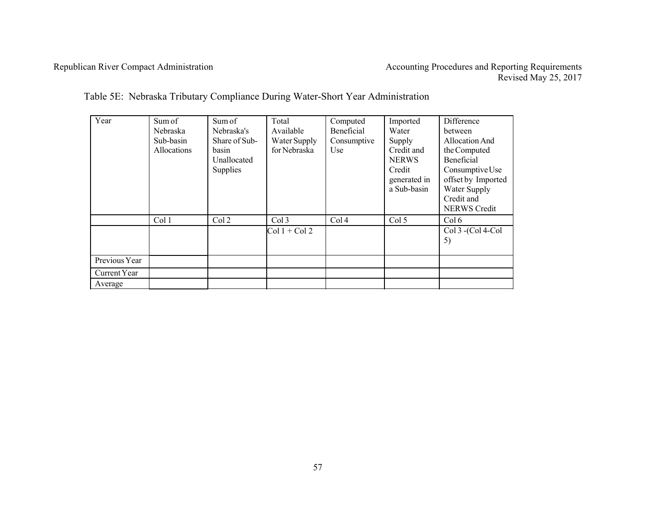| Year          | Sum of<br>Nebraska<br>Sub-basin<br>Allocations | Sum of<br>Nebraska's<br>Share of Sub-<br>basin<br>Unallocated | Total<br>Available<br>Water Supply<br>for Nebraska | Computed<br>Beneficial<br>Consumptive<br>Use | Imported<br>Water<br>Supply<br>Credit and<br><b>NERWS</b> | <b>Difference</b><br>between<br>Allocation And<br>the Computed<br>Beneficial               |  |  |
|---------------|------------------------------------------------|---------------------------------------------------------------|----------------------------------------------------|----------------------------------------------|-----------------------------------------------------------|--------------------------------------------------------------------------------------------|--|--|
|               |                                                | Supplies                                                      |                                                    |                                              | Credit<br>generated in<br>a Sub-basin                     | Consumptive Use<br>offset by Imported<br>Water Supply<br>Credit and<br><b>NERWS Credit</b> |  |  |
|               | Col 1                                          | Col <sub>2</sub>                                              | Col <sub>3</sub>                                   | Col <sub>4</sub>                             | Col <sub>5</sub>                                          | Col 6                                                                                      |  |  |
|               |                                                |                                                               | $Col 1 + Col 2$                                    |                                              |                                                           | Col 3 - (Col 4-Col<br>5)                                                                   |  |  |
| Previous Year |                                                |                                                               |                                                    |                                              |                                                           |                                                                                            |  |  |
| Current Year  |                                                |                                                               |                                                    |                                              |                                                           |                                                                                            |  |  |
| Average       |                                                |                                                               |                                                    |                                              |                                                           |                                                                                            |  |  |

Table 5E: Nebraska Tributary Compliance During Water-Short Year Administration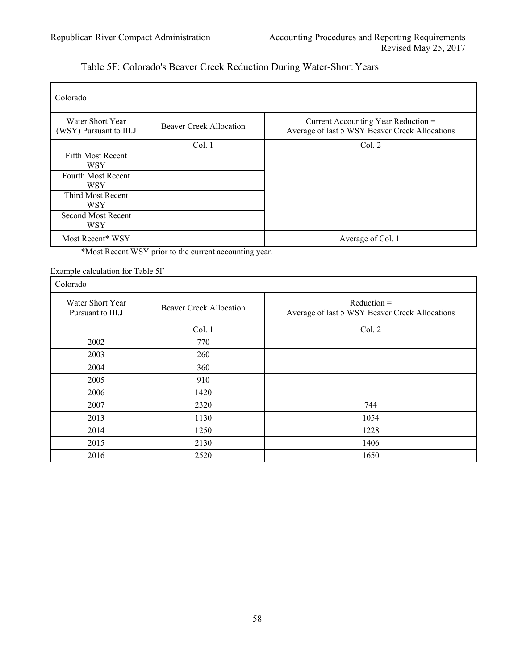# Table 5F: Colorado's Beaver Creek Reduction During Water-Short Years

| Colorado                                    |                                |                                                                                       |
|---------------------------------------------|--------------------------------|---------------------------------------------------------------------------------------|
| Water Short Year<br>(WSY) Pursuant to III.J | <b>Beaver Creek Allocation</b> | Current Accounting Year Reduction =<br>Average of last 5 WSY Beaver Creek Allocations |
|                                             | Col. 1                         | Col. 2                                                                                |
| Fifth Most Recent<br>WSY                    |                                |                                                                                       |
| Fourth Most Recent<br>WSY                   |                                |                                                                                       |
| Third Most Recent<br><b>WSY</b>             |                                |                                                                                       |
| Second Most Recent<br>WSY                   |                                |                                                                                       |
| Most Recent* WSY                            |                                | Average of Col. 1                                                                     |

\*Most Recent WSY prior to the current accounting year.

Example calculation for Table 5F

| Colorado                              |                                |                                                                 |
|---------------------------------------|--------------------------------|-----------------------------------------------------------------|
| Water Short Year<br>Pursuant to III.J | <b>Beaver Creek Allocation</b> | $Reduction =$<br>Average of last 5 WSY Beaver Creek Allocations |
|                                       | Col. 1                         | Col. 2                                                          |
| 2002                                  | 770                            |                                                                 |
| 2003                                  | 260                            |                                                                 |
| 2004                                  | 360                            |                                                                 |
| 2005                                  | 910                            |                                                                 |
| 2006                                  | 1420                           |                                                                 |
| 2007                                  | 2320                           | 744                                                             |
| 2013                                  | 1130                           | 1054                                                            |
| 2014                                  | 1250                           | 1228                                                            |
| 2015                                  | 2130                           | 1406                                                            |
| 2016                                  | 2520                           | 1650                                                            |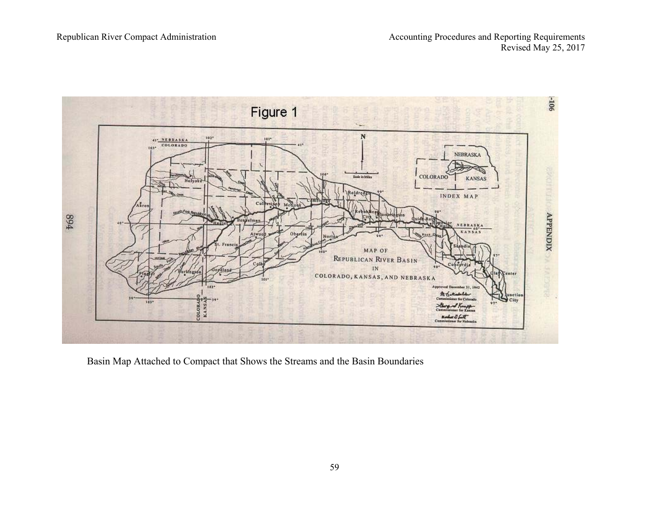

Basin Map Attached to Compact that Shows the Streams and the Basin Boundaries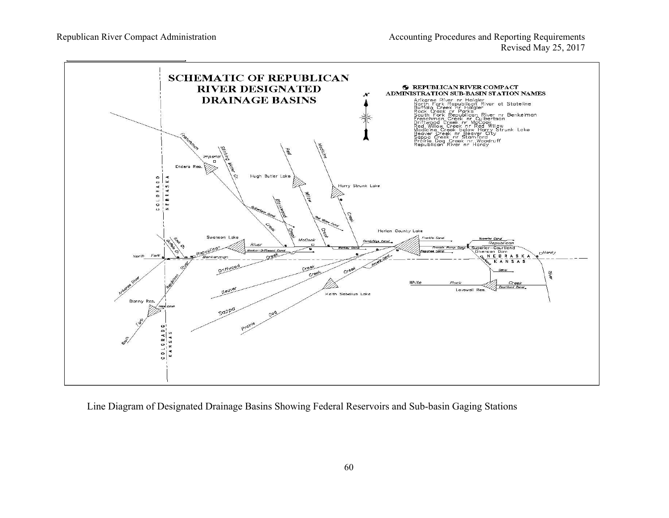

Line Diagram of Designated Drainage Basins Showing Federal Reservoirs and Sub-basin Gaging Stations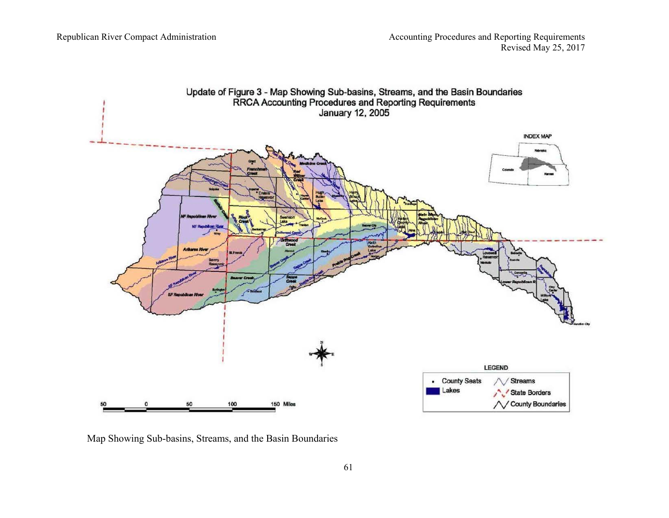

Map Showing Sub-basins, Streams, and the Basin Boundaries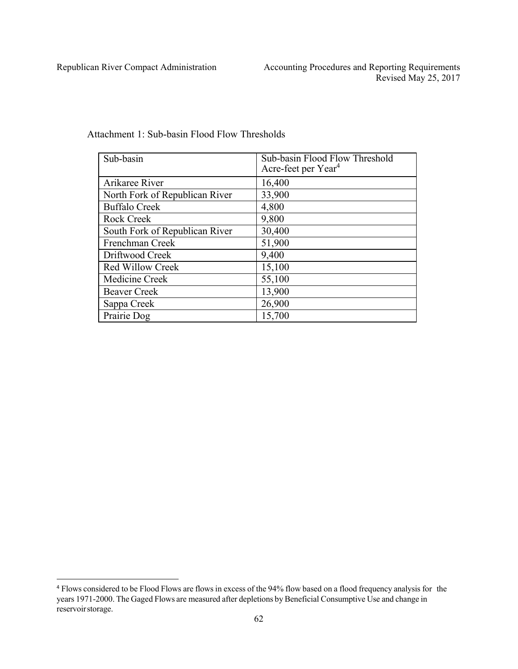| Sub-basin                      | Sub-basin Flood Flow Threshold<br>Acre-feet per Year <sup>4</sup> |
|--------------------------------|-------------------------------------------------------------------|
| Arikaree River                 | 16,400                                                            |
| North Fork of Republican River | 33,900                                                            |
| <b>Buffalo Creek</b>           | 4,800                                                             |
| <b>Rock Creek</b>              | 9,800                                                             |
| South Fork of Republican River | 30,400                                                            |
| Frenchman Creek                | 51,900                                                            |
| Driftwood Creek                | 9,400                                                             |
| <b>Red Willow Creek</b>        | 15,100                                                            |
| Medicine Creek                 | 55,100                                                            |
| <b>Beaver Creek</b>            | 13,900                                                            |
| Sappa Creek                    | 26,900                                                            |
| Prairie Dog                    | 15,700                                                            |

Attachment 1: Sub-basin Flood Flow Thresholds

<sup>4</sup> Flows considered to be Flood Flows are flows in excess of the 94% flow based on a flood frequency analysis for the years 1971-2000. The Gaged Flows are measured after depletions by Beneficial Consumptive Use and change in reservoir storage.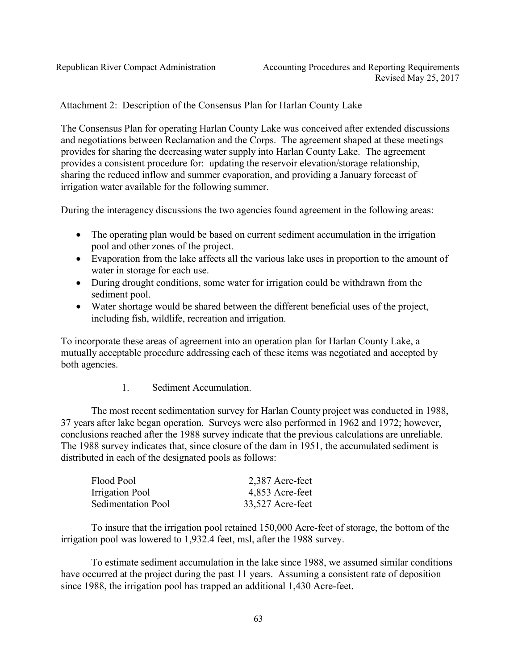Attachment 2: Description of the Consensus Plan for Harlan County Lake

The Consensus Plan for operating Harlan County Lake was conceived after extended discussions and negotiations between Reclamation and the Corps. The agreement shaped at these meetings provides for sharing the decreasing water supply into Harlan County Lake. The agreement provides a consistent procedure for: updating the reservoir elevation/storage relationship, sharing the reduced inflow and summer evaporation, and providing a January forecast of irrigation water available for the following summer.

During the interagency discussions the two agencies found agreement in the following areas:

- The operating plan would be based on current sediment accumulation in the irrigation pool and other zones of the project.
- Evaporation from the lake affects all the various lake uses in proportion to the amount of water in storage for each use.
- During drought conditions, some water for irrigation could be withdrawn from the sediment pool.
- Water shortage would be shared between the different beneficial uses of the project, including fish, wildlife, recreation and irrigation.

To incorporate these areas of agreement into an operation plan for Harlan County Lake, a mutually acceptable procedure addressing each of these items was negotiated and accepted by both agencies.

## 1. Sediment Accumulation.

The most recent sedimentation survey for Harlan County project was conducted in 1988, 37 years after lake began operation. Surveys were also performed in 1962 and 1972; however, conclusions reached after the 1988 survey indicate that the previous calculations are unreliable. The 1988 survey indicates that, since closure of the dam in 1951, the accumulated sediment is distributed in each of the designated pools as follows:

| Flood Pool                | 2,387 Acre-feet  |
|---------------------------|------------------|
| Irrigation Pool           | 4,853 Acre-feet  |
| <b>Sedimentation Pool</b> | 33,527 Acre-feet |

To insure that the irrigation pool retained 150,000 Acre-feet of storage, the bottom of the irrigation pool was lowered to 1,932.4 feet, msl, after the 1988 survey.

To estimate sediment accumulation in the lake since 1988, we assumed similar conditions have occurred at the project during the past 11 years. Assuming a consistent rate of deposition since 1988, the irrigation pool has trapped an additional 1,430 Acre-feet.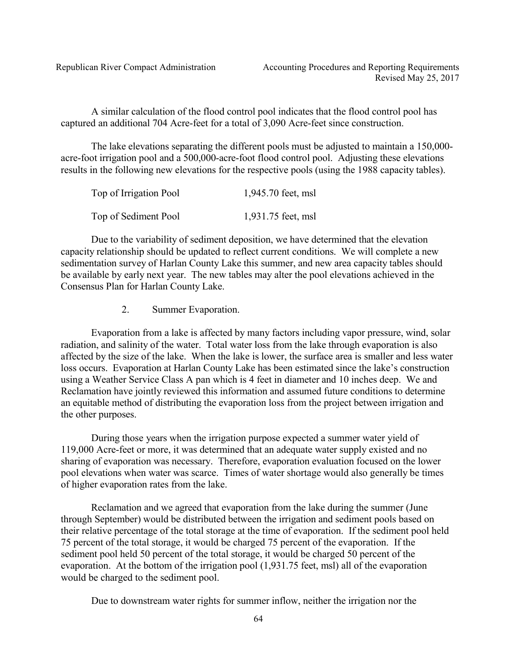A similar calculation of the flood control pool indicates that the flood control pool has captured an additional 704 Acre-feet for a total of 3,090 Acre-feet since construction.

The lake elevations separating the different pools must be adjusted to maintain a 150,000 acre-foot irrigation pool and a 500,000-acre-foot flood control pool. Adjusting these elevations results in the following new elevations for the respective pools (using the 1988 capacity tables).

| Top of Irrigation Pool | 1,945.70 feet, msl |
|------------------------|--------------------|
| Top of Sediment Pool   | 1,931.75 feet, msl |

Due to the variability of sediment deposition, we have determined that the elevation capacity relationship should be updated to reflect current conditions. We will complete a new sedimentation survey of Harlan County Lake this summer, and new area capacity tables should be available by early next year. The new tables may alter the pool elevations achieved in the Consensus Plan for Harlan County Lake.

2. Summer Evaporation.

Evaporation from a lake is affected by many factors including vapor pressure, wind, solar radiation, and salinity of the water. Total water loss from the lake through evaporation is also affected by the size of the lake. When the lake is lower, the surface area is smaller and less water loss occurs. Evaporation at Harlan County Lake has been estimated since the lake's construction using a Weather Service Class A pan which is 4 feet in diameter and 10 inches deep. We and Reclamation have jointly reviewed this information and assumed future conditions to determine an equitable method of distributing the evaporation loss from the project between irrigation and the other purposes.

During those years when the irrigation purpose expected a summer water yield of 119,000 Acre-feet or more, it was determined that an adequate water supply existed and no sharing of evaporation was necessary. Therefore, evaporation evaluation focused on the lower pool elevations when water was scarce. Times of water shortage would also generally be times of higher evaporation rates from the lake.

Reclamation and we agreed that evaporation from the lake during the summer (June through September) would be distributed between the irrigation and sediment pools based on their relative percentage of the total storage at the time of evaporation. If the sediment pool held 75 percent of the total storage, it would be charged 75 percent of the evaporation. If the sediment pool held 50 percent of the total storage, it would be charged 50 percent of the evaporation. At the bottom of the irrigation pool (1,931.75 feet, msl) all of the evaporation would be charged to the sediment pool.

Due to downstream water rights for summer inflow, neither the irrigation nor the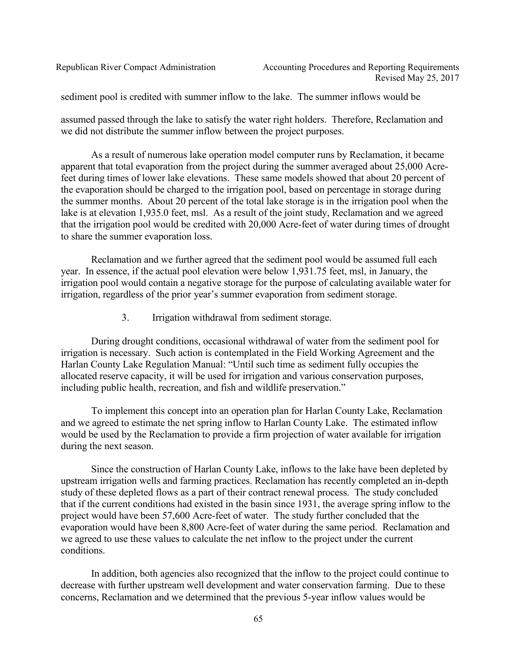sediment pool is credited with summer inflow to the lake. The summer inflows would be

assumed passed through the lake to satisfy the water right holders. Therefore, Reclamation and we did not distribute the summer inflow between the project purposes.

As a result of numerous lake operation model computer runs by Reclamation, it became apparent that total evaporation from the project during the summer averaged about 25,000 Acrefeet during times of lower lake elevations. These same models showed that about 20 percent of the evaporation should be charged to the irrigation pool, based on percentage in storage during the summer months. About 20 percent of the total lake storage is in the irrigation pool when the lake is at elevation 1,935.0 feet, msl. As a result of the joint study, Reclamation and we agreed that the irrigation pool would be credited with 20,000 Acre-feet of water during times of drought to share the summer evaporation loss.

Reclamation and we further agreed that the sediment pool would be assumed full each year. In essence, if the actual pool elevation were below 1,931.75 feet, msl, in January, the irrigation pool would contain a negative storage for the purpose of calculating available water for irrigation, regardless of the prior year's summer evaporation from sediment storage.

3. Irrigation withdrawal from sediment storage.

During drought conditions, occasional withdrawal of water from the sediment pool for irrigation is necessary. Such action is contemplated in the Field Working Agreement and the Harlan County Lake Regulation Manual: "Until such time as sediment fully occupies the allocated reserve capacity, it will be used for irrigation and various conservation purposes, including public health, recreation, and fish and wildlife preservation."

To implement this concept into an operation plan for Harlan County Lake, Reclamation and we agreed to estimate the net spring inflow to Harlan County Lake. The estimated inflow would be used by the Reclamation to provide a firm projection of water available for irrigation during the next season.

Since the construction of Harlan County Lake, inflows to the lake have been depleted by upstream irrigation wells and farming practices. Reclamation has recently completed an in-depth study of these depleted flows as a part of their contract renewal process. The study concluded that if the current conditions had existed in the basin since 1931, the average spring inflow to the project would have been 57,600 Acre-feet of water. The study further concluded that the evaporation would have been 8,800 Acre-feet of water during the same period. Reclamation and we agreed to use these values to calculate the net inflow to the project under the current conditions.

In addition, both agencies also recognized that the inflow to the project could continue to decrease with further upstream well development and water conservation farming. Due to these concerns, Reclamation and we determined that the previous 5-year inflow values would be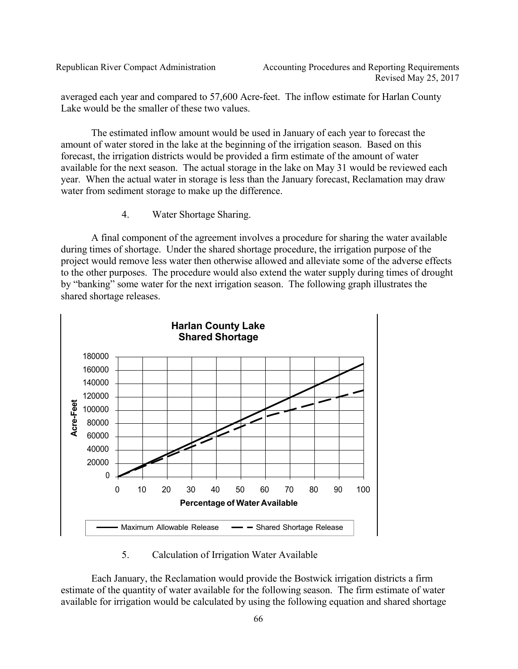averaged each year and compared to 57,600 Acre-feet. The inflow estimate for Harlan County Lake would be the smaller of these two values.

The estimated inflow amount would be used in January of each year to forecast the amount of water stored in the lake at the beginning of the irrigation season. Based on this forecast, the irrigation districts would be provided a firm estimate of the amount of water available for the next season. The actual storage in the lake on May 31 would be reviewed each year. When the actual water in storage is less than the January forecast, Reclamation may draw water from sediment storage to make up the difference.

4. Water Shortage Sharing.

A final component of the agreement involves a procedure for sharing the water available during times of shortage. Under the shared shortage procedure, the irrigation purpose of the project would remove less water then otherwise allowed and alleviate some of the adverse effects to the other purposes. The procedure would also extend the water supply during times of drought by "banking" some water for the next irrigation season. The following graph illustrates the shared shortage releases.



5. Calculation of Irrigation Water Available

Each January, the Reclamation would provide the Bostwick irrigation districts a firm estimate of the quantity of water available for the following season. The firm estimate of water available for irrigation would be calculated by using the following equation and shared shortage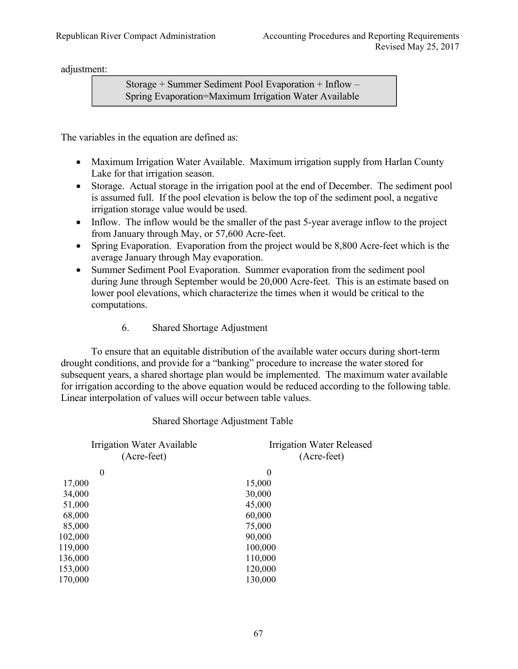adjustment:

Storage + Summer Sediment Pool Evaporation + Inflow – Spring Evaporation=Maximum Irrigation Water Available

The variables in the equation are defined as:

- Maximum Irrigation Water Available. Maximum irrigation supply from Harlan County Lake for that irrigation season.
- Storage. Actual storage in the irrigation pool at the end of December. The sediment pool is assumed full. If the pool elevation is below the top of the sediment pool, a negative irrigation storage value would be used.
- Inflow. The inflow would be the smaller of the past 5-year average inflow to the project from January through May, or 57,600 Acre-feet.
- Spring Evaporation. Evaporation from the project would be 8,800 Acre-feet which is the average January through May evaporation.
- Summer Sediment Pool Evaporation. Summer evaporation from the sediment pool during June through September would be 20,000 Acre-feet. This is an estimate based on lower pool elevations, which characterize the times when it would be critical to the computations.
	- 6. Shared Shortage Adjustment

To ensure that an equitable distribution of the available water occurs during short-term drought conditions, and provide for a "banking" procedure to increase the water stored for subsequent years, a shared shortage plan would be implemented. The maximum water available for irrigation according to the above equation would be reduced according to the following table. Linear interpolation of values will occur between table values.

## Shared Shortage Adjustment Table

| Irrigation Water Available<br>(Acre-feet) | Irrigation Water Released<br>(Acre-feet) |
|-------------------------------------------|------------------------------------------|
| $\boldsymbol{0}$                          | $\theta$                                 |
| 17,000                                    | 15,000                                   |
| 34,000                                    | 30,000                                   |
| 51,000                                    | 45,000                                   |
| 68,000                                    | 60,000                                   |
| 85,000                                    | 75,000                                   |
| 102,000                                   | 90,000                                   |
| 119,000                                   | 100,000                                  |
| 136,000                                   | 110,000                                  |
| 153,000                                   | 120,000                                  |
| 170,000                                   | 130,000                                  |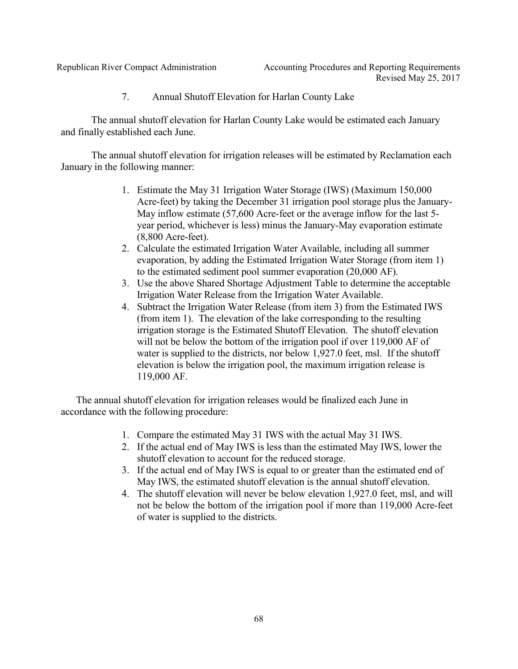7. Annual Shutoff Elevation for Harlan County Lake

The annual shutoff elevation for Harlan County Lake would be estimated each January and finally established each June.

The annual shutoff elevation for irrigation releases will be estimated by Reclamation each January in the following manner:

- 1. Estimate the May 31 Irrigation Water Storage (IWS) (Maximum 150,000 Acre-feet) by taking the December 31 irrigation pool storage plus the January-May inflow estimate (57,600 Acre-feet or the average inflow for the last 5 year period, whichever is less) minus the January-May evaporation estimate (8,800 Acre-feet).
- 2. Calculate the estimated Irrigation Water Available, including all summer evaporation, by adding the Estimated Irrigation Water Storage (from item 1) to the estimated sediment pool summer evaporation (20,000 AF).
- 3. Use the above Shared Shortage Adjustment Table to determine the acceptable Irrigation Water Release from the Irrigation Water Available.
- 4. Subtract the Irrigation Water Release (from item 3) from the Estimated IWS (from item 1). The elevation of the lake corresponding to the resulting irrigation storage is the Estimated Shutoff Elevation. The shutoff elevation will not be below the bottom of the irrigation pool if over 119,000 AF of water is supplied to the districts, nor below 1,927.0 feet, msl. If the shutoff elevation is below the irrigation pool, the maximum irrigation release is 119,000 AF.

The annual shutoff elevation for irrigation releases would be finalized each June in accordance with the following procedure:

- 1. Compare the estimated May 31 IWS with the actual May 31 IWS.
- 2. If the actual end of May IWS is less than the estimated May IWS, lower the shutoff elevation to account for the reduced storage.
- 3. If the actual end of May IWS is equal to or greater than the estimated end of May IWS, the estimated shutoff elevation is the annual shutoff elevation.
- 4. The shutoff elevation will never be below elevation 1,927.0 feet, msl, and will not be below the bottom of the irrigation pool if more than 119,000 Acre-feet of water is supplied to the districts.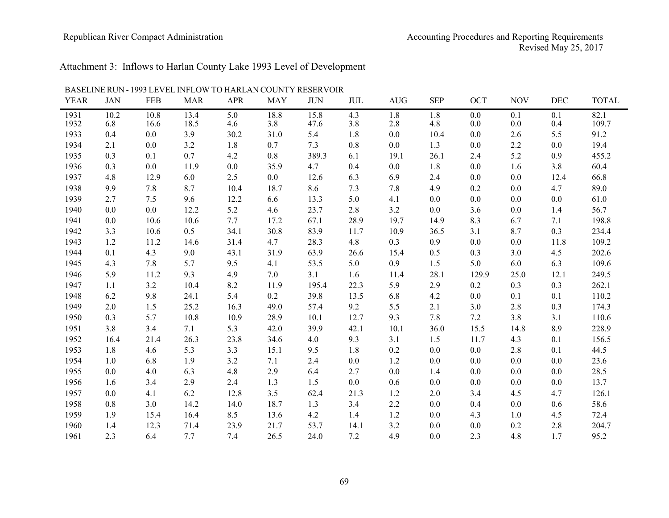### Republican River Compact Administration Accounting Procedures and Reporting Requirements Revised May 25, 2017

# Attachment 3: Inflows to Harlan County Lake 1993 Level of Development

| <b>YEAR</b> | <b>JAN</b> | <b>FEB</b> | <b>MAR</b> | <b>APR</b> | <b>MAY</b> | <b>JUN</b> | <b>JUL</b> | <b>AUG</b> | <b>SEP</b> | OCT   | <b>NOV</b> | <b>DEC</b> | <b>TOTAL</b> |
|-------------|------------|------------|------------|------------|------------|------------|------------|------------|------------|-------|------------|------------|--------------|
| 1931        | 10.2       | 10.8       | 13.4       | 5.0        | 18.8       | 15.8       | 4.3        | 1.8        | 1.8        | 0.0   | 0.1        | 0.1        | 82.1         |
| 1932        | 6.8        | 16.6       | 18.5       | 4.6        | 3.8        | 47.6       | 3.8        | 2.8        | 4.8        | 0.0   | 0.0        | 0.4        | 109.7        |
| 1933        | 0.4        | 0.0        | 3.9        | 30.2       | 31.0       | 5.4        | 1.8        | 0.0        | 10.4       | 0.0   | 2.6        | 5.5        | 91.2         |
| 1934        | 2.1        | 0.0        | 3.2        | 1.8        | 0.7        | 7.3        | 0.8        | $0.0\,$    | 1.3        | 0.0   | $2.2\,$    | 0.0        | 19.4         |
| 1935        | 0.3        | 0.1        | 0.7        | 4.2        | $0.8\,$    | 389.3      | 6.1        | 19.1       | 26.1       | 2.4   | 5.2        | 0.9        | 455.2        |
| 1936        | 0.3        | 0.0        | 11.9       | 0.0        | 35.9       | 4.7        | 0.4        | 0.0        | 1.8        | 0.0   | 1.6        | 3.8        | 60.4         |
| 1937        | 4.8        | 12.9       | 6.0        | 2.5        | 0.0        | 12.6       | 6.3        | 6.9        | 2.4        | 0.0   | $0.0\,$    | 12.4       | 66.8         |
| 1938        | 9.9        | 7.8        | 8.7        | 10.4       | 18.7       | 8.6        | 7.3        | 7.8        | 4.9        | 0.2   | 0.0        | 4.7        | 89.0         |
| 1939        | 2.7        | 7.5        | 9.6        | 12.2       | 6.6        | 13.3       | 5.0        | 4.1        | 0.0        | 0.0   | 0.0        | 0.0        | 61.0         |
| 1940        | $0.0\,$    | 0.0        | 12.2       | 5.2        | 4.6        | 23.7       | 2.8        | $3.2$      | 0.0        | 3.6   | $0.0\,$    | 1.4        | 56.7         |
| 1941        | 0.0        | 10.6       | 10.6       | 7.7        | 17.2       | 67.1       | 28.9       | 19.7       | 14.9       | 8.3   | 6.7        | 7.1        | 198.8        |
| 1942        | 3.3        | 10.6       | 0.5        | 34.1       | 30.8       | 83.9       | 11.7       | 10.9       | 36.5       | 3.1   | 8.7        | 0.3        | 234.4        |
| 1943        | 1.2        | 11.2       | 14.6       | 31.4       | 4.7        | 28.3       | 4.8        | 0.3        | 0.9        | 0.0   | $0.0\,$    | 11.8       | 109.2        |
| 1944        | 0.1        | 4.3        | 9.0        | 43.1       | 31.9       | 63.9       | 26.6       | 15.4       | 0.5        | 0.3   | 3.0        | 4.5        | 202.6        |
| 1945        | 4.3        | 7.8        | 5.7        | 9.5        | 4.1        | 53.5       | 5.0        | 0.9        | 1.5        | 5.0   | 6.0        | 6.3        | 109.6        |
| 1946        | 5.9        | 11.2       | 9.3        | 4.9        | 7.0        | 3.1        | 1.6        | 11.4       | 28.1       | 129.9 | 25.0       | 12.1       | 249.5        |
| 1947        | 1.1        | 3.2        | 10.4       | 8.2        | 11.9       | 195.4      | 22.3       | 5.9        | 2.9        | 0.2   | 0.3        | 0.3        | 262.1        |
| 1948        | 6.2        | 9.8        | 24.1       | 5.4        | 0.2        | 39.8       | 13.5       | 6.8        | 4.2        | 0.0   | 0.1        | 0.1        | 110.2        |
| 1949        | 2.0        | 1.5        | 25.2       | 16.3       | 49.0       | 57.4       | 9.2        | 5.5        | 2.1        | 3.0   | 2.8        | 0.3        | 174.3        |
| 1950        | 0.3        | 5.7        | 10.8       | 10.9       | 28.9       | 10.1       | 12.7       | 9.3        | 7.8        | 7.2   | 3.8        | 3.1        | 110.6        |
| 1951        | 3.8        | 3.4        | 7.1        | 5.3        | 42.0       | 39.9       | 42.1       | 10.1       | 36.0       | 15.5  | 14.8       | 8.9        | 228.9        |
| 1952        | 16.4       | 21.4       | 26.3       | 23.8       | 34.6       | 4.0        | 9.3        | 3.1        | 1.5        | 11.7  | 4.3        | 0.1        | 156.5        |
| 1953        | 1.8        | 4.6        | 5.3        | 3.3        | 15.1       | 9.5        | 1.8        | 0.2        | 0.0        | 0.0   | 2.8        | 0.1        | 44.5         |
| 1954        | 1.0        | 6.8        | 1.9        | 3.2        | 7.1        | 2.4        | 0.0        | 1.2        | 0.0        | 0.0   | 0.0        | 0.0        | 23.6         |
| 1955        | 0.0        | 4.0        | 6.3        | 4.8        | 2.9        | 6.4        | 2.7        | 0.0        | 1.4        | 0.0   | 0.0        | 0.0        | 28.5         |
| 1956        | 1.6        | 3.4        | 2.9        | 2.4        | 1.3        | 1.5        | 0.0        | 0.6        | 0.0        | 0.0   | 0.0        | 0.0        | 13.7         |
| 1957        | 0.0        | 4.1        | 6.2        | 12.8       | 3.5        | 62.4       | 21.3       | 1.2        | 2.0        | 3.4   | 4.5        | 4.7        | 126.1        |
| 1958        | $0.8\,$    | 3.0        | 14.2       | 14.0       | 18.7       | 1.3        | 3.4        | 2.2        | 0.0        | 0.4   | 0.0        | 0.6        | 58.6         |
| 1959        | 1.9        | 15.4       | 16.4       | 8.5        | 13.6       | 4.2        | 1.4        | 1.2        | 0.0        | 4.3   | $1.0\,$    | 4.5        | 72.4         |
| 1960        | 1.4        | 12.3       | 71.4       | 23.9       | 21.7       | 53.7       | 14.1       | 3.2        | 0.0        | 0.0   | 0.2        | 2.8        | 204.7        |
| 1961        | 2.3        | 6.4        | 7.7        | 7.4        | 26.5       | 24.0       | 7.2        | 4.9        | 0.0        | 2.3   | 4.8        | 1.7        | 95.2         |

BASELINE RUN - 1993 LEVEL INFLOW TO HARLAN COUNTY RESERVOIR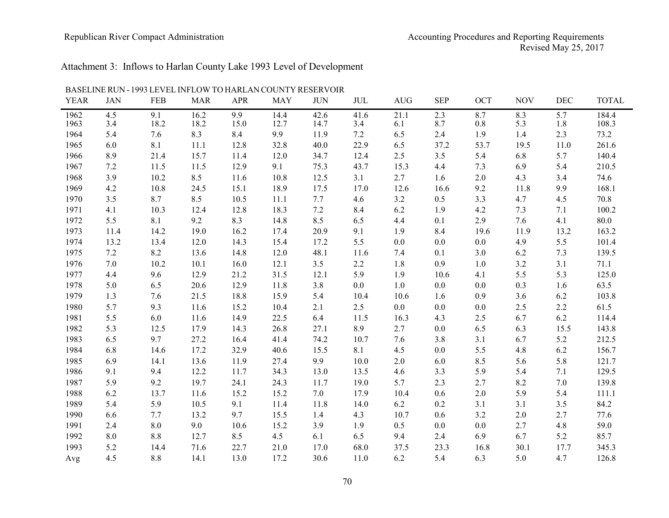### Republican River Compact Administration Accounting Procedures and Reporting Requirements Revised May 25, 2017

# Attachment 3: Inflows to Harlan County Lake 1993 Level of Development

| <b>YEAR</b> | <b>JAN</b> | <b>FEB</b> | <b>MAR</b> | <b>APR</b> | <b>MAY</b> | <b>JUN</b> | <b>JUL</b> | AUG     | <b>SEP</b> | <b>OCT</b> | <b>NOV</b> | <b>DEC</b> | <b>TOTAL</b> |
|-------------|------------|------------|------------|------------|------------|------------|------------|---------|------------|------------|------------|------------|--------------|
| 1962        | 4.5        | 9.1        | 16.2       | 9.9        | 14.4       | 42.6       | 41.6       | 21.1    | 2.3        | 8.7        | 8.3        | 5.7        | 184.4        |
| 1963        | 3.4        | 18.2       | 18.2       | 15.0       | 12.7       | 14.7       | 3.4        | 6.1     | 8.7        | 0.8        | 5.3        | 1.8        | 108.3        |
| 1964        | 5.4        | 7.6        | 8.3        | 8.4        | 9.9        | 11.9       | 7.2        | 6.5     | 2.4        | 1.9        | 1.4        | 2.3        | 73.2         |
| 1965        | 6.0        | 8.1        | 11.1       | 12.8       | 32.8       | 40.0       | 22.9       | 6.5     | 37.2       | 53.7       | 19.5       | 11.0       | 261.6        |
| 1966        | 8.9        | 21.4       | 15.7       | 11.4       | 12.0       | 34.7       | 12.4       | $2.5$   | 3.5        | 5.4        | 6.8        | 5.7        | 140.4        |
| 1967        | $7.2\,$    | 11.5       | 11.5       | 12.9       | 9.1        | 75.3       | 43.7       | 15.3    | 4.4        | 7.3        | 6.9        | 5.4        | 210.5        |
| 1968        | 3.9        | 10.2       | 8.5        | 11.6       | 10.8       | 12.5       | 3.1        | 2.7     | 1.6        | $2.0\,$    | 4.3        | 3.4        | 74.6         |
| 1969        | 4.2        | 10.8       | 24.5       | 15.1       | 18.9       | 17.5       | 17.0       | 12.6    | 16.6       | 9.2        | 11.8       | 9.9        | 168.1        |
| 1970        | 3.5        | 8.7        | 8.5        | 10.5       | 11.1       | 7.7        | 4.6        | 3.2     | 0.5        | 3.3        | 4.7        | 4.5        | 70.8         |
| 1971        | 4.1        | 10.3       | 12.4       | 12.8       | 18.3       | 7.2        | 8.4        | $6.2\,$ | 1.9        | 4.2        | 7.3        | 7.1        | 100.2        |
| 1972        | 5.5        | 8.1        | 9.2        | 8.3        | 14.8       | 8.5        | 6.5        | 4.4     | 0.1        | 2.9        | 7.6        | 4.1        | 80.0         |
| 1973        | 11.4       | 14.2       | 19.0       | 16.2       | 17.4       | 20.9       | 9.1        | 1.9     | 8.4        | 19.6       | 11.9       | 13.2       | 163.2        |
| 1974        | 13.2       | 13.4       | 12.0       | 14.3       | 15.4       | 17.2       | 5.5        | $0.0\,$ | 0.0        | $0.0\,$    | 4.9        | 5.5        | 101.4        |
| 1975        | 7.2        | 8.2        | 13.6       | 14.8       | 12.0       | 48.1       | 11.6       | 7.4     | 0.1        | 3.0        | 6.2        | 7.3        | 139.5        |
| 1976        | 7.0        | 10.2       | 10.1       | 16.0       | 12.1       | 3.5        | 2.2        | 1.8     | 0.9        | 1.0        | 3.2        | 3.1        | 71.1         |
| 1977        | 4.4        | 9.6        | 12.9       | 21.2       | 31.5       | 12.1       | 5.9        | 1.9     | 10.6       | 4.1        | 5.5        | 5.3        | 125.0        |
| 1978        | 5.0        | 6.5        | 20.6       | 12.9       | 11.8       | 3.8        | 0.0        | $1.0\,$ | 0.0        | $0.0\,$    | $0.3\,$    | 1.6        | 63.5         |
| 1979        | 1.3        | 7.6        | 21.5       | 18.8       | 15.9       | 5.4        | 10.4       | 10.6    | 1.6        | 0.9        | 3.6        | 6.2        | 103.8        |
| 1980        | 5.7        | 9.3        | 11.6       | 15.2       | 10.4       | 2.1        | 2.5        | 0.0     | 0.0        | 0.0        | $2.5\,$    | 2.2        | 61.5         |
| 1981        | 5.5        | 6.0        | 11.6       | 14.9       | 22.5       | 6.4        | 11.5       | 16.3    | 4.3        | 2.5        | 6.7        | 6.2        | 114.4        |
| 1982        | 5.3        | 12.5       | 17.9       | 14.3       | 26.8       | 27.1       | 8.9        | 2.7     | 0.0        | 6.5        | 6.3        | 15.5       | 143.8        |
| 1983        | 6.5        | 9.7        | 27.2       | 16.4       | 41.4       | 74.2       | 10.7       | 7.6     | 3.8        | 3.1        | 6.7        | 5.2        | 212.5        |
| 1984        | 6.8        | 14.6       | 17.2       | 32.9       | 40.6       | 15.5       | 8.1        | 4.5     | 0.0        | 5.5        | 4.8        | 6.2        | 156.7        |
| 1985        | 6.9        | 14.1       | 13.6       | 11.9       | 27.4       | 9.9        | 10.0       | 2.0     | 6.0        | 8.5        | 5.6        | 5.8        | 121.7        |
| 1986        | 9.1        | 9.4        | 12.2       | 11.7       | 34.3       | 13.0       | 13.5       | 4.6     | 3.3        | 5.9        | 5.4        | 7.1        | 129.5        |
| 1987        | 5.9        | 9.2        | 19.7       | 24.1       | 24.3       | 11.7       | 19.0       | 5.7     | 2.3        | 2.7        | 8.2        | 7.0        | 139.8        |
| 1988        | 6.2        | 13.7       | 11.6       | 15.2       | 15.2       | 7.0        | 17.9       | 10.4    | 0.6        | 2.0        | 5.9        | 5.4        | 111.1        |
| 1989        | 5.4        | 5.9        | 10.5       | 9.1        | 11.4       | 11.8       | 14.0       | 6.2     | 0.2        | 3.1        | 3.1        | 3.5        | 84.2         |
| 1990        | 6.6        | 7.7        | 13.2       | 9.7        | 15.5       | 1.4        | 4.3        | 10.7    | 0.6        | 3.2        | 2.0        | 2.7        | 77.6         |
| 1991        | 2.4        | 8.0        | 9.0        | 10.6       | 15.2       | 3.9        | 1.9        | 0.5     | 0.0        | 0.0        | 2.7        | 4.8        | 59.0         |
| 1992        | $8.0\,$    | $8.8\,$    | 12.7       | 8.5        | 4.5        | 6.1        | 6.5        | 9.4     | 2.4        | 6.9        | 6.7        | 5.2        | 85.7         |
| 1993        | 5.2        | 14.4       | 71.6       | 22.7       | 21.0       | 17.0       | 68.0       | 37.5    | 23.3       | 16.8       | 30.1       | 17.7       | 345.3        |
| Avg         | 4.5        | 8.8        | 14.1       | 13.0       | 17.2       | 30.6       | 11.0       | 6.2     | 5.4        | 6.3        | 5.0        | 4.7        | 126.8        |

#### BASELINE RUN - 1993 LEVEL INFLOW TO HARLAN COUNTY RESERVOIR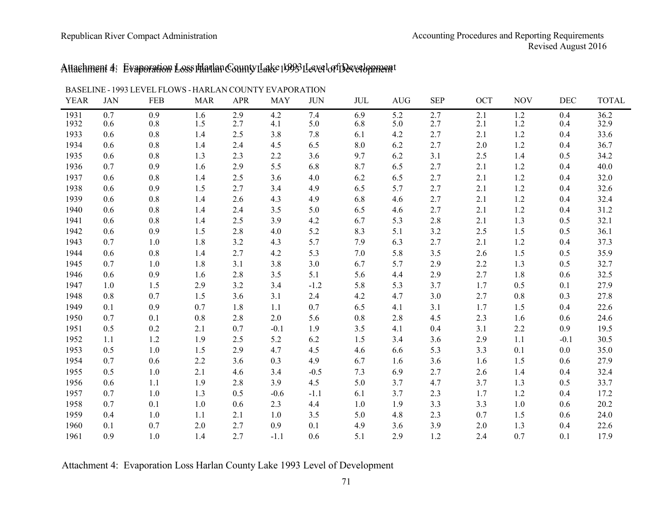# Attachment 4: Evaporation Loss Harlan County Lake 1993 Level of Development Attachment 4: Evaporation Loss Harlan County Lake 1993 Level of Development

|             |            | DASEEINE - 1777 LE VELTEO WS - HANLAIN COUNT LE VALUNATION |            |            |            |            |     |            |            |     |            |        |              |
|-------------|------------|------------------------------------------------------------|------------|------------|------------|------------|-----|------------|------------|-----|------------|--------|--------------|
| <b>YEAR</b> | <b>JAN</b> | <b>FEB</b>                                                 | <b>MAR</b> | <b>APR</b> | <b>MAY</b> | <b>JUN</b> | JUL | <b>AUG</b> | <b>SEP</b> | OCT | <b>NOV</b> | DEC    | <b>TOTAL</b> |
| 1931        | 0.7        | 0.9                                                        | 1.6        | 2.9        | 4.2        | 7.4        | 6.9 | 5.2        | 2.7        | 2.1 | 1.2        | 0.4    | 36.2         |
| 1932        | 0.6        | 0.8                                                        | 1.5        | 2.7        | 4.1        | 5.0        | 6.8 | 5.0        | 2.7        | 2.1 | 1.2        | 0.4    | 32.9         |
| 1933        | 0.6        | 0.8                                                        | 1.4        | 2.5        | 3.8        | 7.8        | 6.1 | 4.2        | 2.7        | 2.1 | 1.2        | 0.4    | 33.6         |
| 1934        | 0.6        | 0.8                                                        | 1.4        | 2.4        | 4.5        | 6.5        | 8.0 | 6.2        | 2.7        | 2.0 | 1.2        | 0.4    | 36.7         |
| 1935        | 0.6        | 0.8                                                        | 1.3        | 2.3        | 2.2        | 3.6        | 9.7 | 6.2        | 3.1        | 2.5 | 1.4        | 0.5    | 34.2         |
| 1936        | 0.7        | 0.9                                                        | 1.6        | 2.9        | 5.5        | 6.8        | 8.7 | 6.5        | 2.7        | 2.1 | 1.2        | 0.4    | 40.0         |
| 1937        | 0.6        | 0.8                                                        | 1.4        | 2.5        | 3.6        | 4.0        | 6.2 | 6.5        | 2.7        | 2.1 | 1.2        | 0.4    | 32.0         |
| 1938        | 0.6        | 0.9                                                        | 1.5        | 2.7        | 3.4        | 4.9        | 6.5 | 5.7        | 2.7        | 2.1 | 1.2        | 0.4    | 32.6         |
| 1939        | 0.6        | 0.8                                                        | 1.4        | 2.6        | 4.3        | 4.9        | 6.8 | 4.6        | 2.7        | 2.1 | 1.2        | 0.4    | 32.4         |
| 1940        | 0.6        | 0.8                                                        | 1.4        | 2.4        | 3.5        | 5.0        | 6.5 | 4.6        | 2.7        | 2.1 | 1.2        | 0.4    | 31.2         |
| 1941        | 0.6        | 0.8                                                        | 1.4        | 2.5        | 3.9        | 4.2        | 6.7 | 5.3        | 2.8        | 2.1 | 1.3        | 0.5    | 32.1         |
| 1942        | 0.6        | 0.9                                                        | 1.5        | 2.8        | $4.0$      | 5.2        | 8.3 | 5.1        | 3.2        | 2.5 | 1.5        | 0.5    | 36.1         |
| 1943        | 0.7        | 1.0                                                        | 1.8        | 3.2        | 4.3        | 5.7        | 7.9 | 6.3        | 2.7        | 2.1 | 1.2        | 0.4    | 37.3         |
| 1944        | 0.6        | 0.8                                                        | 1.4        | 2.7        | 4.2        | 5.3        | 7.0 | 5.8        | 3.5        | 2.6 | 1.5        | 0.5    | 35.9         |
| 1945        | 0.7        | $1.0$                                                      | 1.8        | 3.1        | 3.8        | 3.0        | 6.7 | 5.7        | 2.9        | 2.2 | 1.3        | 0.5    | 32.7         |
| 1946        | 0.6        | 0.9                                                        | 1.6        | 2.8        | 3.5        | 5.1        | 5.6 | 4.4        | 2.9        | 2.7 | 1.8        | 0.6    | 32.5         |
| 1947        | 1.0        | 1.5                                                        | 2.9        | 3.2        | 3.4        | $-1.2$     | 5.8 | 5.3        | 3.7        | 1.7 | 0.5        | 0.1    | 27.9         |
| 1948        | 0.8        | 0.7                                                        | 1.5        | 3.6        | 3.1        | 2.4        | 4.2 | 4.7        | 3.0        | 2.7 | 0.8        | 0.3    | 27.8         |
| 1949        | 0.1        | 0.9                                                        | 0.7        | 1.8        | 1.1        | 0.7        | 6.5 | 4.1        | 3.1        | 1.7 | 1.5        | 0.4    | 22.6         |
| 1950        | 0.7        | 0.1                                                        | 0.8        | 2.8        | 2.0        | 5.6        | 0.8 | 2.8        | 4.5        | 2.3 | 1.6        | 0.6    | 24.6         |
| 1951        | 0.5        | 0.2                                                        | 2.1        | 0.7        | $-0.1$     | 1.9        | 3.5 | 4.1        | 0.4        | 3.1 | $2.2\,$    | 0.9    | 19.5         |
| 1952        | 1.1        | 1.2                                                        | 1.9        | 2.5        | 5.2        | 6.2        | 1.5 | 3.4        | 3.6        | 2.9 | 1.1        | $-0.1$ | 30.5         |
| 1953        | 0.5        | $1.0$                                                      | 1.5        | 2.9        | 4.7        | 4.5        | 4.6 | 6.6        | 5.3        | 3.3 | 0.1        | 0.0    | 35.0         |
| 1954        | 0.7        | 0.6                                                        | 2.2        | 3.6        | 0.3        | 4.9        | 6.7 | 1.6        | 3.6        | 1.6 | 1.5        | 0.6    | 27.9         |
| 1955        | 0.5        | 1.0                                                        | 2.1        | 4.6        | 3.4        | $-0.5$     | 7.3 | 6.9        | 2.7        | 2.6 | 1.4        | 0.4    | 32.4         |
| 1956        | 0.6        | 1.1                                                        | 1.9        | 2.8        | 3.9        | 4.5        | 5.0 | 3.7        | 4.7        | 3.7 | 1.3        | 0.5    | 33.7         |
| 1957        | 0.7        | 1.0                                                        | 1.3        | 0.5        | $-0.6$     | $-1.1$     | 6.1 | 3.7        | 2.3        | 1.7 | 1.2        | 0.4    | 17.2         |
| 1958        | 0.7        | 0.1                                                        | 1.0        | 0.6        | 2.3        | 4.4        | 1.0 | 1.9        | 3.3        | 3.3 | 1.0        | 0.6    | 20.2         |
| 1959        | 0.4        | 1.0                                                        | 1.1        | 2.1        | 1.0        | 3.5        | 5.0 | 4.8        | 2.3        | 0.7 | 1.5        | 0.6    | 24.0         |
| 1960        | 0.1        | 0.7                                                        | 2.0        | 2.7        | 0.9        | 0.1        | 4.9 | 3.6        | 3.9        | 2.0 | 1.3        | 0.4    | 22.6         |
| 1961        | 0.9        | 1.0                                                        | 1.4        | 2.7        | $-1.1$     | 0.6        | 5.1 | 2.9        | 1.2        | 2.4 | 0.7        | 0.1    | 17.9         |
|             |            |                                                            |            |            |            |            |     |            |            |     |            |        |              |

BASELINE - 1993 LEVEL FLOWS - HARLAN COUNTY EVAPORATION

Attachment 4: Evaporation Loss Harlan County Lake 1993 Level of Development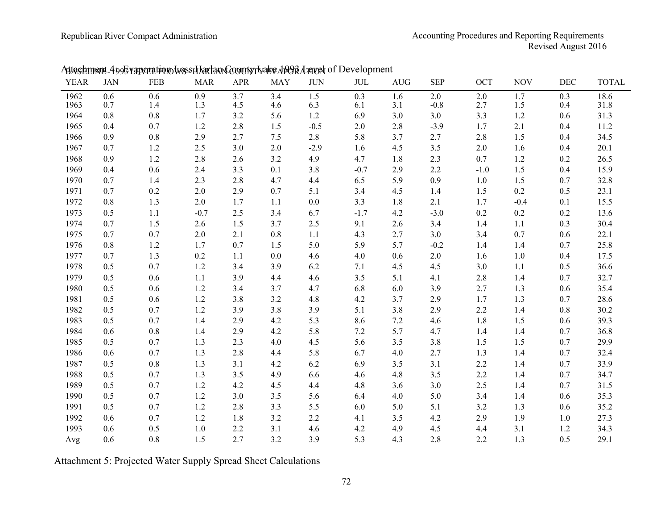| <b>YEAR</b> | <b>JAN</b> | FEB     | <b>MAR</b> | <b>APR</b> | <b>MAY</b> | <b>JUN</b> | $\rm JUL$ | <b>AUG</b> | <b>SEP</b> | <b>OCT</b> | <b>NOV</b> | <b>DEC</b> | <b>TOTAL</b> |
|-------------|------------|---------|------------|------------|------------|------------|-----------|------------|------------|------------|------------|------------|--------------|
| 1962        | 0.6        | 0.6     | 0.9        | 3.7        | 3.4        | 1.5        | 0.3       | 1.6        | 2.0        | 2.0        | 1.7        | 0.3        | 18.6         |
| 1963        | 0.7        | 1.4     | 1.3        | 4.5        | 4.6        | 6.3        | 6.1       | 3.1        | $-0.8$     | 2.7        | 1.5        | 0.4        | 31.8         |
| 1964        | 0.8        | $0.8\,$ | 1.7        | 3.2        | 5.6        | 1.2        | 6.9       | 3.0        | 3.0        | 3.3        | 1.2        | 0.6        | 31.3         |
| 1965        | 0.4        | 0.7     | 1.2        | 2.8        | 1.5        | $-0.5$     | 2.0       | 2.8        | $-3.9$     | 1.7        | 2.1        | 0.4        | 11.2         |
| 1966        | 0.9        | 0.8     | 2.9        | 2.7        | 7.5        | 2.8        | 5.8       | 3.7        | 2.7        | 2.8        | 1.5        | 0.4        | 34.5         |
| 1967        | 0.7        | 1.2     | 2.5        | 3.0        | 2.0        | $-2.9$     | 1.6       | 4.5        | 3.5        | 2.0        | 1.6        | 0.4        | 20.1         |
| 1968        | 0.9        | 1.2     | 2.8        | 2.6        | 3.2        | 4.9        | 4.7       | 1.8        | 2.3        | 0.7        | 1.2        | 0.2        | 26.5         |
| 1969        | 0.4        | 0.6     | 2.4        | 3.3        | 0.1        | 3.8        | $-0.7$    | 2.9        | 2.2        | $-1.0$     | $1.5$      | 0.4        | 15.9         |
| 1970        | 0.7        | 1.4     | 2.3        | 2.8        | 4.7        | 4.4        | 6.5       | 5.9        | 0.9        | $1.0$      | 1.5        | 0.7        | 32.8         |
| 1971        | 0.7        | 0.2     | 2.0        | 2.9        | 0.7        | 5.1        | 3.4       | 4.5        | 1.4        | 1.5        | 0.2        | 0.5        | 23.1         |
| 1972        | 0.8        | 1.3     | 2.0        | 1.7        | 1.1        | 0.0        | 3.3       | 1.8        | 2.1        | 1.7        | $-0.4$     | 0.1        | 15.5         |
| 1973        | 0.5        | 1.1     | $-0.7$     | 2.5        | 3.4        | 6.7        | $-1.7$    | 4.2        | $-3.0$     | 0.2        | 0.2        | 0.2        | 13.6         |
| 1974        | 0.7        | 1.5     | 2.6        | 1.5        | 3.7        | 2.5        | 9.1       | 2.6        | 3.4        | 1.4        | 1.1        | 0.3        | 30.4         |
| 1975        | 0.7        | 0.7     | 2.0        | 2.1        | 0.8        | 1.1        | 4.3       | 2.7        | 3.0        | 3.4        | 0.7        | 0.6        | 22.1         |
| 1976        | 0.8        | 1.2     | 1.7        | 0.7        | 1.5        | 5.0        | 5.9       | 5.7        | $-0.2$     | 1.4        | 1.4        | 0.7        | 25.8         |
| 1977        | 0.7        | 1.3     | 0.2        | 1.1        | 0.0        | 4.6        | 4.0       | 0.6        | 2.0        | 1.6        | 1.0        | 0.4        | 17.5         |
| 1978        | 0.5        | 0.7     | 1.2        | 3.4        | 3.9        | 6.2        | 7.1       | 4.5        | 4.5        | 3.0        | 1.1        | 0.5        | 36.6         |
| 1979        | 0.5        | 0.6     | 1.1        | 3.9        | 4.4        | 4.6        | 3.5       | 5.1        | 4.1        | 2.8        | 1.4        | 0.7        | 32.7         |
| 1980        | 0.5        | 0.6     | 1.2        | 3.4        | 3.7        | 4.7        | 6.8       | 6.0        | 3.9        | 2.7        | 1.3        | 0.6        | 35.4         |
| 1981        | 0.5        | 0.6     | 1.2        | 3.8        | 3.2        | 4.8        | 4.2       | 3.7        | 2.9        | 1.7        | 1.3        | 0.7        | 28.6         |
| 1982        | 0.5        | 0.7     | 1.2        | 3.9        | 3.8        | 3.9        | 5.1       | 3.8        | 2.9        | 2.2        | 1.4        | 0.8        | 30.2         |
| 1983        | 0.5        | 0.7     | 1.4        | 2.9        | 4.2        | 5.3        | 8.6       | 7.2        | 4.6        | 1.8        | 1.5        | 0.6        | 39.3         |
| 1984        | 0.6        | 0.8     | 1.4        | 2.9        | 4.2        | 5.8        | 7.2       | 5.7        | 4.7        | 1.4        | 1.4        | 0.7        | 36.8         |
| 1985        | 0.5        | 0.7     | 1.3        | 2.3        | 4.0        | 4.5        | 5.6       | 3.5        | 3.8        | 1.5        | 1.5        | 0.7        | 29.9         |
| 1986        | 0.6        | 0.7     | 1.3        | 2.8        | 4.4        | 5.8        | 6.7       | 4.0        | 2.7        | 1.3        | 1.4        | 0.7        | 32.4         |
| 1987        | 0.5        | $0.8\,$ | 1.3        | 3.1        | 4.2        | 6.2        | 6.9       | 3.5        | 3.1        | 2.2        | 1.4        | 0.7        | 33.9         |
| 1988        | 0.5        | 0.7     | 1.3        | 3.5        | 4.9        | 6.6        | 4.6       | 4.8        | 3.5        | 2.2        | 1.4        | 0.7        | 34.7         |
| 1989        | 0.5        | 0.7     | 1.2        | 4.2        | 4.5        | 4.4        | 4.8       | 3.6        | 3.0        | 2.5        | 1.4        | 0.7        | 31.5         |
| 1990        | 0.5        | 0.7     | 1.2        | 3.0        | 3.5        | 5.6        | 6.4       | 4.0        | 5.0        | 3.4        | 1.4        | 0.6        | 35.3         |
| 1991        | 0.5        | 0.7     | 1.2        | 2.8        | 3.3        | 5.5        | 6.0       | 5.0        | 5.1        | 3.2        | 1.3        | 0.6        | 35.2         |
| 1992        | 0.6        | 0.7     | 1.2        | 1.8        | 3.2        | 2.2        | 4.1       | 3.5        | 4.2        | 2.9        | 1.9        | 1.0        | 27.3         |
| 1993        | 0.6        | 0.5     | $1.0$      | 2.2        | 3.1        | 4.6        | 4.2       | 4.9        | 4.5        | 4.4        | 3.1        | 1.2        | 34.3         |
| Avg         | 0.6        | 0.8     | 1.5        | 2.7        | 3.2        | 3.9        | 5.3       | 4.3        | 2.8        | 2.2        | 1.3        | 0.5        | 29.1         |

## Astachment 4995 raporation wess Harlan County Ivake AD9R Arreal of Development

Attachment 5: Projected Water Supply Spread Sheet Calculations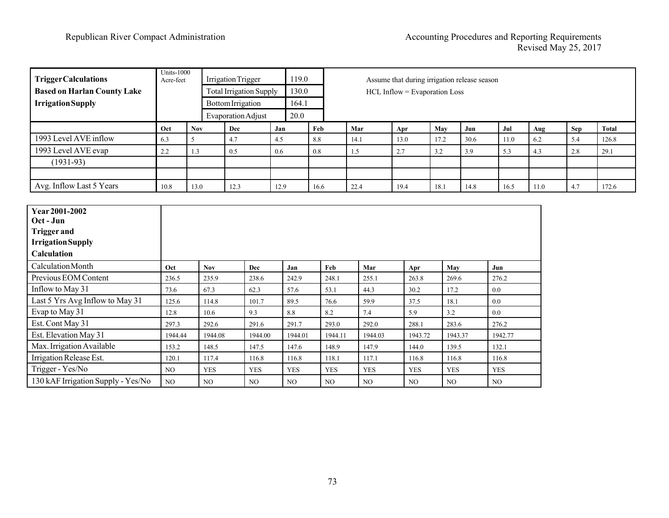| <b>TriggerCalculations</b>                                                 | <b>Units-1000</b><br>Acre-feet |            | <b>Irrigation Trigger</b><br><b>Total Irrigation Supply</b> |      |            |            | Assume that during irrigation release season<br>HCL Inflow = Evaporation Loss |            |                 |            |         |            |      |            |              |
|----------------------------------------------------------------------------|--------------------------------|------------|-------------------------------------------------------------|------|------------|------------|-------------------------------------------------------------------------------|------------|-----------------|------------|---------|------------|------|------------|--------------|
| <b>Based on Harlan County Lake</b>                                         |                                |            |                                                             |      | 130.0      |            |                                                                               |            |                 |            |         |            |      |            |              |
| <b>Irrigation Supply</b>                                                   |                                |            | <b>Bottom Irrigation</b>                                    |      | 164.1      |            |                                                                               |            |                 |            |         |            |      |            |              |
|                                                                            |                                |            | <b>Evaporation Adjust</b>                                   |      | 20.0       |            |                                                                               |            |                 |            |         |            |      |            |              |
|                                                                            | Oct                            | <b>Nov</b> | Dec                                                         | Jan  |            | Feb        | Mar                                                                           |            | Apr             | May        | Jun     | Jul        | Aug  | <b>Sep</b> | <b>Total</b> |
| 1993 Level AVE inflow                                                      | 6.3                            | 5          | 4.7                                                         | 4.5  |            | 8.8        | 14.1                                                                          |            | 13.0            | 17.2       | 30.6    | 11.0       | 6.2  | 5.4        | 126.8        |
| 1993 Level AVE evap                                                        | 2.2                            | 1.3        | 0.5                                                         | 0.6  |            | $0.8\,$    | 1.5                                                                           |            | 2.7             | 3.2        | 3.9     | 5.3        | 4.3  | 2.8        | 29.1         |
| $(1931-93)$                                                                |                                |            |                                                             |      |            |            |                                                                               |            |                 |            |         |            |      |            |              |
|                                                                            |                                |            |                                                             |      |            |            |                                                                               |            |                 |            |         |            |      |            |              |
| Avg. Inflow Last 5 Years                                                   | 10.8                           | 13.0       | 12.3                                                        | 12.9 |            | 16.6       | 22.4                                                                          |            | 19.4            | 18.1       | 14.8    | 16.5       | 11.0 | 4.7        | 172.6        |
| Oct - Jun<br><b>Trigger and</b><br><b>Irrigation Supply</b><br>Calculation |                                |            |                                                             |      |            |            |                                                                               |            |                 |            |         |            |      |            |              |
| Calculation Month                                                          | Oct                            | <b>Nov</b> | Dec                                                         |      | Jan        | Feb        |                                                                               | Mar        | Apr             | May        |         | Jun        |      |            |              |
| Previous EOM Content                                                       | 236.5                          | 235.9      | 238.6                                                       |      | 242.9      | 248.1      |                                                                               | 255.1      | 263.8           | 269.6      |         | 276.2      |      |            |              |
| Inflow to May 31                                                           | 73.6                           | 67.3       | 62.3                                                        |      | 57.6       | 53.1       |                                                                               | 44.3       | 30.2            | 17.2       |         | $0.0\,$    |      |            |              |
| Last 5 Yrs Avg Inflow to May 31                                            | 125.6                          | 114.8      | 101.7                                                       |      | 89.5       | 76.6       |                                                                               | 59.9       | 37.5            | 18.1       |         | $0.0\,$    |      |            |              |
| Evap to May 31                                                             | 12.8                           | 10.6       | 9.3                                                         |      | 8.8        | 8.2        |                                                                               | 7.4        | 5.9             | 3.2        |         | 0.0        |      |            |              |
| Est. Cont May 31                                                           | 297.3                          | 292.6      | 291.6                                                       |      | 291.7      | 293.0      |                                                                               | 292.0      | 288.1           | 283.6      |         | 276.2      |      |            |              |
| Est. Elevation May 31                                                      | 1944.44                        | 1944.08    | 1944.00                                                     |      | 1944.01    | 1944.11    |                                                                               | 1944.03    | 1943.72         |            | 1943.37 | 1942.77    |      |            |              |
| Max. Irrigation Available                                                  | 153.2                          | 148.5      | 147.5                                                       |      | 147.6      | 148.9      |                                                                               | 147.9      | 144.0           | 139.5      |         | 132.1      |      |            |              |
| Irrigation Release Est.                                                    | 120.1                          | 117.4      | 116.8                                                       |      | 116.8      | 118.1      |                                                                               | 117.1      | 116.8           | 116.8      |         | 116.8      |      |            |              |
| Trigger - Yes/No                                                           | NO                             | <b>YES</b> | <b>YES</b>                                                  |      | <b>YES</b> | <b>YES</b> |                                                                               | <b>YES</b> | <b>YES</b>      | <b>YES</b> |         | <b>YES</b> |      |            |              |
| 130 kAF Irrigation Supply - Yes/No                                         | NO                             | NO         | N <sub>O</sub>                                              |      | NO         | NO         |                                                                               | NO.        | NO <sub>1</sub> | NO         |         | NO.        |      |            |              |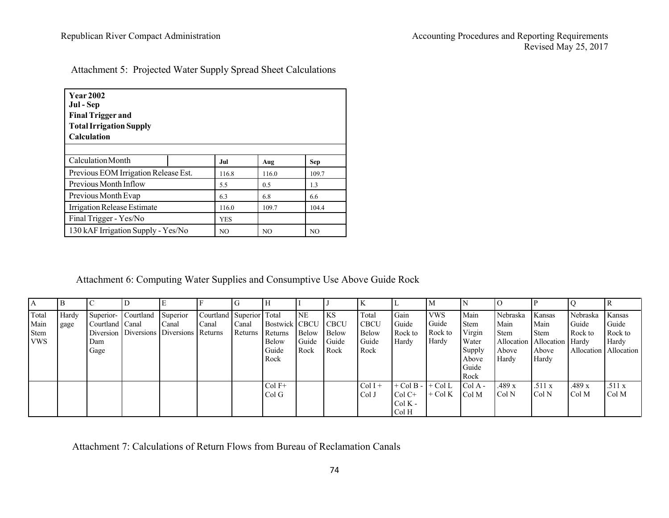| Attachment 5: Projected Water Supply Spread Sheet Calculations |  |  |  |
|----------------------------------------------------------------|--|--|--|
|                                                                |  |  |  |

| <b>Year 2002</b><br>Jul - Sep<br><b>Final Trigger and</b><br><b>Total Irrigation Supply</b><br><b>Calculation</b> |                |            |                |       |  |  |  |  |  |  |  |
|-------------------------------------------------------------------------------------------------------------------|----------------|------------|----------------|-------|--|--|--|--|--|--|--|
| Calculation Month                                                                                                 |                | Jul        | Aug            | Sep   |  |  |  |  |  |  |  |
| Previous EOM Irrigation Release Est.                                                                              |                | 116.8      | 116.0          | 109.7 |  |  |  |  |  |  |  |
| Previous Month Inflow                                                                                             |                | 5.5        | 0.5            | 1.3   |  |  |  |  |  |  |  |
| Previous Month Evap                                                                                               |                | 6.3        | 6.8            | 6.6   |  |  |  |  |  |  |  |
| Irrigation Release Estimate                                                                                       |                | 116.0      | 109.7          | 104.4 |  |  |  |  |  |  |  |
| Final Trigger - Yes/No                                                                                            |                | <b>YES</b> |                |       |  |  |  |  |  |  |  |
| 130 kAF Irrigation Supply - Yes/No                                                                                | N <sub>O</sub> | NO         | N <sub>O</sub> |       |  |  |  |  |  |  |  |

Attachment 6: Computing Water Supplies and Consumptive Use Above Guide Rock

| A                                          |               |                                |                     |                                                              |                             |                  |                                                                    |                                            |                                             |                                                       |                                                        |                                         |                                                                            |                                                   |                                                                                |                              |                                                                |
|--------------------------------------------|---------------|--------------------------------|---------------------|--------------------------------------------------------------|-----------------------------|------------------|--------------------------------------------------------------------|--------------------------------------------|---------------------------------------------|-------------------------------------------------------|--------------------------------------------------------|-----------------------------------------|----------------------------------------------------------------------------|---------------------------------------------------|--------------------------------------------------------------------------------|------------------------------|----------------------------------------------------------------|
| Total<br>Main<br><b>Stem</b><br><b>VWS</b> | Hardy<br>gage | Courtland Canal<br>Dam<br>Gage | Superior- Courtland | Superior<br>Canal<br>Diversion Diversions Diversions Returns | Courtland Superior<br>Canal | Canal<br>Returns | Total<br>Bostwick CBCU<br>Returns<br><b>Below</b><br>Guide<br>Rock | <b>NE</b><br><b>Below</b><br>Guide<br>Rock | KS<br><b>CBCU</b><br>Below<br>Guide<br>Rock | Total<br><b>CBCU</b><br><b>Below</b><br>Guide<br>Rock | Gain<br>Guide<br>Rock to<br>Hardy                      | <b>VWS</b><br>Guide<br>Rock to<br>Hardy | Main<br><b>Stem</b><br>Virgin<br>Water<br>Supply<br>Above<br>Guide<br>Rock | Nebraska<br>Main<br><b>Stem</b><br>Above<br>Hardy | Kansas<br>Main<br><b>Stem</b><br>Allocation Allocation Hardy<br>Above<br>Hardy | Nebraska<br>Guide<br>Rock to | Kansas<br>Guide<br>Rock to<br>Hardy<br>Allocation   Allocation |
|                                            |               |                                |                     |                                                              |                             |                  | $Col F+$<br>ColG                                                   |                                            |                                             | $Col I +$<br>Col J                                    | $+$ Col B - $+$ Col L<br>$Col C+$<br>$ColK -$<br>Col H | $+$ Col K                               | $ColA -$<br>Col M                                                          | .489 x<br>Col N                                   | .511x<br>Col N                                                                 | .489 x<br>Col M              | .511x<br>Col M                                                 |

Attachment 7: Calculations of Return Flows from Bureau of Reclamation Canals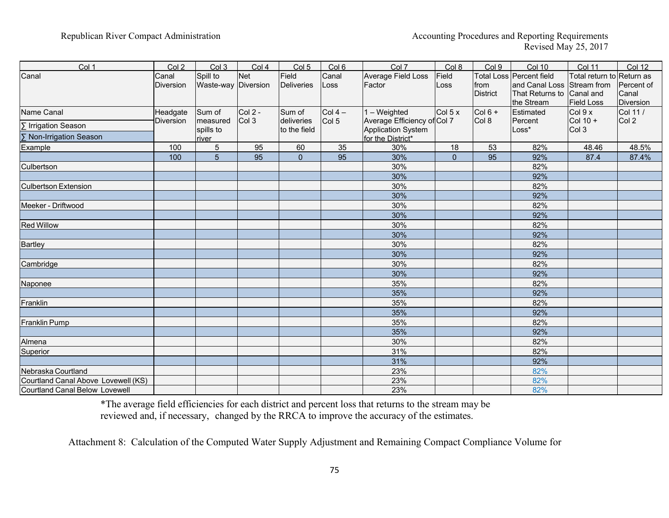| Col 1                                 | Col 2              | Col 3                           | Col <sub>4</sub> | Col <sub>5</sub>           | Col 6            | Col 7                                             | Col 8         | Col 9                   | <b>Col 10</b>                                                                           | <b>Col 11</b>                                               | <b>Col 12</b>                           |
|---------------------------------------|--------------------|---------------------------------|------------------|----------------------------|------------------|---------------------------------------------------|---------------|-------------------------|-----------------------------------------------------------------------------------------|-------------------------------------------------------------|-----------------------------------------|
| Canal                                 | Canal<br>Diversion | Spill to<br>Waste-way Diversion | <b>Net</b>       | Field<br>Deliveries        | Canal<br>Loss    | Average Field Loss<br>Factor                      | Field<br>Loss | from<br><b>District</b> | Total Loss Percent field<br>and Canal Loss Stream from<br>That Returns to<br>the Stream | Total return to Return as<br>Canal and<br><b>Field Loss</b> | Percent of<br>Canal<br><b>Diversion</b> |
| Name Canal                            | Headgate           | Sum of                          | <b>Col 2 -</b>   | Sum of                     | $Col 4 -$        | $1 - Weighted$                                    | Col 5 x       | $Col 6 +$               | Estimated                                                                               | Col 9 x                                                     | Col 11 /                                |
| ∑ Irrigation Season                   | Diversion          | measured<br>spills to           | Col 3            | deliveries<br>to the field | Col <sub>5</sub> | Average Efficiency of Col 7<br>Application System |               | Col 8                   | Percent<br>Loss*                                                                        | $Col 10 +$<br>Col 3                                         | Col 2                                   |
| ∑ Non-Irrigation Season               |                    | river                           |                  |                            |                  | for the District*                                 |               |                         |                                                                                         |                                                             |                                         |
| Example                               | 100                | 5                               | 95               | 60                         | 35               | 30%                                               | 18            | 53                      | 82%                                                                                     | 48.46                                                       | 48.5%                                   |
|                                       | 100                | 5                               | 95               | $\overline{0}$             | 95               | 30%                                               | $\mathbf{0}$  | 95                      | 92%                                                                                     | 87.4                                                        | 87.4%                                   |
| Culbertson                            |                    |                                 |                  |                            |                  | 30%                                               |               |                         | 82%                                                                                     |                                                             |                                         |
|                                       |                    |                                 |                  |                            |                  | 30%                                               |               |                         | 92%                                                                                     |                                                             |                                         |
| <b>Culbertson Extension</b>           |                    |                                 |                  |                            |                  | 30%                                               |               |                         | 82%                                                                                     |                                                             |                                         |
|                                       |                    |                                 |                  |                            |                  | 30%                                               |               |                         | 92%                                                                                     |                                                             |                                         |
| Meeker - Driftwood                    |                    |                                 |                  |                            |                  | 30%                                               |               |                         | 82%                                                                                     |                                                             |                                         |
|                                       |                    |                                 |                  |                            |                  | 30%                                               |               |                         | 92%                                                                                     |                                                             |                                         |
| <b>Red Willow</b>                     |                    |                                 |                  |                            |                  | 30%                                               |               |                         | 82%                                                                                     |                                                             |                                         |
|                                       |                    |                                 |                  |                            |                  | 30%                                               |               |                         | 92%                                                                                     |                                                             |                                         |
| <b>Bartley</b>                        |                    |                                 |                  |                            |                  | 30%                                               |               |                         | 82%                                                                                     |                                                             |                                         |
|                                       |                    |                                 |                  |                            |                  | 30%                                               |               |                         | 92%                                                                                     |                                                             |                                         |
| Cambridge                             |                    |                                 |                  |                            |                  | 30%                                               |               |                         | 82%                                                                                     |                                                             |                                         |
|                                       |                    |                                 |                  |                            |                  | 30%                                               |               |                         | 92%                                                                                     |                                                             |                                         |
| Naponee                               |                    |                                 |                  |                            |                  | 35%                                               |               |                         | 82%                                                                                     |                                                             |                                         |
|                                       |                    |                                 |                  |                            |                  | 35%                                               |               |                         | 92%                                                                                     |                                                             |                                         |
| Franklin                              |                    |                                 |                  |                            |                  | 35%                                               |               |                         | 82%                                                                                     |                                                             |                                         |
|                                       |                    |                                 |                  |                            |                  | 35%                                               |               |                         | 92%                                                                                     |                                                             |                                         |
| <b>Franklin Pump</b>                  |                    |                                 |                  |                            |                  | 35%                                               |               |                         | 82%                                                                                     |                                                             |                                         |
|                                       |                    |                                 |                  |                            |                  | 35%                                               |               |                         | 92%                                                                                     |                                                             |                                         |
| Almena                                |                    |                                 |                  |                            |                  | 30%                                               |               |                         | 82%                                                                                     |                                                             |                                         |
| Superior                              |                    |                                 |                  |                            |                  | 31%                                               |               |                         | 82%                                                                                     |                                                             |                                         |
|                                       |                    |                                 |                  |                            |                  | 31%                                               |               |                         | 92%                                                                                     |                                                             |                                         |
| Nebraska Courtland                    |                    |                                 |                  |                            |                  | 23%                                               |               |                         | 82%                                                                                     |                                                             |                                         |
| Courtland Canal Above Lovewell (KS)   |                    |                                 |                  |                            |                  | 23%                                               |               |                         | 82%                                                                                     |                                                             |                                         |
| <b>Courtland Canal Below Lovewell</b> |                    |                                 |                  |                            |                  | 23%                                               |               |                         | 82%                                                                                     |                                                             |                                         |

\*The average field efficiencies for each district and percent loss that returns to the stream may be reviewed and, if necessary, changed by the RRCA to improve the accuracy of the estimates.

Attachment 8: Calculation of the Computed Water Supply Adjustment and Remaining Compact Compliance Volume for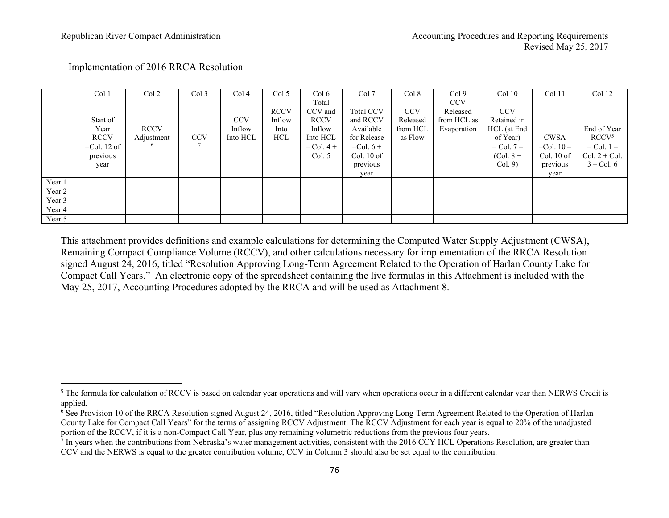|        | Col 1          | Col <sub>2</sub> | Col <sub>3</sub> | Col 4      | Col <sub>5</sub> | Col 6        | Col 7            | Col 8      | Col <sub>9</sub> | Col 10         | Col 11          | Col 12            |
|--------|----------------|------------------|------------------|------------|------------------|--------------|------------------|------------|------------------|----------------|-----------------|-------------------|
|        |                |                  |                  |            |                  | Total        |                  |            | <b>CCV</b>       |                |                 |                   |
|        |                |                  |                  |            | <b>RCCV</b>      | CCV and      | <b>Total CCV</b> | <b>CCV</b> | Released         | <b>CCV</b>     |                 |                   |
|        | Start of       |                  |                  | <b>CCV</b> | Inflow           | <b>RCCV</b>  | and RCCV         | Released   | from HCL as      | Retained in    |                 |                   |
|        | Year           | <b>RCCV</b>      |                  | Inflow     | Into             | Inflow       | Available        | from HCL   | Evaporation      | HCL (at End    |                 | End of Year       |
|        | <b>RCCV</b>    | Adjustment       | <b>CCV</b>       | Into HCL   | <b>HCL</b>       | Into HCL     | for Release      | as Flow    |                  | of Year)       | <b>CWSA</b>     | RCCV <sup>5</sup> |
|        | $=$ Col. 12 of |                  |                  |            |                  | $=$ Col. 4 + | $=$ Col. 6 +     |            |                  | $=$ Col. 7 $-$ | $=$ Col. 10 $-$ | $=$ Col. 1 $-$    |
|        | previous       |                  |                  |            |                  | Col. 5       | $Col. 10$ of     |            |                  | $(Col. 8 +$    | Col. $10$ of    | Col. $2 +$ Col.   |
|        | year           |                  |                  |            |                  |              | previous         |            |                  | Col. 9         | previous        | $3 - Col.6$       |
|        |                |                  |                  |            |                  |              | year             |            |                  |                | year            |                   |
| Year 1 |                |                  |                  |            |                  |              |                  |            |                  |                |                 |                   |
| Year 2 |                |                  |                  |            |                  |              |                  |            |                  |                |                 |                   |
| Year 3 |                |                  |                  |            |                  |              |                  |            |                  |                |                 |                   |
| Year 4 |                |                  |                  |            |                  |              |                  |            |                  |                |                 |                   |
| Year 5 |                |                  |                  |            |                  |              |                  |            |                  |                |                 |                   |

#### Implementation of 2016 RRCA Resolution

This attachment provides definitions and example calculations for determining the Computed Water Supply Adjustment (CWSA), Remaining Compact Compliance Volume (RCCV), and other calculations necessary for implementation of the RRCA Resolution signed August 24, 2016, titled "Resolution Approving Long-Term Agreement Related to the Operation of Harlan County Lake for Compact Call Years." An electronic copy of the spreadsheet containing the live formulas in this Attachment is included with the May 25, 2017, Accounting Procedures adopted by the RRCA and will be used as Attachment 8.

<sup>&</sup>lt;sup>5</sup> The formula for calculation of RCCV is based on calendar year operations and will vary when operations occur in a different calendar year than NERWS Credit is applied.

<sup>6</sup> See Provision 10 of the RRCA Resolution signed August 24, 2016, titled "Resolution Approving Long-Term Agreement Related to the Operation of Harlan County Lake for Compact Call Years" for the terms of assigning RCCV Adjustment. The RCCV Adjustment for each year is equal to 20% of the unadjusted portion of the RCCV, if it is a non-Compact Call Year, plus any remaining volumetric reductions from the previous four years.

 $<sup>7</sup>$  In years when the contributions from Nebraska's water management activities, consistent with the 2016 CCY HCL Operations Resolution, are greater than</sup> CCV and the NERWS is equal to the greater contribution volume, CCV in Column 3 should also be set equal to the contribution.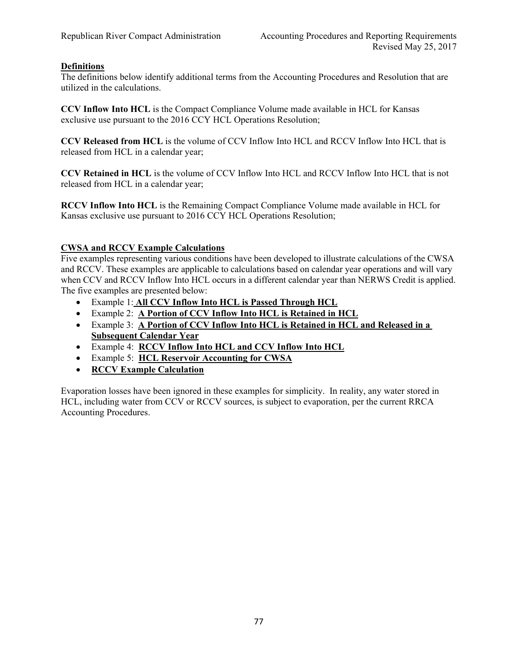## **Definitions**

The definitions below identify additional terms from the Accounting Procedures and Resolution that are utilized in the calculations.

**CCV Inflow Into HCL** is the Compact Compliance Volume made available in HCL for Kansas exclusive use pursuant to the 2016 CCY HCL Operations Resolution;

**CCV Released from HCL** is the volume of CCV Inflow Into HCL and RCCV Inflow Into HCL that is released from HCL in a calendar year;

**CCV Retained in HCL** is the volume of CCV Inflow Into HCL and RCCV Inflow Into HCL that is not released from HCL in a calendar year;

**RCCV Inflow Into HCL** is the Remaining Compact Compliance Volume made available in HCL for Kansas exclusive use pursuant to 2016 CCY HCL Operations Resolution;

#### **CWSA and RCCV Example Calculations**

Five examples representing various conditions have been developed to illustrate calculations of the CWSA and RCCV. These examples are applicable to calculations based on calendar year operations and will vary when CCV and RCCV Inflow Into HCL occurs in a different calendar year than NERWS Credit is applied. The five examples are presented below:

- Example 1: **All CCV Inflow Into HCL is Passed Through HCL**
- Example 2: **A Portion of CCV Inflow Into HCL is Retained in HCL**
- Example 3: **A Portion of CCV Inflow Into HCL is Retained in HCL and Released in a Subsequent Calendar Year**
- Example 4: **RCCV Inflow Into HCL and CCV Inflow Into HCL**
- Example 5: **HCL Reservoir Accounting for CWSA**
- **RCCV Example Calculation**

Evaporation losses have been ignored in these examples for simplicity. In reality, any water stored in HCL, including water from CCV or RCCV sources, is subject to evaporation, per the current RRCA Accounting Procedures.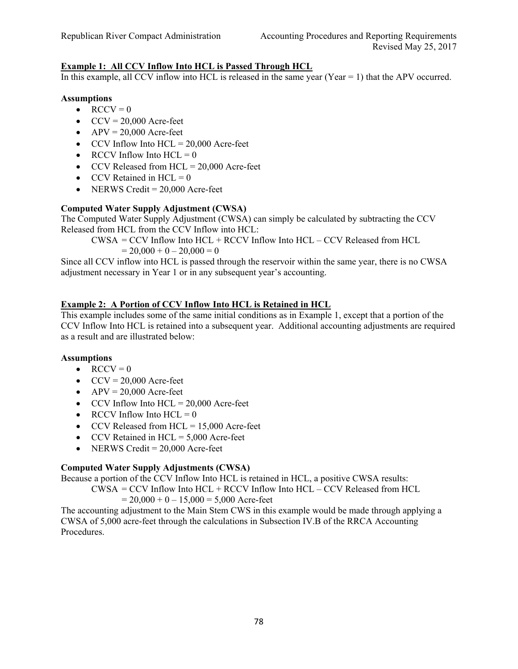## **Example 1: All CCV Inflow Into HCL is Passed Through HCL**

In this example, all CCV inflow into HCL is released in the same year (Year  $= 1$ ) that the APV occurred.

#### **Assumptions**

- $\bullet$  RCCV = 0
- $CCV = 20,000$  Acre-feet
- $APV = 20,000$  Acre-feet
- $\bullet$  CCV Inflow Into HCL = 20,000 Acre-feet
- RCCV Inflow Into  $HCL = 0$
- $\bullet$  CCV Released from HCL = 20,000 Acre-feet
- $\bullet$  CCV Retained in HCL = 0
- $\bullet$  NERWS Credit = 20,000 Acre-feet

### **Computed Water Supply Adjustment (CWSA)**

The Computed Water Supply Adjustment (CWSA) can simply be calculated by subtracting the CCV Released from HCL from the CCV Inflow into HCL:

CWSA = CCV Inflow Into HCL + RCCV Inflow Into HCL – CCV Released from HCL

 $= 20,000 + 0 - 20,000 = 0$ 

Since all CCV inflow into HCL is passed through the reservoir within the same year, there is no CWSA adjustment necessary in Year 1 or in any subsequent year's accounting.

## **Example 2: A Portion of CCV Inflow Into HCL is Retained in HCL**

This example includes some of the same initial conditions as in Example 1, except that a portion of the CCV Inflow Into HCL is retained into a subsequent year. Additional accounting adjustments are required as a result and are illustrated below:

### **Assumptions**

- $\bullet$  RCCV = 0
- $CCV = 20,000$  Acre-feet
- $APV = 20,000$  Acre-feet
- $\text{CCV}$  Inflow Into HCL = 20,000 Acre-feet
- RCCV Inflow Into  $HCL = 0$
- $\textdegree$  CCV Released from HCL = 15,000 Acre-feet
- $\text{CCV Retained in HCL} = 5,000 \text{ Acre-feet}$
- $\bullet$  NERWS Credit = 20,000 Acre-feet

# **Computed Water Supply Adjustments (CWSA)**

Because a portion of the CCV Inflow Into HCL is retained in HCL, a positive CWSA results:

CWSA = CCV Inflow Into HCL + RCCV Inflow Into HCL – CCV Released from HCL  $= 20,000 + 0 - 15,000 = 5,000$  Acre-feet

The accounting adjustment to the Main Stem CWS in this example would be made through applying a CWSA of 5,000 acre-feet through the calculations in Subsection IV.B of the RRCA Accounting Procedures.